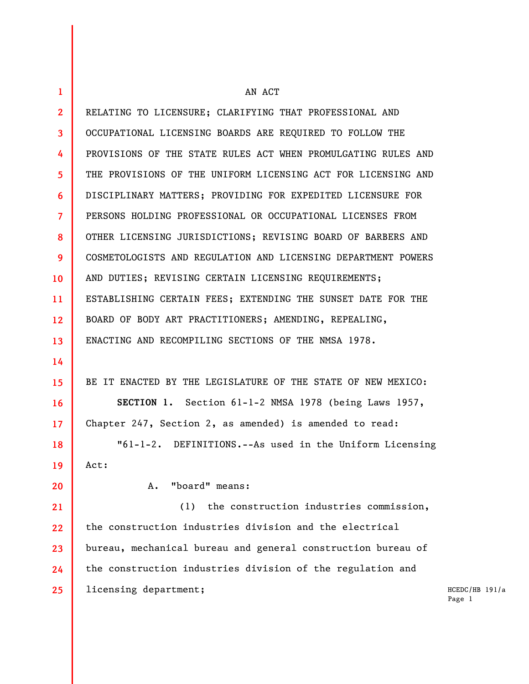| $\mathbf{1}$            | AN ACT                                                        |                            |
|-------------------------|---------------------------------------------------------------|----------------------------|
| $\mathbf{2}$            | RELATING TO LICENSURE; CLARIFYING THAT PROFESSIONAL AND       |                            |
| $\overline{\mathbf{3}}$ | OCCUPATIONAL LICENSING BOARDS ARE REQUIRED TO FOLLOW THE      |                            |
| 4                       | PROVISIONS OF THE STATE RULES ACT WHEN PROMULGATING RULES AND |                            |
| 5                       | THE PROVISIONS OF THE UNIFORM LICENSING ACT FOR LICENSING AND |                            |
| 6                       | DISCIPLINARY MATTERS; PROVIDING FOR EXPEDITED LICENSURE FOR   |                            |
| $\overline{7}$          | PERSONS HOLDING PROFESSIONAL OR OCCUPATIONAL LICENSES FROM    |                            |
| 8                       | OTHER LICENSING JURISDICTIONS; REVISING BOARD OF BARBERS AND  |                            |
| 9                       | COSMETOLOGISTS AND REGULATION AND LICENSING DEPARTMENT POWERS |                            |
| 10 <sup>°</sup>         | AND DUTIES; REVISING CERTAIN LICENSING REQUIREMENTS;          |                            |
| 11                      | ESTABLISHING CERTAIN FEES; EXTENDING THE SUNSET DATE FOR THE  |                            |
| 12                      | BOARD OF BODY ART PRACTITIONERS; AMENDING, REPEALING,         |                            |
| 13                      | ENACTING AND RECOMPILING SECTIONS OF THE NMSA 1978.           |                            |
| 14                      |                                                               |                            |
| 15                      | BE IT ENACTED BY THE LEGISLATURE OF THE STATE OF NEW MEXICO:  |                            |
| 16                      | SECTION 1. Section 61-1-2 NMSA 1978 (being Laws 1957,         |                            |
| 17                      | Chapter 247, Section 2, as amended) is amended to read:       |                            |
| 18                      | "61-1-2. DEFINITIONS.--As used in the Uniform Licensing       |                            |
| 19                      | Act:                                                          |                            |
| 20                      | "board" means:<br>A.                                          |                            |
| 21                      | the construction industries commission,<br>(1)                |                            |
| 22                      | the construction industries division and the electrical       |                            |
| 23                      | bureau, mechanical bureau and general construction bureau of  |                            |
| 24                      | the construction industries division of the regulation and    |                            |
| 25                      | licensing department;                                         | $HCEDC/HB$ 191/a<br>Page 1 |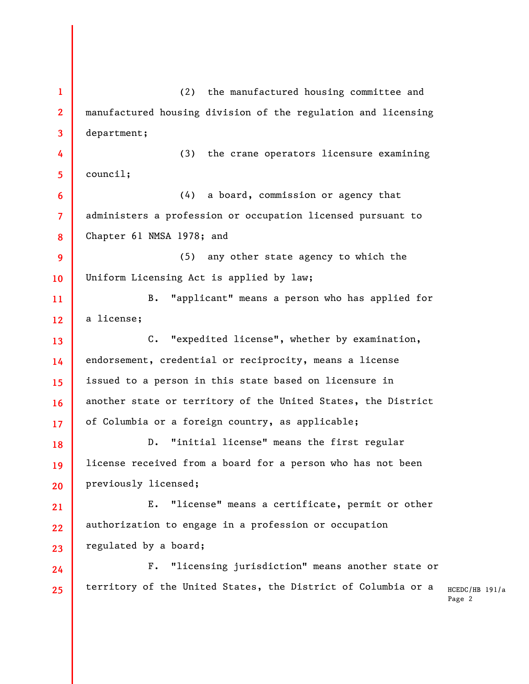| $\mathbf{1}$   | the manufactured housing committee and<br>(2)                 |                    |
|----------------|---------------------------------------------------------------|--------------------|
| $\mathbf{2}$   | manufactured housing division of the regulation and licensing |                    |
| $\mathbf{3}$   | department;                                                   |                    |
| 4              | (3) the crane operators licensure examining                   |                    |
| 5              | count1;                                                       |                    |
| 6              | a board, commission or agency that<br>(4)                     |                    |
| $\overline{7}$ | administers a profession or occupation licensed pursuant to   |                    |
| 8              | Chapter 61 NMSA 1978; and                                     |                    |
| 9              | any other state agency to which the<br>(5)                    |                    |
| 10             | Uniform Licensing Act is applied by law;                      |                    |
| 11             | "applicant" means a person who has applied for<br>$B$ .       |                    |
| 12             | a license;                                                    |                    |
| 13             | "expedited license", whether by examination,<br>$C$ .         |                    |
| 14             | endorsement, credential or reciprocity, means a license       |                    |
| 15             | issued to a person in this state based on licensure in        |                    |
| 16             | another state or territory of the United States, the District |                    |
| 17             | of Columbia or a foreign country, as applicable;              |                    |
| 18             | "initial license" means the first regular<br>$D$ .            |                    |
| 19             | license received from a board for a person who has not been   |                    |
| 20             | previously licensed;                                          |                    |
| 21             | "license" means a certificate, permit or other<br>Ε.          |                    |
| 22             | authorization to engage in a profession or occupation         |                    |
| 23             | regulated by a board;                                         |                    |
| 24             | "licensing jurisdiction" means another state or<br>$F$ .      |                    |
| 25             | territory of the United States, the District of Columbia or a | HCEDC/HB<br>Page 2 |
|                |                                                               |                    |
|                |                                                               |                    |
|                |                                                               |                    |
|                |                                                               |                    |
|                |                                                               |                    |

 $191/a$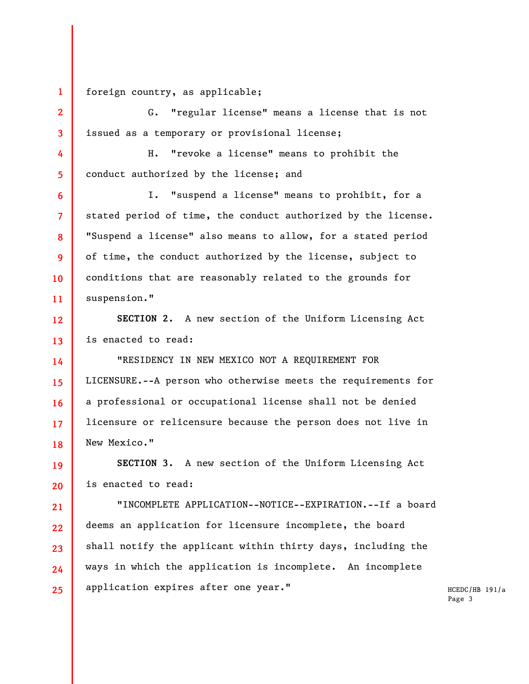**1 2** 

**3** 

**4** 

**5** 

**6** 

**7** 

**8** 

**9** 

**10** 

**11** 

**21** 

**23** 

**24** 

**25** 

foreign country, as applicable;

G. "regular license" means a license that is not issued as a temporary or provisional license;

H. "revoke a license" means to prohibit the conduct authorized by the license; and

I. "suspend a license" means to prohibit, for a stated period of time, the conduct authorized by the license. "Suspend a license" also means to allow, for a stated period of time, the conduct authorized by the license, subject to conditions that are reasonably related to the grounds for suspension."

**12 13 SECTION 2.** A new section of the Uniform Licensing Act is enacted to read:

**14 15 16 17 18**  "RESIDENCY IN NEW MEXICO NOT A REQUIREMENT FOR LICENSURE.--A person who otherwise meets the requirements for a professional or occupational license shall not be denied licensure or relicensure because the person does not live in New Mexico."

**19 20 SECTION 3.** A new section of the Uniform Licensing Act is enacted to read:

**22**  "INCOMPLETE APPLICATION--NOTICE--EXPIRATION.--If a board deems an application for licensure incomplete, the board shall notify the applicant within thirty days, including the ways in which the application is incomplete. An incomplete application expires after one year."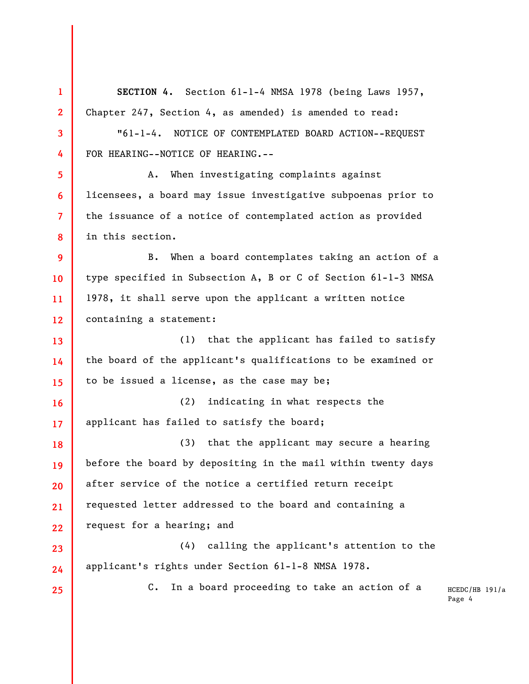| $\mathbf{1}$   | SECTION 4. Section 61-1-4 NMSA 1978 (being Laws 1957,         |                            |  |
|----------------|---------------------------------------------------------------|----------------------------|--|
| $\mathbf{2}$   | Chapter 247, Section 4, as amended) is amended to read:       |                            |  |
| 3              | "61-1-4. NOTICE OF CONTEMPLATED BOARD ACTION--REQUEST         |                            |  |
| 4              | FOR HEARING--NOTICE OF HEARING.--                             |                            |  |
| 5 <sub>5</sub> | A. When investigating complaints against                      |                            |  |
| 6              | licensees, a board may issue investigative subpoenas prior to |                            |  |
| $\overline{7}$ | the issuance of a notice of contemplated action as provided   |                            |  |
| 8              | in this section.                                              |                            |  |
| 9              | When a board contemplates taking an action of a<br>B.         |                            |  |
| 10             | type specified in Subsection A, B or C of Section 61-1-3 NMSA |                            |  |
| 11             | 1978, it shall serve upon the applicant a written notice      |                            |  |
| 12             | containing a statement:                                       |                            |  |
| 13             | that the applicant has failed to satisfy<br>(1)               |                            |  |
| 14             | the board of the applicant's qualifications to be examined or |                            |  |
| 15             | to be issued a license, as the case may be;                   |                            |  |
| 16             | indicating in what respects the<br>(2)                        |                            |  |
| 17             | applicant has failed to satisfy the board;                    |                            |  |
| 18             | (3) that the applicant may secure a hearing                   |                            |  |
| 19             | before the board by depositing in the mail within twenty days |                            |  |
| 20             | after service of the notice a certified return receipt        |                            |  |
| 21             | requested letter addressed to the board and containing a      |                            |  |
| 22             | request for a hearing; and                                    |                            |  |
| 23             | calling the applicant's attention to the<br>(4)               |                            |  |
| 24             | applicant's rights under Section 61-1-8 NMSA 1978.            |                            |  |
| 25             | In a board proceeding to take an action of a<br>$C_{\bullet}$ | $HCEDC/HB$ 191/a<br>Page 4 |  |
|                |                                                               |                            |  |

ı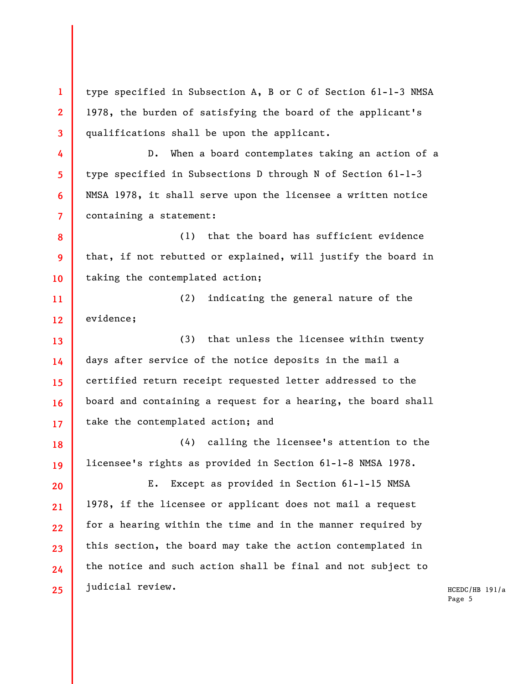type specified in Subsection A, B or C of Section 61-1-3 NMSA 1978, the burden of satisfying the board of the applicant's qualifications shall be upon the applicant.

**1** 

**2** 

**3** 

**4** 

**5** 

**6** 

**7** 

**8** 

**9** 

**10** 

**11** 

**12** 

**13** 

**14** 

**15** 

**16** 

**17** 

D. When a board contemplates taking an action of a type specified in Subsections D through N of Section 61-1-3 NMSA 1978, it shall serve upon the licensee a written notice containing a statement:

(1) that the board has sufficient evidence that, if not rebutted or explained, will justify the board in taking the contemplated action;

(2) indicating the general nature of the evidence;

(3) that unless the licensee within twenty days after service of the notice deposits in the mail a certified return receipt requested letter addressed to the board and containing a request for a hearing, the board shall take the contemplated action; and

**18 19**  (4) calling the licensee's attention to the licensee's rights as provided in Section 61-1-8 NMSA 1978.

**20 21 22 23 24 25**  E. Except as provided in Section 61-1-15 NMSA 1978, if the licensee or applicant does not mail a request for a hearing within the time and in the manner required by this section, the board may take the action contemplated in the notice and such action shall be final and not subject to judicial review.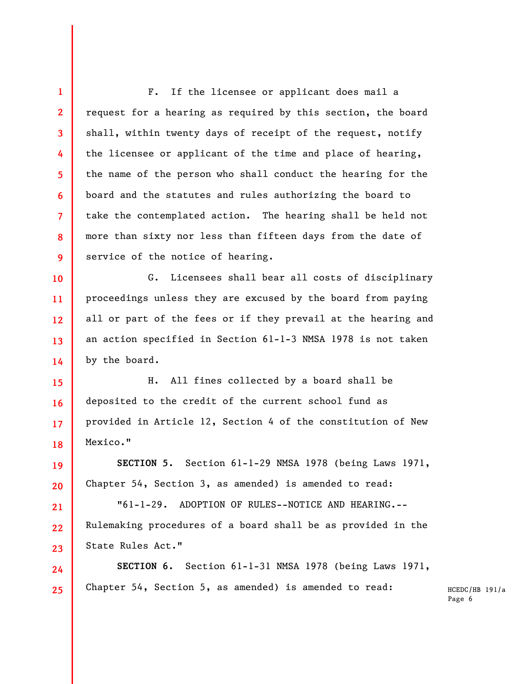**1 2 3 4 5 6 7 8 9**  F. If the licensee or applicant does mail a request for a hearing as required by this section, the board shall, within twenty days of receipt of the request, notify the licensee or applicant of the time and place of hearing, the name of the person who shall conduct the hearing for the board and the statutes and rules authorizing the board to take the contemplated action. The hearing shall be held not more than sixty nor less than fifteen days from the date of service of the notice of hearing.

**10 11 12 13 14**  G. Licensees shall bear all costs of disciplinary proceedings unless they are excused by the board from paying all or part of the fees or if they prevail at the hearing and an action specified in Section 61-1-3 NMSA 1978 is not taken by the board.

**15 16 17 18**  H. All fines collected by a board shall be deposited to the credit of the current school fund as provided in Article 12, Section 4 of the constitution of New Mexico."

**SECTION 5.** Section 61-1-29 NMSA 1978 (being Laws 1971, Chapter 54, Section 3, as amended) is amended to read:

**19** 

**20** 

**21** 

**22** 

**23** 

**24** 

"61-1-29. ADOPTION OF RULES--NOTICE AND HEARING.-- Rulemaking procedures of a board shall be as provided in the State Rules Act."

**25 SECTION 6.** Section 61-1-31 NMSA 1978 (being Laws 1971, Chapter 54, Section 5, as amended) is amended to read: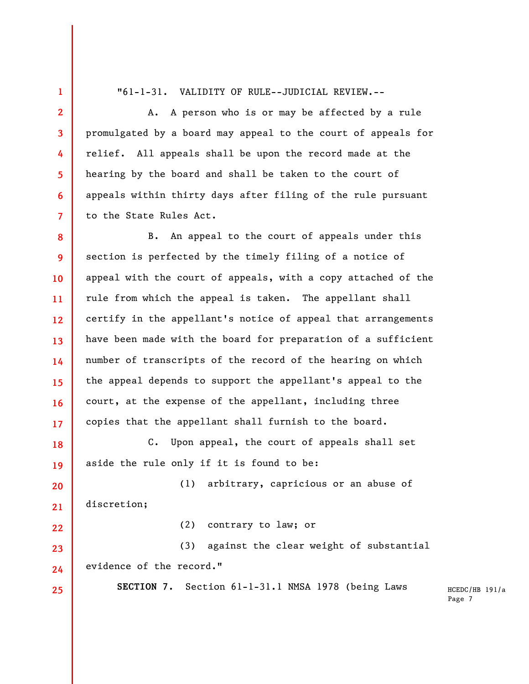"61-1-31. VALIDITY OF RULE--JUDICIAL REVIEW.--

**1** 

**2** 

**3** 

**4** 

**5** 

**6** 

**7** 

**22** 

**23** 

**24** 

**25** 

A. A person who is or may be affected by a rule promulgated by a board may appeal to the court of appeals for relief. All appeals shall be upon the record made at the hearing by the board and shall be taken to the court of appeals within thirty days after filing of the rule pursuant to the State Rules Act.

**8 9 10 11 12 13 14 15 16 17**  B. An appeal to the court of appeals under this section is perfected by the timely filing of a notice of appeal with the court of appeals, with a copy attached of the rule from which the appeal is taken. The appellant shall certify in the appellant's notice of appeal that arrangements have been made with the board for preparation of a sufficient number of transcripts of the record of the hearing on which the appeal depends to support the appellant's appeal to the court, at the expense of the appellant, including three copies that the appellant shall furnish to the board.

**18 19**  C. Upon appeal, the court of appeals shall set aside the rule only if it is found to be:

**20 21**  (1) arbitrary, capricious or an abuse of discretion;

(2) contrary to law; or

(3) against the clear weight of substantial evidence of the record."

**SECTION 7.** Section 61-1-31.1 NMSA 1978 (being Laws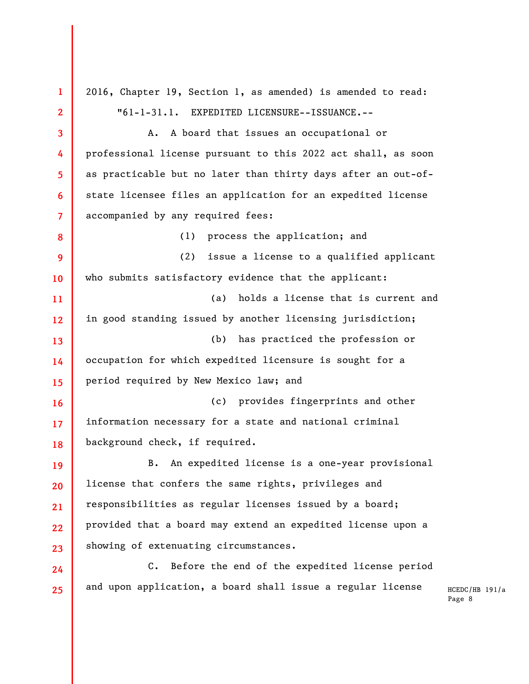**1 2 3 4 5 6 7 8 9 10 11 12 13 14 15 16 17 18 19 20 21 22 23 24 25**  2016, Chapter 19, Section 1, as amended) is amended to read: "61-1-31.1. EXPEDITED LICENSURE--ISSUANCE.-- A. A board that issues an occupational or professional license pursuant to this 2022 act shall, as soon as practicable but no later than thirty days after an out-ofstate licensee files an application for an expedited license accompanied by any required fees: (1) process the application; and (2) issue a license to a qualified applicant who submits satisfactory evidence that the applicant: (a) holds a license that is current and in good standing issued by another licensing jurisdiction; (b) has practiced the profession or occupation for which expedited licensure is sought for a period required by New Mexico law; and (c) provides fingerprints and other information necessary for a state and national criminal background check, if required. B. An expedited license is a one-year provisional license that confers the same rights, privileges and responsibilities as regular licenses issued by a board; provided that a board may extend an expedited license upon a showing of extenuating circumstances. C. Before the end of the expedited license period and upon application, a board shall issue a regular license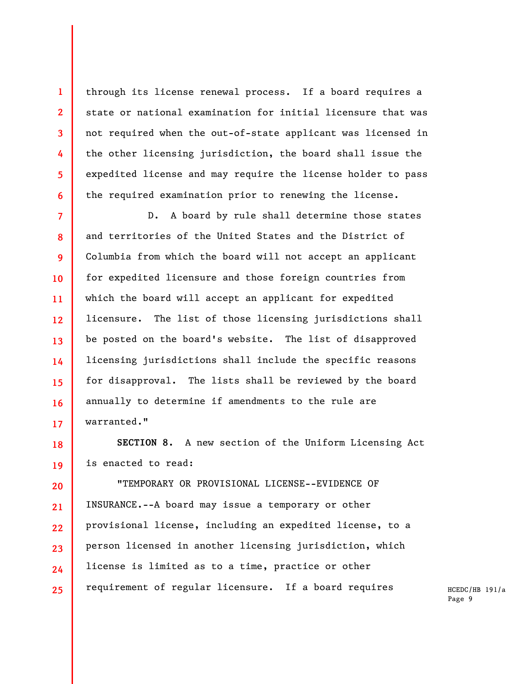through its license renewal process. If a board requires a state or national examination for initial licensure that was not required when the out-of-state applicant was licensed in the other licensing jurisdiction, the board shall issue the expedited license and may require the license holder to pass the required examination prior to renewing the license.

**1** 

**2** 

**3** 

**4** 

**5** 

**6** 

**7 8 9 10 11 12 13 14 15 16 17**  D. A board by rule shall determine those states and territories of the United States and the District of Columbia from which the board will not accept an applicant for expedited licensure and those foreign countries from which the board will accept an applicant for expedited licensure. The list of those licensing jurisdictions shall be posted on the board's website. The list of disapproved licensing jurisdictions shall include the specific reasons for disapproval. The lists shall be reviewed by the board annually to determine if amendments to the rule are warranted."

**18 19 SECTION 8.** A new section of the Uniform Licensing Act is enacted to read:

**20 21 22 23 24 25**  "TEMPORARY OR PROVISIONAL LICENSE--EVIDENCE OF INSURANCE.--A board may issue a temporary or other provisional license, including an expedited license, to a person licensed in another licensing jurisdiction, which license is limited as to a time, practice or other requirement of regular licensure. If a board requires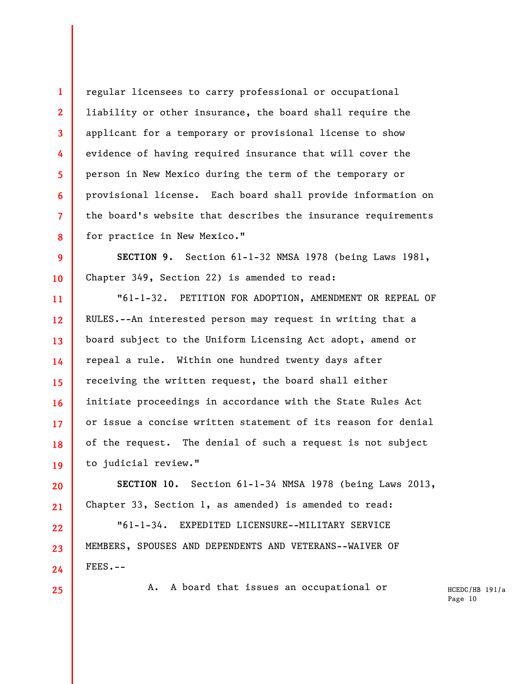**4 6 8**  regular licensees to carry professional or occupational liability or other insurance, the board shall require the applicant for a temporary or provisional license to show evidence of having required insurance that will cover the person in New Mexico during the term of the temporary or provisional license. Each board shall provide information on the board's website that describes the insurance requirements for practice in New Mexico."

**9 10 SECTION 9.** Section 61-1-32 NMSA 1978 (being Laws 1981, Chapter 349, Section 22) is amended to read:

**11 12 13 14 15 16 17 18 19**  "61-1-32. PETITION FOR ADOPTION, AMENDMENT OR REPEAL OF RULES.--An interested person may request in writing that a board subject to the Uniform Licensing Act adopt, amend or repeal a rule. Within one hundred twenty days after receiving the written request, the board shall either initiate proceedings in accordance with the State Rules Act or issue a concise written statement of its reason for denial of the request. The denial of such a request is not subject to judicial review."

**20 21 SECTION 10.** Section 61-1-34 NMSA 1978 (being Laws 2013, Chapter 33, Section 1, as amended) is amended to read:

"61-1-34. EXPEDITED LICENSURE--MILITARY SERVICE MEMBERS, SPOUSES AND DEPENDENTS AND VETERANS--WAIVER OF FEES.--

**25** 

**24** 

**22** 

**23** 

**1** 

**2** 

**3** 

**5** 

**7** 

A. A board that issues an occupational or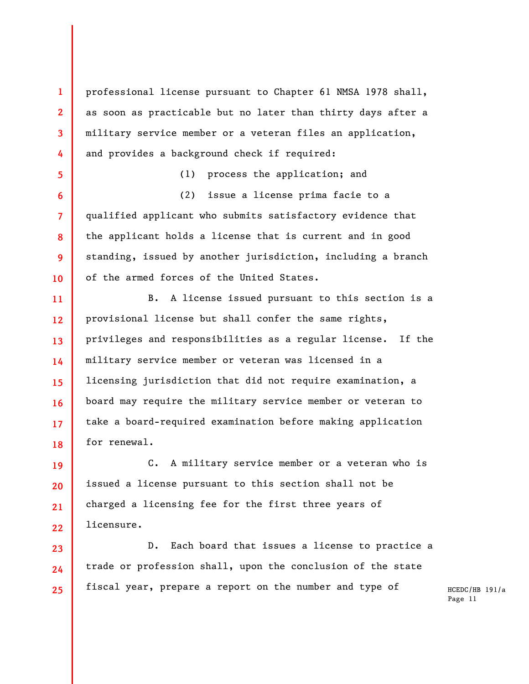professional license pursuant to Chapter 61 NMSA 1978 shall, as soon as practicable but no later than thirty days after a military service member or a veteran files an application, and provides a background check if required:

**1** 

**2** 

**3** 

**4** 

**5** 

**6** 

**7** 

**8** 

**9** 

**10** 

**23** 

**24** 

**25** 

(1) process the application; and (2) issue a license prima facie to a qualified applicant who submits satisfactory evidence that the applicant holds a license that is current and in good standing, issued by another jurisdiction, including a branch of the armed forces of the United States.

**11 12 13 14 15 16 17 18**  B. A license issued pursuant to this section is a provisional license but shall confer the same rights, privileges and responsibilities as a regular license. If the military service member or veteran was licensed in a licensing jurisdiction that did not require examination, a board may require the military service member or veteran to take a board-required examination before making application for renewal.

**19 20 21 22**  C. A military service member or a veteran who is issued a license pursuant to this section shall not be charged a licensing fee for the first three years of licensure.

D. Each board that issues a license to practice a trade or profession shall, upon the conclusion of the state fiscal year, prepare a report on the number and type of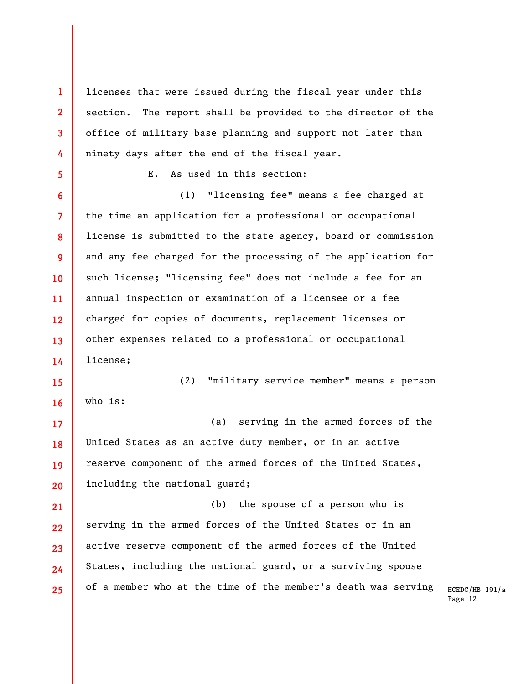licenses that were issued during the fiscal year under this section. The report shall be provided to the director of the office of military base planning and support not later than ninety days after the end of the fiscal year.

**1** 

**2** 

**3** 

**4** 

**5** 

E. As used in this section:

**6 7 8 9 10 11 12 13 14**  (1) "licensing fee" means a fee charged at the time an application for a professional or occupational license is submitted to the state agency, board or commission and any fee charged for the processing of the application for such license; "licensing fee" does not include a fee for an annual inspection or examination of a licensee or a fee charged for copies of documents, replacement licenses or other expenses related to a professional or occupational license;

**15 16**  (2) "military service member" means a person who is:

**17 18 19 20**  (a) serving in the armed forces of the United States as an active duty member, or in an active reserve component of the armed forces of the United States, including the national guard;

**21 22 23 24 25**  (b) the spouse of a person who is serving in the armed forces of the United States or in an active reserve component of the armed forces of the United States, including the national guard, or a surviving spouse of a member who at the time of the member's death was serving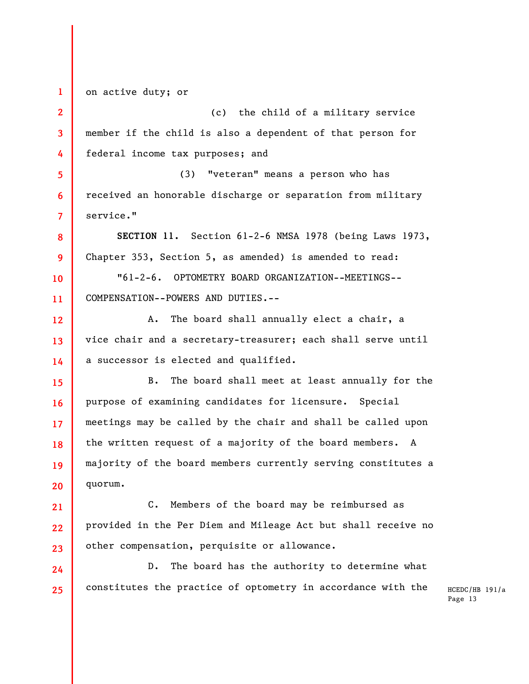**1 2 3 4 5 6 7 8 9 10 11 12 13 14 15 16 17 18 19 20 21 22 23 24 25**  on active duty; or (c) the child of a military service member if the child is also a dependent of that person for federal income tax purposes; and (3) "veteran" means a person who has received an honorable discharge or separation from military service." **SECTION 11.** Section 61-2-6 NMSA 1978 (being Laws 1973, Chapter 353, Section 5, as amended) is amended to read: "61-2-6. OPTOMETRY BOARD ORGANIZATION--MEETINGS-- COMPENSATION--POWERS AND DUTIES.-- A. The board shall annually elect a chair, a vice chair and a secretary-treasurer; each shall serve until a successor is elected and qualified. B. The board shall meet at least annually for the purpose of examining candidates for licensure. Special meetings may be called by the chair and shall be called upon the written request of a majority of the board members. A majority of the board members currently serving constitutes a quorum. C. Members of the board may be reimbursed as provided in the Per Diem and Mileage Act but shall receive no other compensation, perquisite or allowance. D. The board has the authority to determine what constitutes the practice of optometry in accordance with the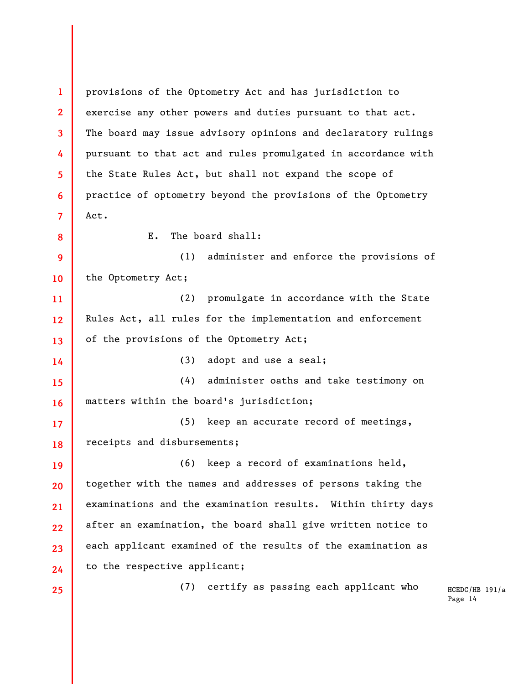**1 2 3 4 5 6 7 8 9 10 11 12 13 14 15 16 17 18 19 20 21 22 23 24 25**  provisions of the Optometry Act and has jurisdiction to exercise any other powers and duties pursuant to that act. The board may issue advisory opinions and declaratory rulings pursuant to that act and rules promulgated in accordance with the State Rules Act, but shall not expand the scope of practice of optometry beyond the provisions of the Optometry Act. E. The board shall: (1) administer and enforce the provisions of the Optometry Act; (2) promulgate in accordance with the State Rules Act, all rules for the implementation and enforcement of the provisions of the Optometry Act; (3) adopt and use a seal; (4) administer oaths and take testimony on matters within the board's jurisdiction; (5) keep an accurate record of meetings, receipts and disbursements; (6) keep a record of examinations held, together with the names and addresses of persons taking the examinations and the examination results. Within thirty days after an examination, the board shall give written notice to each applicant examined of the results of the examination as to the respective applicant; (7) certify as passing each applicant who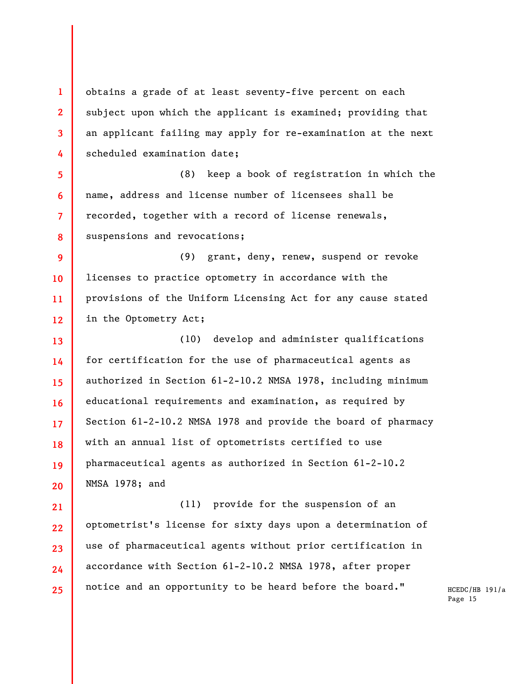**1 2 3 4**  obtains a grade of at least seventy-five percent on each subject upon which the applicant is examined; providing that an applicant failing may apply for re-examination at the next scheduled examination date;

**5 6 7 8**  (8) keep a book of registration in which the name, address and license number of licensees shall be recorded, together with a record of license renewals, suspensions and revocations;

**9 10 11 12**  (9) grant, deny, renew, suspend or revoke licenses to practice optometry in accordance with the provisions of the Uniform Licensing Act for any cause stated in the Optometry Act;

**13 14 15 16 17 18 19 20**  (10) develop and administer qualifications for certification for the use of pharmaceutical agents as authorized in Section 61-2-10.2 NMSA 1978, including minimum educational requirements and examination, as required by Section 61-2-10.2 NMSA 1978 and provide the board of pharmacy with an annual list of optometrists certified to use pharmaceutical agents as authorized in Section 61-2-10.2 NMSA 1978; and

**21 22 23 24 25**  (11) provide for the suspension of an optometrist's license for sixty days upon a determination of use of pharmaceutical agents without prior certification in accordance with Section 61-2-10.2 NMSA 1978, after proper notice and an opportunity to be heard before the board."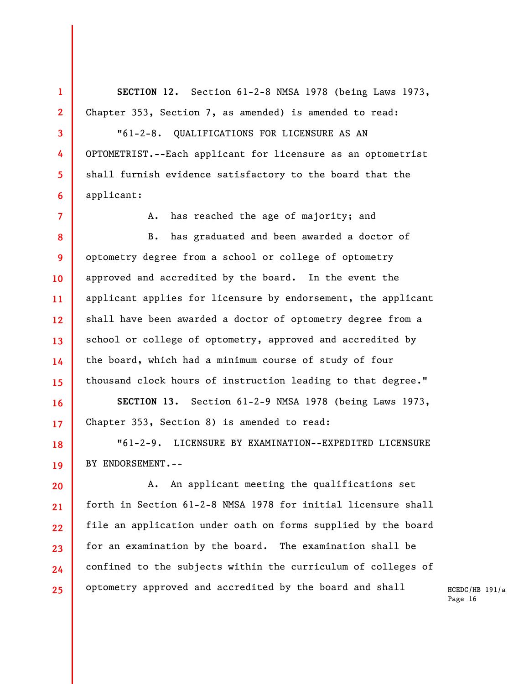**SECTION 12.** Section 61-2-8 NMSA 1978 (being Laws 1973, Chapter 353, Section 7, as amended) is amended to read:

**1** 

**2** 

**3** 

**4** 

**5** 

**6** 

**7** 

**16** 

**17** 

**18** 

**19** 

"61-2-8. QUALIFICATIONS FOR LICENSURE AS AN OPTOMETRIST.--Each applicant for licensure as an optometrist shall furnish evidence satisfactory to the board that the applicant:

A. has reached the age of majority; and

**8 9 10 11 12 13 14 15**  B. has graduated and been awarded a doctor of optometry degree from a school or college of optometry approved and accredited by the board. In the event the applicant applies for licensure by endorsement, the applicant shall have been awarded a doctor of optometry degree from a school or college of optometry, approved and accredited by the board, which had a minimum course of study of four thousand clock hours of instruction leading to that degree."

**SECTION 13.** Section 61-2-9 NMSA 1978 (being Laws 1973, Chapter 353, Section 8) is amended to read:

"61-2-9. LICENSURE BY EXAMINATION--EXPEDITED LICENSURE BY ENDORSEMENT.--

**20 21 22 23 24 25**  A. An applicant meeting the qualifications set forth in Section 61-2-8 NMSA 1978 for initial licensure shall file an application under oath on forms supplied by the board for an examination by the board. The examination shall be confined to the subjects within the curriculum of colleges of optometry approved and accredited by the board and shall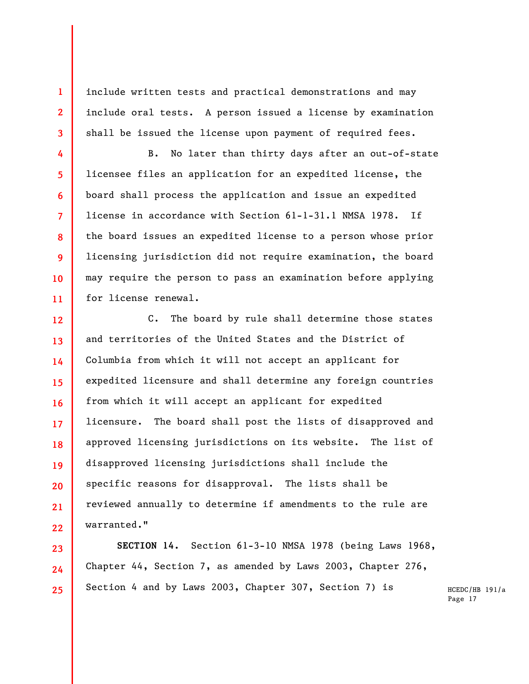include written tests and practical demonstrations and may include oral tests. A person issued a license by examination shall be issued the license upon payment of required fees.

**1** 

**2** 

**3** 

**4** 

**5** 

**6** 

**7** 

**8** 

**9** 

**10** 

**11** 

**23** 

**24** 

**25** 

B. No later than thirty days after an out-of-state licensee files an application for an expedited license, the board shall process the application and issue an expedited license in accordance with Section 61-1-31.1 NMSA 1978. If the board issues an expedited license to a person whose prior licensing jurisdiction did not require examination, the board may require the person to pass an examination before applying for license renewal.

**12 13 14 15 16 17 18 19 20 21 22**  C. The board by rule shall determine those states and territories of the United States and the District of Columbia from which it will not accept an applicant for expedited licensure and shall determine any foreign countries from which it will accept an applicant for expedited licensure. The board shall post the lists of disapproved and approved licensing jurisdictions on its website. The list of disapproved licensing jurisdictions shall include the specific reasons for disapproval. The lists shall be reviewed annually to determine if amendments to the rule are warranted."

**SECTION 14.** Section 61-3-10 NMSA 1978 (being Laws 1968, Chapter 44, Section 7, as amended by Laws 2003, Chapter 276, Section 4 and by Laws 2003, Chapter 307, Section 7) is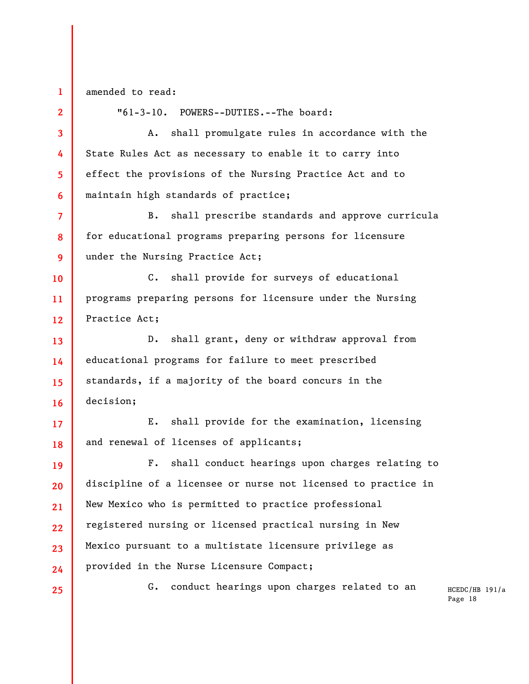**1**  amended to read:

**2** 

"61-3-10. POWERS--DUTIES.--The board:

A. shall promulgate rules in accordance with the State Rules Act as necessary to enable it to carry into effect the provisions of the Nursing Practice Act and to maintain high standards of practice;

B. shall prescribe standards and approve curricula for educational programs preparing persons for licensure under the Nursing Practice Act;

C. shall provide for surveys of educational programs preparing persons for licensure under the Nursing Practice Act;

D. shall grant, deny or withdraw approval from educational programs for failure to meet prescribed standards, if a majority of the board concurs in the decision;

E. shall provide for the examination, licensing and renewal of licenses of applicants;

F. shall conduct hearings upon charges relating to discipline of a licensee or nurse not licensed to practice in New Mexico who is permitted to practice professional registered nursing or licensed practical nursing in New Mexico pursuant to a multistate licensure privilege as provided in the Nurse Licensure Compact;

G. conduct hearings upon charges related to an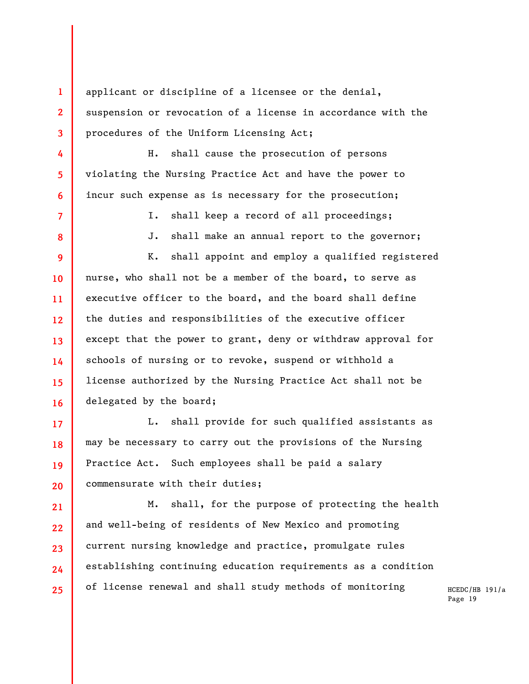applicant or discipline of a licensee or the denial, suspension or revocation of a license in accordance with the procedures of the Uniform Licensing Act;

**1** 

**2** 

**3** 

**4** 

**5** 

**6** 

**7** 

**8** 

**17** 

**18** 

**19** 

**20** 

**21** 

**22** 

**23** 

**24** 

**25** 

H. shall cause the prosecution of persons violating the Nursing Practice Act and have the power to incur such expense as is necessary for the prosecution;

I. shall keep a record of all proceedings;

J. shall make an annual report to the governor;

**9 10 11 12 13 14 15 16**  K. shall appoint and employ a qualified registered nurse, who shall not be a member of the board, to serve as executive officer to the board, and the board shall define the duties and responsibilities of the executive officer except that the power to grant, deny or withdraw approval for schools of nursing or to revoke, suspend or withhold a license authorized by the Nursing Practice Act shall not be delegated by the board;

L. shall provide for such qualified assistants as may be necessary to carry out the provisions of the Nursing Practice Act. Such employees shall be paid a salary commensurate with their duties;

M. shall, for the purpose of protecting the health and well-being of residents of New Mexico and promoting current nursing knowledge and practice, promulgate rules establishing continuing education requirements as a condition of license renewal and shall study methods of monitoring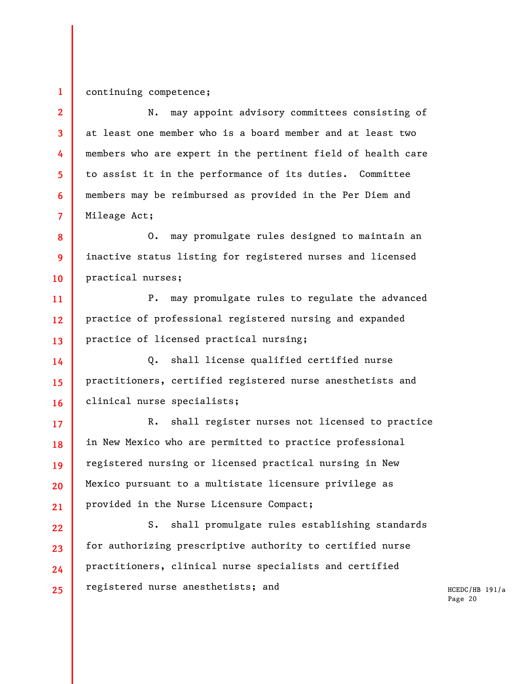## **1**  continuing competence;

**2 3 4 5 6 7**  N. may appoint advisory committees consisting of at least one member who is a board member and at least two members who are expert in the pertinent field of health care to assist it in the performance of its duties. Committee members may be reimbursed as provided in the Per Diem and Mileage Act;

**8 9 10**  O. may promulgate rules designed to maintain an inactive status listing for registered nurses and licensed practical nurses;

**11 12 13**  P. may promulgate rules to regulate the advanced practice of professional registered nursing and expanded practice of licensed practical nursing;

**14 15 16**  Q. shall license qualified certified nurse practitioners, certified registered nurse anesthetists and clinical nurse specialists;

**17 18 19 20 21**  R. shall register nurses not licensed to practice in New Mexico who are permitted to practice professional registered nursing or licensed practical nursing in New Mexico pursuant to a multistate licensure privilege as provided in the Nurse Licensure Compact;

**22 23 24 25**  S. shall promulgate rules establishing standards for authorizing prescriptive authority to certified nurse practitioners, clinical nurse specialists and certified registered nurse anesthetists; and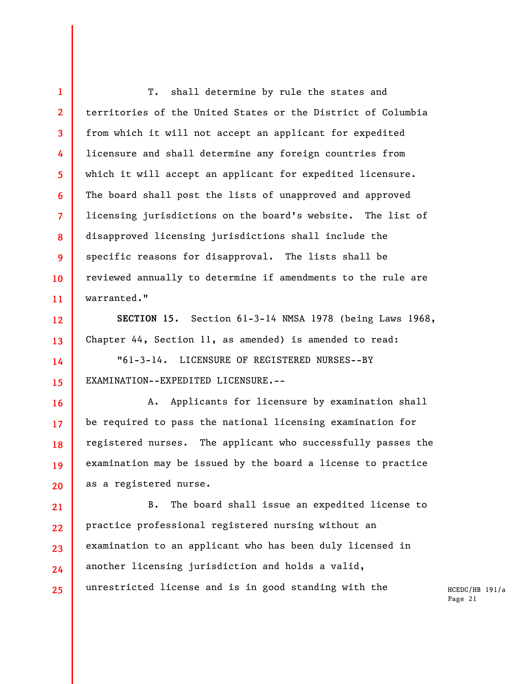**4 6**  T. shall determine by rule the states and territories of the United States or the District of Columbia from which it will not accept an applicant for expedited licensure and shall determine any foreign countries from which it will accept an applicant for expedited licensure. The board shall post the lists of unapproved and approved licensing jurisdictions on the board's website. The list of disapproved licensing jurisdictions shall include the specific reasons for disapproval. The lists shall be reviewed annually to determine if amendments to the rule are warranted."

**1** 

**2** 

**3** 

**5** 

**7** 

**8** 

**9** 

**10** 

**11** 

**12** 

**13** 

**14** 

**15** 

**16** 

**17** 

**18** 

**19** 

**20** 

**SECTION 15.** Section 61-3-14 NMSA 1978 (being Laws 1968, Chapter 44, Section 11, as amended) is amended to read:

"61-3-14. LICENSURE OF REGISTERED NURSES--BY EXAMINATION--EXPEDITED LICENSURE.--

A. Applicants for licensure by examination shall be required to pass the national licensing examination for registered nurses. The applicant who successfully passes the examination may be issued by the board a license to practice as a registered nurse.

**21 22 23 24 25**  B. The board shall issue an expedited license to practice professional registered nursing without an examination to an applicant who has been duly licensed in another licensing jurisdiction and holds a valid, unrestricted license and is in good standing with the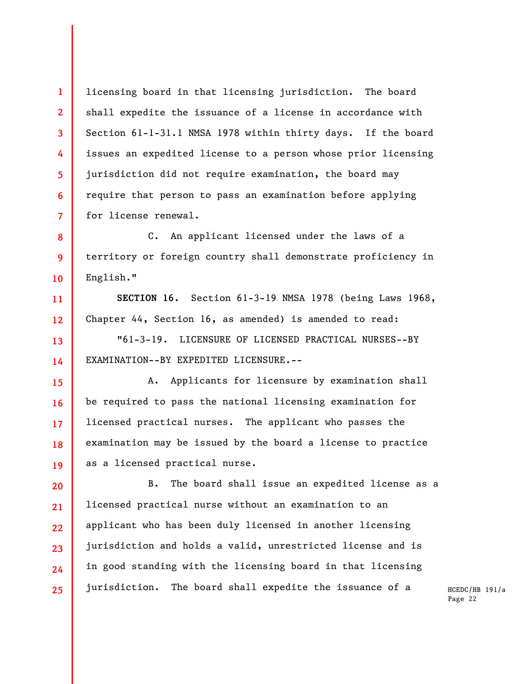licensing board in that licensing jurisdiction. The board shall expedite the issuance of a license in accordance with Section 61-1-31.1 NMSA 1978 within thirty days. If the board issues an expedited license to a person whose prior licensing jurisdiction did not require examination, the board may require that person to pass an examination before applying for license renewal.

**1** 

**2** 

**3** 

**4** 

**5** 

**6** 

**7** 

**8** 

**9** 

**10** 

**11** 

**12** 

**13** 

**14** 

**15** 

**16** 

**17** 

**18** 

**19** 

C. An applicant licensed under the laws of a territory or foreign country shall demonstrate proficiency in English."

**SECTION 16.** Section 61-3-19 NMSA 1978 (being Laws 1968, Chapter 44, Section 16, as amended) is amended to read:

"61-3-19. LICENSURE OF LICENSED PRACTICAL NURSES--BY EXAMINATION--BY EXPEDITED LICENSURE.--

A. Applicants for licensure by examination shall be required to pass the national licensing examination for licensed practical nurses. The applicant who passes the examination may be issued by the board a license to practice as a licensed practical nurse.

**20 21 22 23 24 25**  B. The board shall issue an expedited license as a licensed practical nurse without an examination to an applicant who has been duly licensed in another licensing jurisdiction and holds a valid, unrestricted license and is in good standing with the licensing board in that licensing jurisdiction. The board shall expedite the issuance of a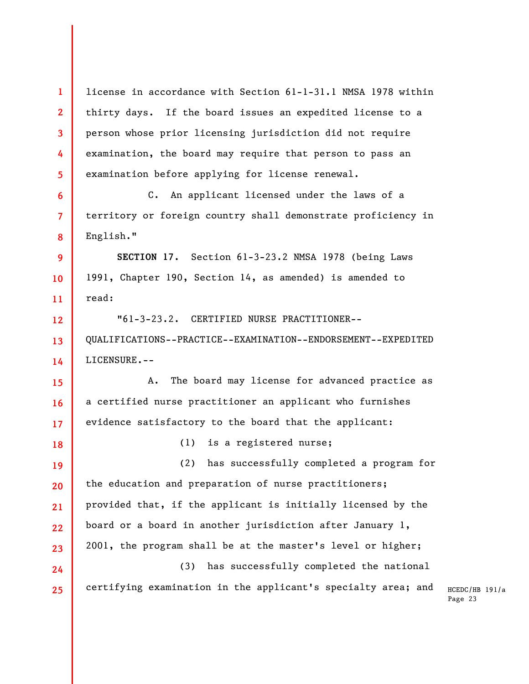HCEDC/HB 191/a Page 23 **1 2 3 4 5 6 7 8 9 10 11 12 13 14 15 16 17 18 19 20 21 22 23 24 25**  license in accordance with Section 61-1-31.1 NMSA 1978 within thirty days. If the board issues an expedited license to a person whose prior licensing jurisdiction did not require examination, the board may require that person to pass an examination before applying for license renewal. C. An applicant licensed under the laws of a territory or foreign country shall demonstrate proficiency in English." **SECTION 17.** Section 61-3-23.2 NMSA 1978 (being Laws 1991, Chapter 190, Section 14, as amended) is amended to read: "61-3-23.2. CERTIFIED NURSE PRACTITIONER-- QUALIFICATIONS--PRACTICE--EXAMINATION--ENDORSEMENT--EXPEDITED LICENSURE.-- A. The board may license for advanced practice as a certified nurse practitioner an applicant who furnishes evidence satisfactory to the board that the applicant: (1) is a registered nurse; (2) has successfully completed a program for the education and preparation of nurse practitioners; provided that, if the applicant is initially licensed by the board or a board in another jurisdiction after January 1, 2001, the program shall be at the master's level or higher; (3) has successfully completed the national certifying examination in the applicant's specialty area; and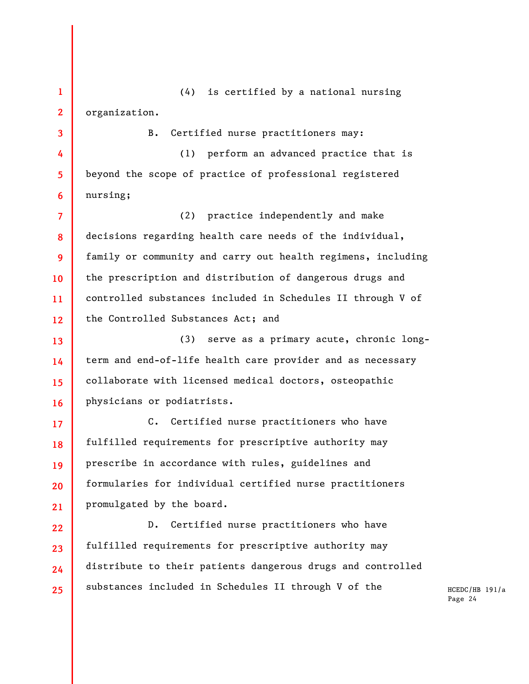**1 2**  (4) is certified by a national nursing organization.

**3** 

**4** 

**5** 

**6** 

**17** 

B. Certified nurse practitioners may:

(1) perform an advanced practice that is beyond the scope of practice of professional registered nursing;

**7 8 9 10 11 12**  (2) practice independently and make decisions regarding health care needs of the individual, family or community and carry out health regimens, including the prescription and distribution of dangerous drugs and controlled substances included in Schedules II through V of the Controlled Substances Act; and

**13 14 15 16**  (3) serve as a primary acute, chronic longterm and end-of-life health care provider and as necessary collaborate with licensed medical doctors, osteopathic physicians or podiatrists.

**18 19 20 21**  C. Certified nurse practitioners who have fulfilled requirements for prescriptive authority may prescribe in accordance with rules, guidelines and formularies for individual certified nurse practitioners promulgated by the board.

**22 23 24 25**  D. Certified nurse practitioners who have fulfilled requirements for prescriptive authority may distribute to their patients dangerous drugs and controlled substances included in Schedules II through V of the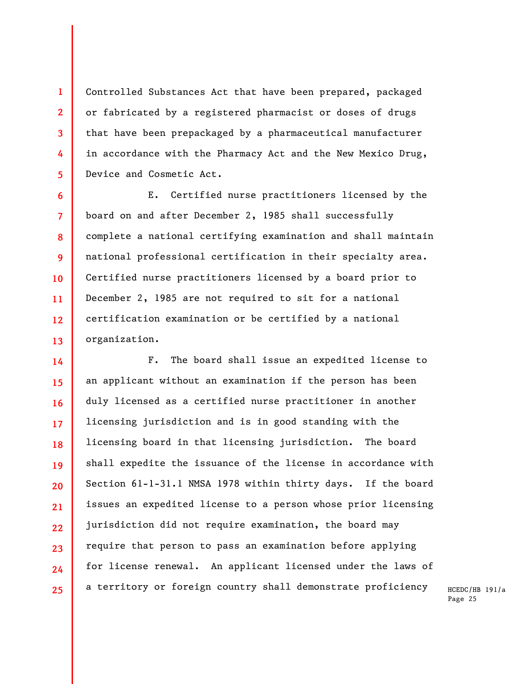Controlled Substances Act that have been prepared, packaged or fabricated by a registered pharmacist or doses of drugs that have been prepackaged by a pharmaceutical manufacturer in accordance with the Pharmacy Act and the New Mexico Drug, Device and Cosmetic Act.

**1** 

**2** 

**3** 

**4** 

**5** 

**6** 

**7** 

**8** 

**9** 

**10** 

**11** 

**12** 

**13** 

E. Certified nurse practitioners licensed by the board on and after December 2, 1985 shall successfully complete a national certifying examination and shall maintain national professional certification in their specialty area. Certified nurse practitioners licensed by a board prior to December 2, 1985 are not required to sit for a national certification examination or be certified by a national organization.

**14 15 16 17 18 19 20 21 22 23 24 25**  F. The board shall issue an expedited license to an applicant without an examination if the person has been duly licensed as a certified nurse practitioner in another licensing jurisdiction and is in good standing with the licensing board in that licensing jurisdiction. The board shall expedite the issuance of the license in accordance with Section 61-1-31.1 NMSA 1978 within thirty days. If the board issues an expedited license to a person whose prior licensing jurisdiction did not require examination, the board may require that person to pass an examination before applying for license renewal. An applicant licensed under the laws of a territory or foreign country shall demonstrate proficiency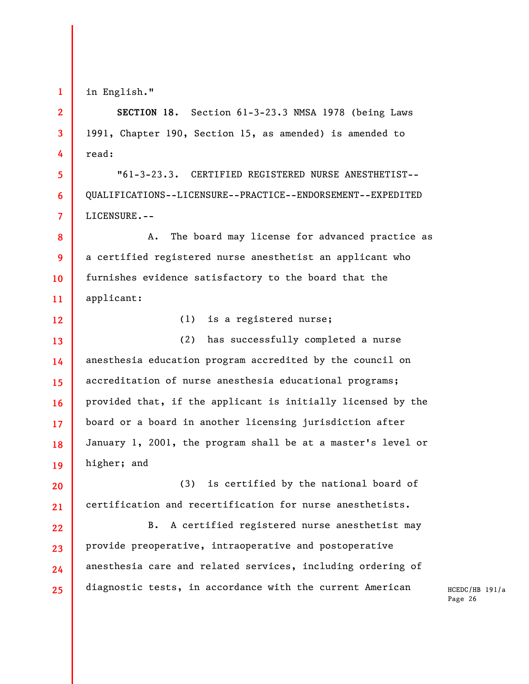in English."

**1** 

**2** 

**3** 

**4** 

**5** 

**6** 

**7** 

**12** 

**SECTION 18.** Section 61-3-23.3 NMSA 1978 (being Laws 1991, Chapter 190, Section 15, as amended) is amended to read:

"61-3-23.3. CERTIFIED REGISTERED NURSE ANESTHETIST-- QUALIFICATIONS--LICENSURE--PRACTICE--ENDORSEMENT--EXPEDITED LICENSURE.--

**8 9 10 11**  A. The board may license for advanced practice as a certified registered nurse anesthetist an applicant who furnishes evidence satisfactory to the board that the applicant:

(1) is a registered nurse;

**13 14 15 16 17 18 19**  (2) has successfully completed a nurse anesthesia education program accredited by the council on accreditation of nurse anesthesia educational programs; provided that, if the applicant is initially licensed by the board or a board in another licensing jurisdiction after January 1, 2001, the program shall be at a master's level or higher; and

**20 21**  (3) is certified by the national board of certification and recertification for nurse anesthetists.

**22 23 24 25**  B. A certified registered nurse anesthetist may provide preoperative, intraoperative and postoperative anesthesia care and related services, including ordering of diagnostic tests, in accordance with the current American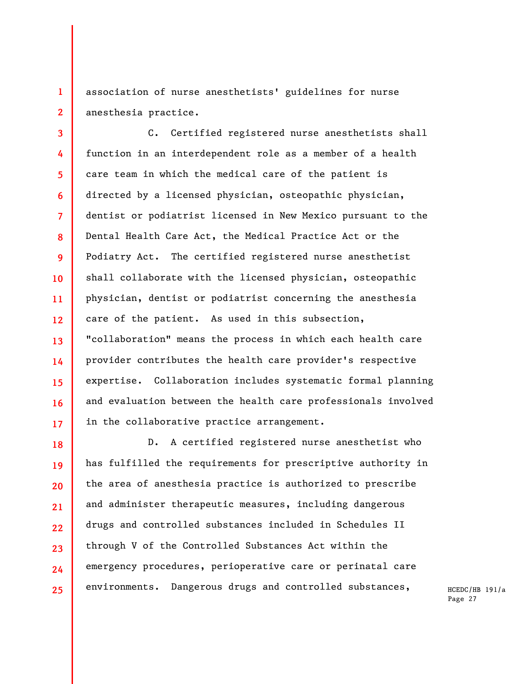association of nurse anesthetists' guidelines for nurse anesthesia practice.

**1** 

**2** 

**3 4 5 6 7 8 9 10 11 12 13 14 15 16 17**  C. Certified registered nurse anesthetists shall function in an interdependent role as a member of a health care team in which the medical care of the patient is directed by a licensed physician, osteopathic physician, dentist or podiatrist licensed in New Mexico pursuant to the Dental Health Care Act, the Medical Practice Act or the Podiatry Act. The certified registered nurse anesthetist shall collaborate with the licensed physician, osteopathic physician, dentist or podiatrist concerning the anesthesia care of the patient. As used in this subsection, "collaboration" means the process in which each health care provider contributes the health care provider's respective expertise. Collaboration includes systematic formal planning and evaluation between the health care professionals involved in the collaborative practice arrangement.

**18 19 20 21 22 23 24 25**  D. A certified registered nurse anesthetist who has fulfilled the requirements for prescriptive authority in the area of anesthesia practice is authorized to prescribe and administer therapeutic measures, including dangerous drugs and controlled substances included in Schedules II through V of the Controlled Substances Act within the emergency procedures, perioperative care or perinatal care environments. Dangerous drugs and controlled substances,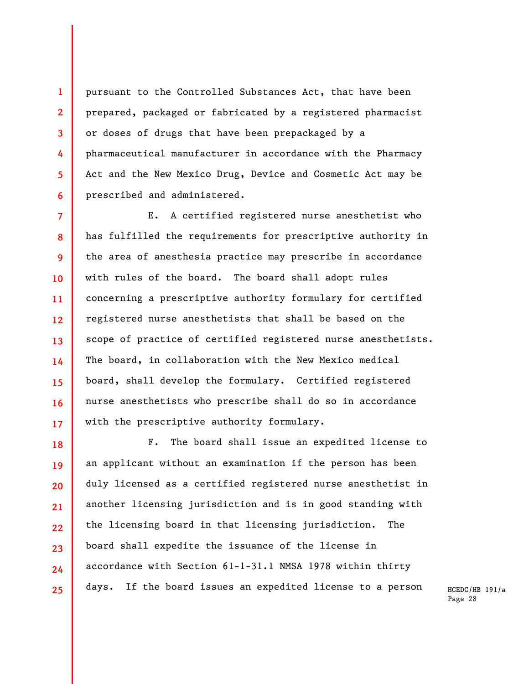pursuant to the Controlled Substances Act, that have been prepared, packaged or fabricated by a registered pharmacist or doses of drugs that have been prepackaged by a pharmaceutical manufacturer in accordance with the Pharmacy Act and the New Mexico Drug, Device and Cosmetic Act may be prescribed and administered.

**1** 

**2** 

**3** 

**4** 

**5** 

**6** 

**18** 

**19** 

**20** 

**21** 

**23** 

**24** 

**25** 

**7 8 9 10 11 12 13 14 15 16 17**  E. A certified registered nurse anesthetist who has fulfilled the requirements for prescriptive authority in the area of anesthesia practice may prescribe in accordance with rules of the board. The board shall adopt rules concerning a prescriptive authority formulary for certified registered nurse anesthetists that shall be based on the scope of practice of certified registered nurse anesthetists. The board, in collaboration with the New Mexico medical board, shall develop the formulary. Certified registered nurse anesthetists who prescribe shall do so in accordance with the prescriptive authority formulary.

**22**  F. The board shall issue an expedited license to an applicant without an examination if the person has been duly licensed as a certified registered nurse anesthetist in another licensing jurisdiction and is in good standing with the licensing board in that licensing jurisdiction. The board shall expedite the issuance of the license in accordance with Section 61-1-31.1 NMSA 1978 within thirty days. If the board issues an expedited license to a person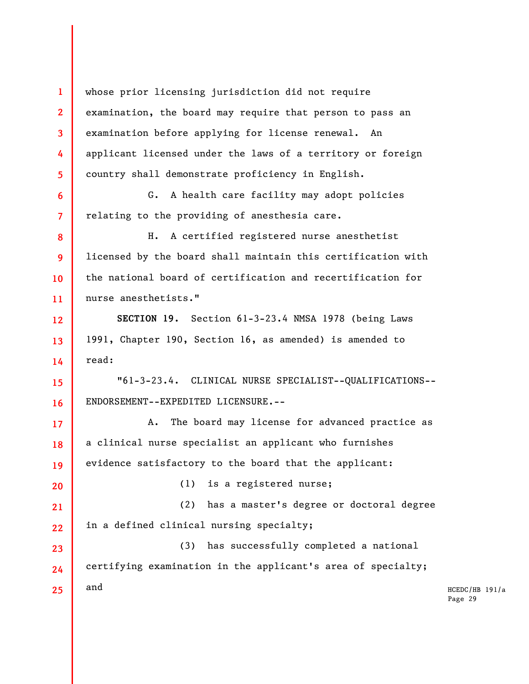**1 2 3 4 5 6**  whose prior licensing jurisdiction did not require examination, the board may require that person to pass an examination before applying for license renewal. An applicant licensed under the laws of a territory or foreign country shall demonstrate proficiency in English. G. A health care facility may adopt policies

relating to the providing of anesthesia care.

**7** 

**8** 

**9** 

**10** 

**11** 

**12** 

**13** 

**14** 

**15** 

**16** 

**17** 

**18** 

**19** 

**20** 

**23** 

**24** 

**25** 

H. A certified registered nurse anesthetist licensed by the board shall maintain this certification with the national board of certification and recertification for nurse anesthetists."

**SECTION 19.** Section 61-3-23.4 NMSA 1978 (being Laws 1991, Chapter 190, Section 16, as amended) is amended to read:

"61-3-23.4. CLINICAL NURSE SPECIALIST--QUALIFICATIONS-- ENDORSEMENT--EXPEDITED LICENSURE.--

A. The board may license for advanced practice as a clinical nurse specialist an applicant who furnishes evidence satisfactory to the board that the applicant:

(1) is a registered nurse;

**21 22**  (2) has a master's degree or doctoral degree in a defined clinical nursing specialty;

(3) has successfully completed a national certifying examination in the applicant's area of specialty; and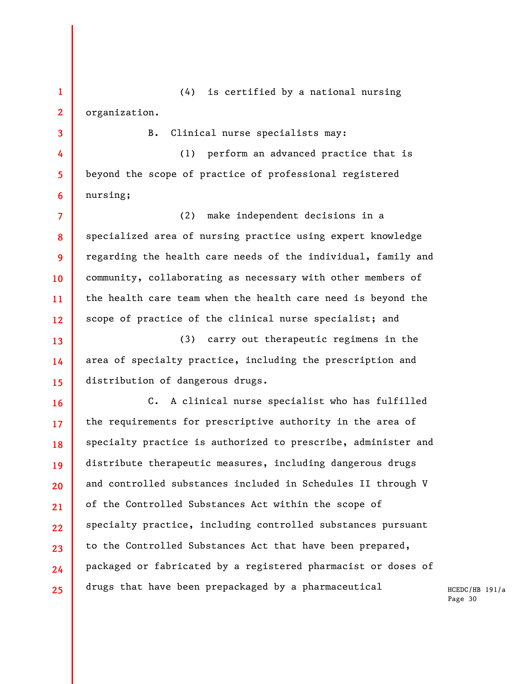**1 2**  (4) is certified by a national nursing organization.

**3** 

**4** 

**5** 

**6** 

**13** 

**14** 

**15** 

**16** 

**17** 

**18** 

**19** 

**20** 

**21** 

**22** 

**23** 

**24** 

**25** 

B. Clinical nurse specialists may:

(1) perform an advanced practice that is beyond the scope of practice of professional registered nursing;

**7 8 9 10 11 12**  (2) make independent decisions in a specialized area of nursing practice using expert knowledge regarding the health care needs of the individual, family and community, collaborating as necessary with other members of the health care team when the health care need is beyond the scope of practice of the clinical nurse specialist; and

(3) carry out therapeutic regimens in the area of specialty practice, including the prescription and distribution of dangerous drugs.

C. A clinical nurse specialist who has fulfilled the requirements for prescriptive authority in the area of specialty practice is authorized to prescribe, administer and distribute therapeutic measures, including dangerous drugs and controlled substances included in Schedules II through V of the Controlled Substances Act within the scope of specialty practice, including controlled substances pursuant to the Controlled Substances Act that have been prepared, packaged or fabricated by a registered pharmacist or doses of drugs that have been prepackaged by a pharmaceutical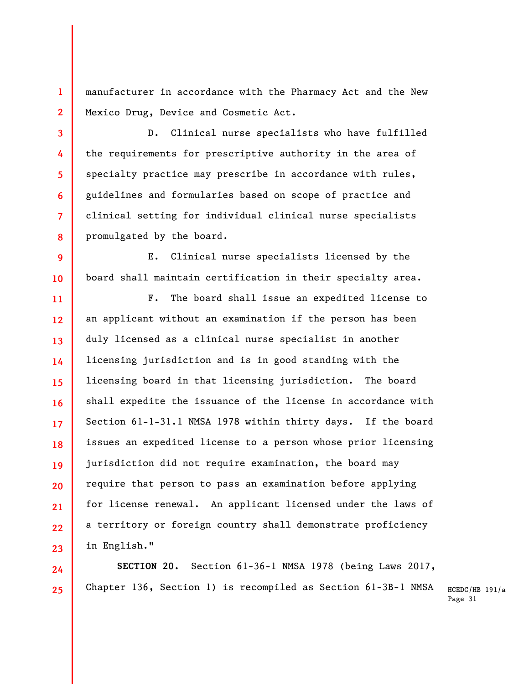manufacturer in accordance with the Pharmacy Act and the New Mexico Drug, Device and Cosmetic Act.

**1** 

**2** 

**3** 

**4** 

**5** 

**6** 

**7** 

**8** 

**24** 

**25** 

D. Clinical nurse specialists who have fulfilled the requirements for prescriptive authority in the area of specialty practice may prescribe in accordance with rules, guidelines and formularies based on scope of practice and clinical setting for individual clinical nurse specialists promulgated by the board.

**9 10**  E. Clinical nurse specialists licensed by the board shall maintain certification in their specialty area.

**11 12 13 14 15 16 17 18 19 20 21 22 23**  F. The board shall issue an expedited license to an applicant without an examination if the person has been duly licensed as a clinical nurse specialist in another licensing jurisdiction and is in good standing with the licensing board in that licensing jurisdiction. The board shall expedite the issuance of the license in accordance with Section 61-1-31.1 NMSA 1978 within thirty days. If the board issues an expedited license to a person whose prior licensing jurisdiction did not require examination, the board may require that person to pass an examination before applying for license renewal. An applicant licensed under the laws of a territory or foreign country shall demonstrate proficiency in English."

**SECTION 20.** Section 61-36-1 NMSA 1978 (being Laws 2017, Chapter 136, Section 1) is recompiled as Section 61-3B-1 NMSA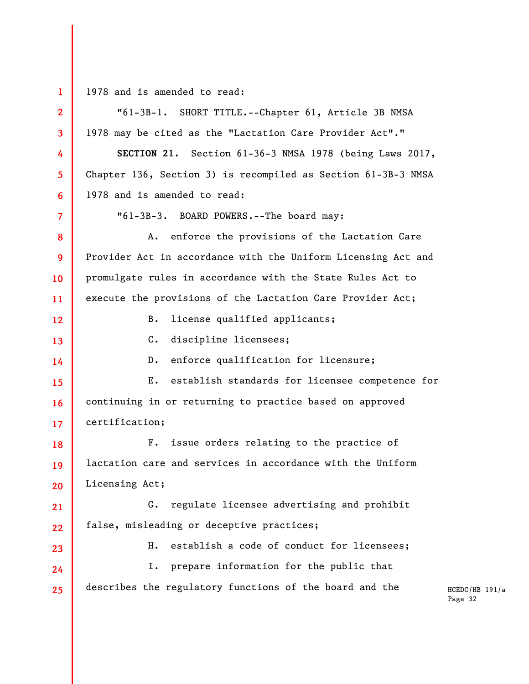**1** 

1978 and is amended to read:

HCEDC/HB 191/a Page 32 **2 3 4 5 6 7 8 9 10 11 12 13 14 15 16 17 18 19 20 21 22 23 24 25**  "61-3B-1. SHORT TITLE.--Chapter 61, Article 3B NMSA 1978 may be cited as the "Lactation Care Provider Act"." **SECTION 21.** Section 61-36-3 NMSA 1978 (being Laws 2017, Chapter 136, Section 3) is recompiled as Section 61-3B-3 NMSA 1978 and is amended to read: "61-3B-3. BOARD POWERS.--The board may: A. enforce the provisions of the Lactation Care Provider Act in accordance with the Uniform Licensing Act and promulgate rules in accordance with the State Rules Act to execute the provisions of the Lactation Care Provider Act; B. license qualified applicants; C. discipline licensees; D. enforce qualification for licensure; E. establish standards for licensee competence for continuing in or returning to practice based on approved certification; F. issue orders relating to the practice of lactation care and services in accordance with the Uniform Licensing Act; G. regulate licensee advertising and prohibit false, misleading or deceptive practices; H. establish a code of conduct for licensees; I. prepare information for the public that describes the regulatory functions of the board and the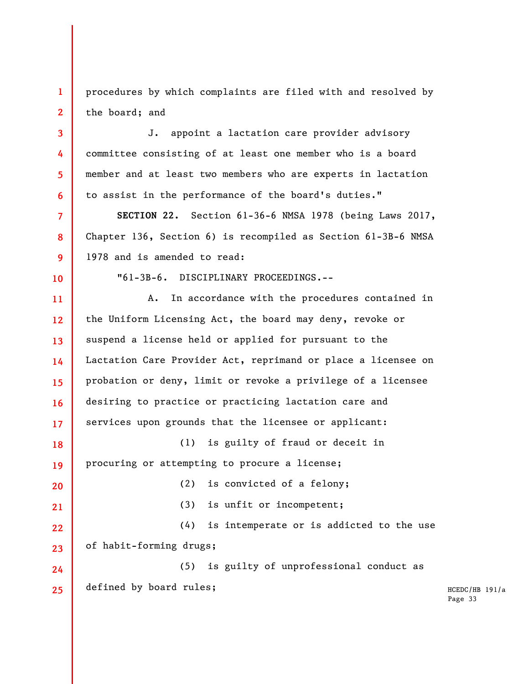**1 2**  procedures by which complaints are filed with and resolved by the board; and

J. appoint a lactation care provider advisory committee consisting of at least one member who is a board member and at least two members who are experts in lactation to assist in the performance of the board's duties."

**SECTION 22.** Section 61-36-6 NMSA 1978 (being Laws 2017, Chapter 136, Section 6) is recompiled as Section 61-3B-6 NMSA 1978 and is amended to read:

**10** 

**3** 

**4** 

**5** 

**6** 

**7** 

**8** 

**9** 

"61-3B-6. DISCIPLINARY PROCEEDINGS.--

**11 12 13 14 15 16 17 18 19 20 21 22 23 24 25**  A. In accordance with the procedures contained in the Uniform Licensing Act, the board may deny, revoke or suspend a license held or applied for pursuant to the Lactation Care Provider Act, reprimand or place a licensee on probation or deny, limit or revoke a privilege of a licensee desiring to practice or practicing lactation care and services upon grounds that the licensee or applicant: (1) is guilty of fraud or deceit in procuring or attempting to procure a license; (2) is convicted of a felony; (3) is unfit or incompetent; (4) is intemperate or is addicted to the use of habit-forming drugs; (5) is guilty of unprofessional conduct as defined by board rules;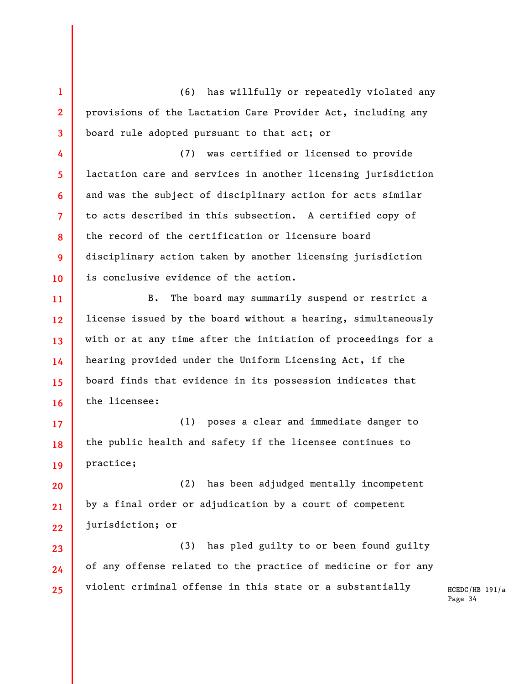**1 2 3**  (6) has willfully or repeatedly violated any provisions of the Lactation Care Provider Act, including any board rule adopted pursuant to that act; or

**4** 

**7** 

**8** 

**9** 

**10** 

**17** 

**18** 

**19** 

**20** 

**21** 

**23** 

**24** 

**25** 

**5 6**  (7) was certified or licensed to provide lactation care and services in another licensing jurisdiction and was the subject of disciplinary action for acts similar to acts described in this subsection. A certified copy of the record of the certification or licensure board disciplinary action taken by another licensing jurisdiction is conclusive evidence of the action.

**11 12 13 14 15 16**  B. The board may summarily suspend or restrict a license issued by the board without a hearing, simultaneously with or at any time after the initiation of proceedings for a hearing provided under the Uniform Licensing Act, if the board finds that evidence in its possession indicates that the licensee:

(1) poses a clear and immediate danger to the public health and safety if the licensee continues to practice;

**22**  (2) has been adjudged mentally incompetent by a final order or adjudication by a court of competent jurisdiction; or

(3) has pled guilty to or been found guilty of any offense related to the practice of medicine or for any violent criminal offense in this state or a substantially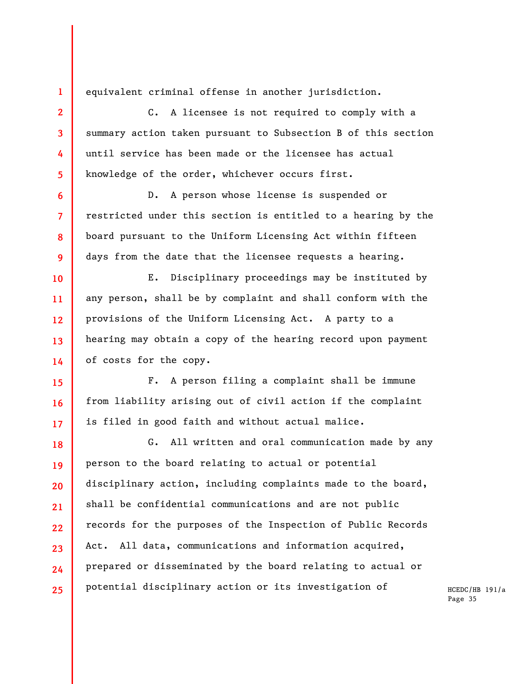equivalent criminal offense in another jurisdiction.

**1** 

**2** 

**3** 

**4** 

**5** 

**6** 

**7** 

**8** 

**9** 

**10** 

**11** 

**12** 

**13** 

**14** 

**15** 

**16** 

**17** 

C. A licensee is not required to comply with a summary action taken pursuant to Subsection B of this section until service has been made or the licensee has actual knowledge of the order, whichever occurs first.

D. A person whose license is suspended or restricted under this section is entitled to a hearing by the board pursuant to the Uniform Licensing Act within fifteen days from the date that the licensee requests a hearing.

E. Disciplinary proceedings may be instituted by any person, shall be by complaint and shall conform with the provisions of the Uniform Licensing Act. A party to a hearing may obtain a copy of the hearing record upon payment of costs for the copy.

F. A person filing a complaint shall be immune from liability arising out of civil action if the complaint is filed in good faith and without actual malice.

**18 19 20 21 22 23 24 25**  G. All written and oral communication made by any person to the board relating to actual or potential disciplinary action, including complaints made to the board, shall be confidential communications and are not public records for the purposes of the Inspection of Public Records Act. All data, communications and information acquired, prepared or disseminated by the board relating to actual or potential disciplinary action or its investigation of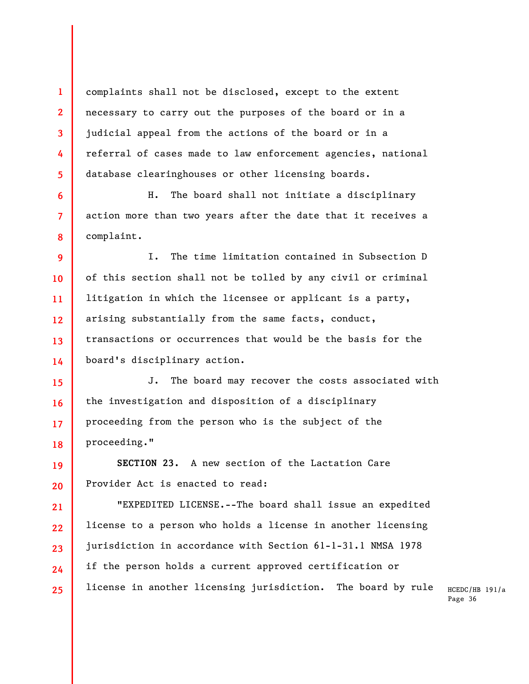complaints shall not be disclosed, except to the extent necessary to carry out the purposes of the board or in a judicial appeal from the actions of the board or in a referral of cases made to law enforcement agencies, national database clearinghouses or other licensing boards.

**1** 

**2** 

**3** 

**4** 

**5** 

**6** 

**7** 

**8** 

**19** 

**20** 

**21** 

**22** 

**23** 

**24** 

**25** 

H. The board shall not initiate a disciplinary action more than two years after the date that it receives a complaint.

**9 10 11 12 13 14**  I. The time limitation contained in Subsection D of this section shall not be tolled by any civil or criminal litigation in which the licensee or applicant is a party, arising substantially from the same facts, conduct, transactions or occurrences that would be the basis for the board's disciplinary action.

**15 16 17 18**  J. The board may recover the costs associated with the investigation and disposition of a disciplinary proceeding from the person who is the subject of the proceeding."

**SECTION 23.** A new section of the Lactation Care Provider Act is enacted to read:

"EXPEDITED LICENSE.--The board shall issue an expedited license to a person who holds a license in another licensing jurisdiction in accordance with Section 61-1-31.1 NMSA 1978 if the person holds a current approved certification or license in another licensing jurisdiction. The board by rule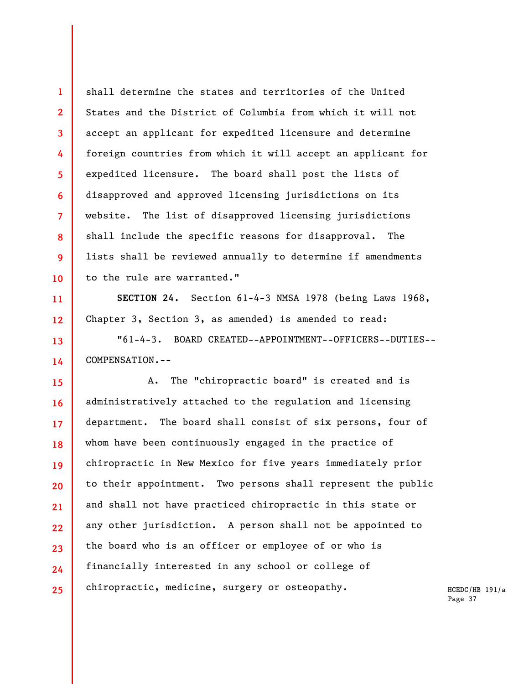shall determine the states and territories of the United States and the District of Columbia from which it will not accept an applicant for expedited licensure and determine foreign countries from which it will accept an applicant for expedited licensure. The board shall post the lists of disapproved and approved licensing jurisdictions on its website. The list of disapproved licensing jurisdictions shall include the specific reasons for disapproval. The lists shall be reviewed annually to determine if amendments to the rule are warranted."

**1** 

**2** 

**3** 

**4** 

**5** 

**6** 

**7** 

**8** 

**9** 

**10** 

**11** 

**12** 

**13** 

**14** 

**SECTION 24.** Section 61-4-3 NMSA 1978 (being Laws 1968, Chapter 3, Section 3, as amended) is amended to read:

"61-4-3. BOARD CREATED--APPOINTMENT--OFFICERS--DUTIES-- COMPENSATION.--

**15 16 17 18 19 20 21 22 23 24 25**  A. The "chiropractic board" is created and is administratively attached to the regulation and licensing department. The board shall consist of six persons, four of whom have been continuously engaged in the practice of chiropractic in New Mexico for five years immediately prior to their appointment. Two persons shall represent the public and shall not have practiced chiropractic in this state or any other jurisdiction. A person shall not be appointed to the board who is an officer or employee of or who is financially interested in any school or college of chiropractic, medicine, surgery or osteopathy.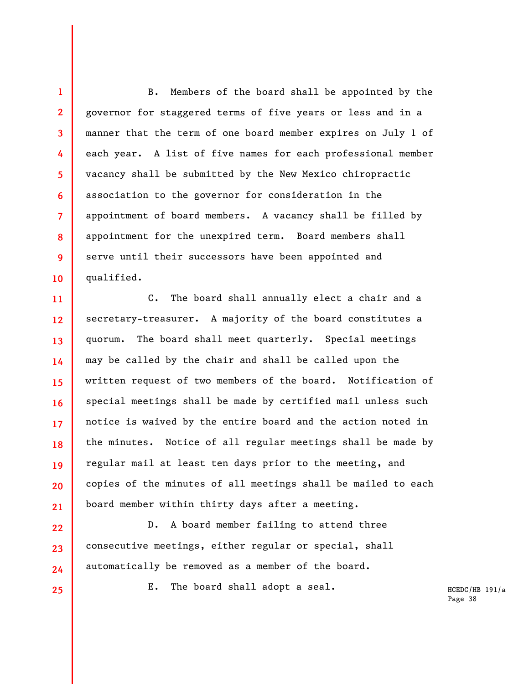**1 2 3 4 5 6 7 8 9 10**  B. Members of the board shall be appointed by the governor for staggered terms of five years or less and in a manner that the term of one board member expires on July 1 of each year. A list of five names for each professional member vacancy shall be submitted by the New Mexico chiropractic association to the governor for consideration in the appointment of board members. A vacancy shall be filled by appointment for the unexpired term. Board members shall serve until their successors have been appointed and qualified.

**11 12 13 14 15 16 17 18 19 20 21**  C. The board shall annually elect a chair and a secretary-treasurer. A majority of the board constitutes a quorum. The board shall meet quarterly. Special meetings may be called by the chair and shall be called upon the written request of two members of the board. Notification of special meetings shall be made by certified mail unless such notice is waived by the entire board and the action noted in the minutes. Notice of all regular meetings shall be made by regular mail at least ten days prior to the meeting, and copies of the minutes of all meetings shall be mailed to each board member within thirty days after a meeting.

D. A board member failing to attend three consecutive meetings, either regular or special, shall automatically be removed as a member of the board.

**22** 

**23** 

**24** 

**25** 

E. The board shall adopt a seal.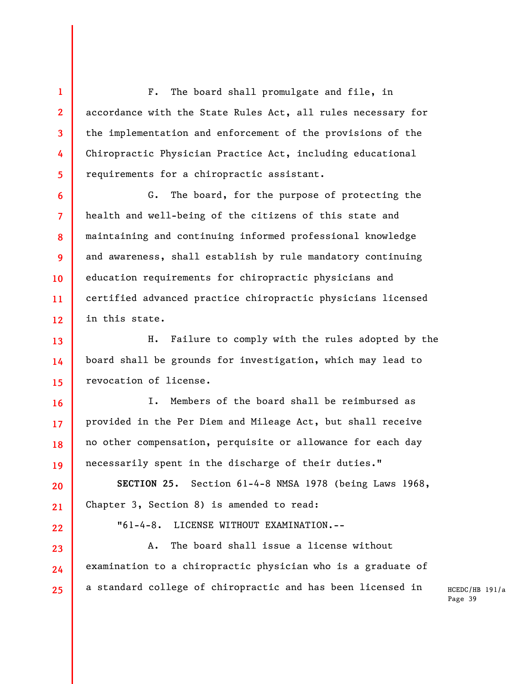F. The board shall promulgate and file, in accordance with the State Rules Act, all rules necessary for the implementation and enforcement of the provisions of the Chiropractic Physician Practice Act, including educational requirements for a chiropractic assistant.

**1** 

**2** 

**3** 

**4** 

**5** 

**6** 

**7** 

**8** 

**9** 

**10** 

**11** 

**12** 

**16** 

**17** 

**18** 

**19** 

**20** 

**21** 

**22** 

**23** 

**24** 

**25** 

G. The board, for the purpose of protecting the health and well-being of the citizens of this state and maintaining and continuing informed professional knowledge and awareness, shall establish by rule mandatory continuing education requirements for chiropractic physicians and certified advanced practice chiropractic physicians licensed in this state.

**13 14 15**  H. Failure to comply with the rules adopted by the board shall be grounds for investigation, which may lead to revocation of license.

I. Members of the board shall be reimbursed as provided in the Per Diem and Mileage Act, but shall receive no other compensation, perquisite or allowance for each day necessarily spent in the discharge of their duties."

**SECTION 25.** Section 61-4-8 NMSA 1978 (being Laws 1968, Chapter 3, Section 8) is amended to read:

"61-4-8. LICENSE WITHOUT EXAMINATION.--

A. The board shall issue a license without examination to a chiropractic physician who is a graduate of a standard college of chiropractic and has been licensed in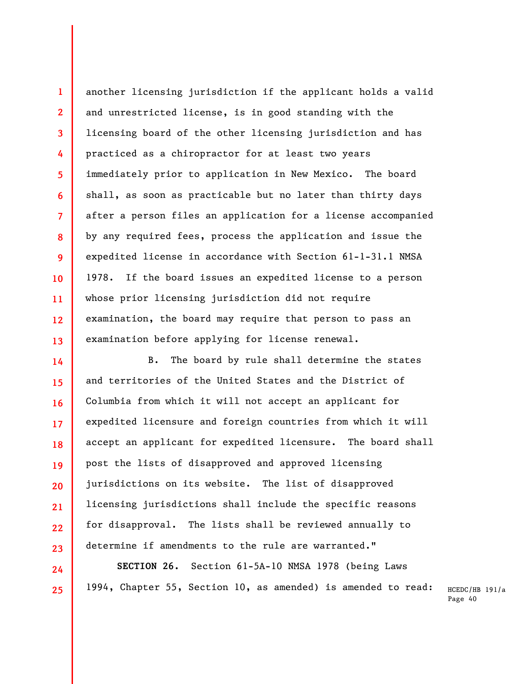**13**  another licensing jurisdiction if the applicant holds a valid and unrestricted license, is in good standing with the licensing board of the other licensing jurisdiction and has practiced as a chiropractor for at least two years immediately prior to application in New Mexico. The board shall, as soon as practicable but no later than thirty days after a person files an application for a license accompanied by any required fees, process the application and issue the expedited license in accordance with Section 61-1-31.1 NMSA 1978. If the board issues an expedited license to a person whose prior licensing jurisdiction did not require examination, the board may require that person to pass an examination before applying for license renewal.

**1** 

**2** 

**3** 

**4** 

**5** 

**6** 

**7** 

**8** 

**9** 

**10** 

**11** 

**12** 

**14** 

**15** 

**16** 

**17** 

**18** 

**19** 

**20** 

**21** 

**22** 

**23** 

**24** 

**25** 

B. The board by rule shall determine the states and territories of the United States and the District of Columbia from which it will not accept an applicant for expedited licensure and foreign countries from which it will accept an applicant for expedited licensure. The board shall post the lists of disapproved and approved licensing jurisdictions on its website. The list of disapproved licensing jurisdictions shall include the specific reasons for disapproval. The lists shall be reviewed annually to determine if amendments to the rule are warranted."

**SECTION 26.** Section 61-5A-10 NMSA 1978 (being Laws 1994, Chapter 55, Section 10, as amended) is amended to read: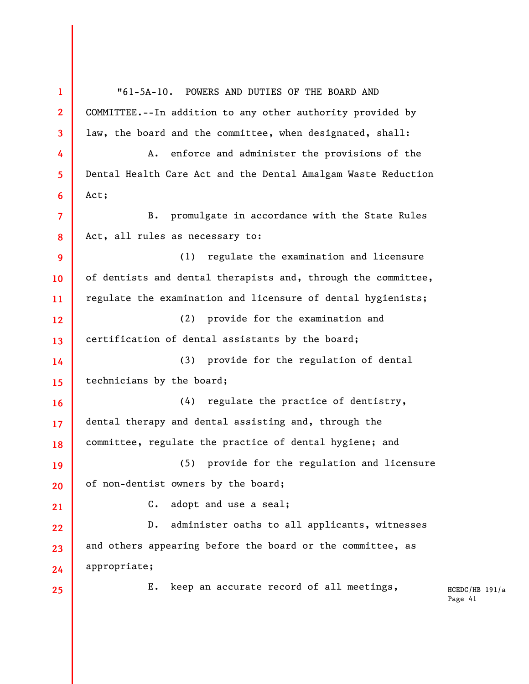| $\mathbf{1}$      | "61-5A-10. POWERS AND DUTIES OF THE BOARD AND                                 |
|-------------------|-------------------------------------------------------------------------------|
| $\mathbf{2}$      | COMMITTEE.--In addition to any other authority provided by                    |
| 3                 | law, the board and the committee, when designated, shall:                     |
| 4                 | enforce and administer the provisions of the<br>A.                            |
| 5                 | Dental Health Care Act and the Dental Amalgam Waste Reduction                 |
| 6                 | Act;                                                                          |
| $\overline{7}$    | promulgate in accordance with the State Rules<br><b>B.</b>                    |
| 8                 | Act, all rules as necessary to:                                               |
| 9                 | regulate the examination and licensure<br>(1)                                 |
| 10 <sup>°</sup>   | of dentists and dental therapists and, through the committee,                 |
| 11                | regulate the examination and licensure of dental hygienists;                  |
| $12 \overline{ }$ | (2) provide for the examination and                                           |
| 13                | certification of dental assistants by the board;                              |
| 14                | (3) provide for the regulation of dental                                      |
| 15                | technicians by the board;                                                     |
| <b>16</b>         | (4) regulate the practice of dentistry,                                       |
| 17 <sup>2</sup>   | dental therapy and dental assisting and, through the                          |
| 18                | committee, regulate the practice of dental hygiene; and                       |
| 19                | provide for the regulation and licensure<br>(5)                               |
| 20                | of non-dentist owners by the board;                                           |
| 21                | adopt and use a seal;<br>$\mathbf{C}$ .                                       |
| 22                | administer oaths to all applicants, witnesses<br>$D$ .                        |
| 23                | and others appearing before the board or the committee, as                    |
| 24                | appropriate;                                                                  |
| 25                | keep an accurate record of all meetings,<br>Ε.<br>$HCEDC/HB$ 191/a<br>Page 41 |
|                   |                                                                               |
|                   |                                                                               |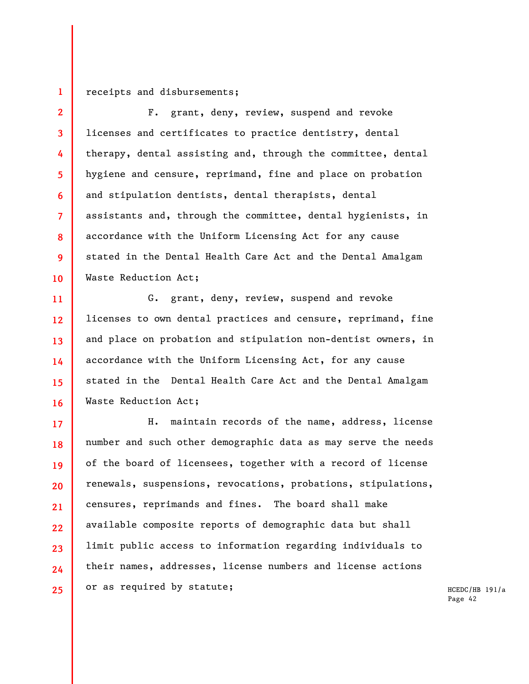## **1**  receipts and disbursements;

**2** 

**3** 

**5** 

**7** 

**9** 

**10** 

**4 6 8**  F. grant, deny, review, suspend and revoke licenses and certificates to practice dentistry, dental therapy, dental assisting and, through the committee, dental hygiene and censure, reprimand, fine and place on probation and stipulation dentists, dental therapists, dental assistants and, through the committee, dental hygienists, in accordance with the Uniform Licensing Act for any cause stated in the Dental Health Care Act and the Dental Amalgam Waste Reduction Act;

**11 12 13 14 15 16**  G. grant, deny, review, suspend and revoke licenses to own dental practices and censure, reprimand, fine and place on probation and stipulation non-dentist owners, in accordance with the Uniform Licensing Act, for any cause stated in the Dental Health Care Act and the Dental Amalgam Waste Reduction Act;

**17 18 19 20 21 22 23 24 25**  H. maintain records of the name, address, license number and such other demographic data as may serve the needs of the board of licensees, together with a record of license renewals, suspensions, revocations, probations, stipulations, censures, reprimands and fines. The board shall make available composite reports of demographic data but shall limit public access to information regarding individuals to their names, addresses, license numbers and license actions or as required by statute;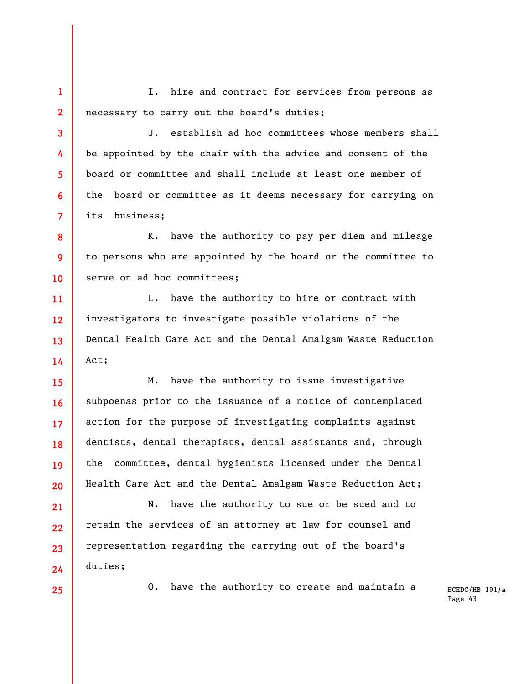**1 2**  I. hire and contract for services from persons as necessary to carry out the board's duties;

J. establish ad hoc committees whose members shall be appointed by the chair with the advice and consent of the board or committee and shall include at least one member of the board or committee as it deems necessary for carrying on its business;

K. have the authority to pay per diem and mileage to persons who are appointed by the board or the committee to serve on ad hoc committees;

**11 12 13 14**  L. have the authority to hire or contract with investigators to investigate possible violations of the Dental Health Care Act and the Dental Amalgam Waste Reduction Act;

**15 16 17 18 19 20**  M. have the authority to issue investigative subpoenas prior to the issuance of a notice of contemplated action for the purpose of investigating complaints against dentists, dental therapists, dental assistants and, through the committee, dental hygienists licensed under the Dental Health Care Act and the Dental Amalgam Waste Reduction Act;

N. have the authority to sue or be sued and to retain the services of an attorney at law for counsel and representation regarding the carrying out of the board's duties;

**25** 

**24** 

**21** 

**22** 

**23** 

**3** 

**4** 

**5** 

**6** 

**7** 

**8** 

**9** 

**10** 

O. have the authority to create and maintain a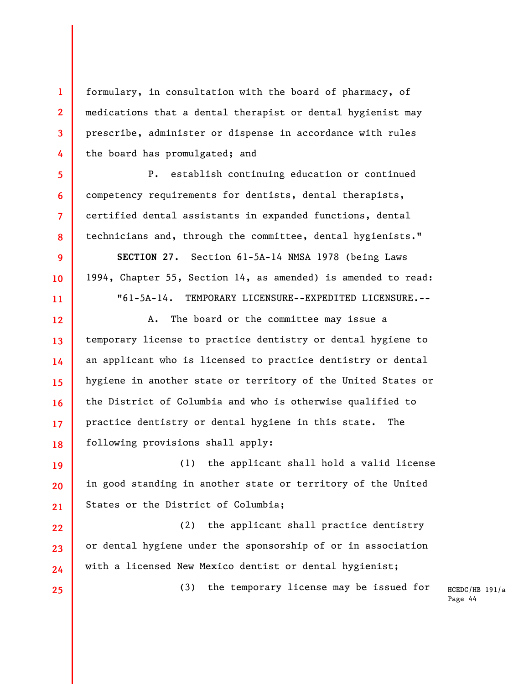formulary, in consultation with the board of pharmacy, of medications that a dental therapist or dental hygienist may prescribe, administer or dispense in accordance with rules the board has promulgated; and

**1** 

**2** 

**3** 

**4** 

**5** 

**6** 

**7** 

**8** 

**9** 

**10** 

**11** 

**22** 

**23** 

**24** 

**25** 

P. establish continuing education or continued competency requirements for dentists, dental therapists, certified dental assistants in expanded functions, dental technicians and, through the committee, dental hygienists."

**SECTION 27.** Section 61-5A-14 NMSA 1978 (being Laws 1994, Chapter 55, Section 14, as amended) is amended to read: "61-5A-14. TEMPORARY LICENSURE--EXPEDITED LICENSURE.--

**12 13 14 15 16 17 18**  A. The board or the committee may issue a temporary license to practice dentistry or dental hygiene to an applicant who is licensed to practice dentistry or dental hygiene in another state or territory of the United States or the District of Columbia and who is otherwise qualified to practice dentistry or dental hygiene in this state. The following provisions shall apply:

**19 20 21**  (1) the applicant shall hold a valid license in good standing in another state or territory of the United States or the District of Columbia;

(2) the applicant shall practice dentistry or dental hygiene under the sponsorship of or in association with a licensed New Mexico dentist or dental hygienist;

(3) the temporary license may be issued for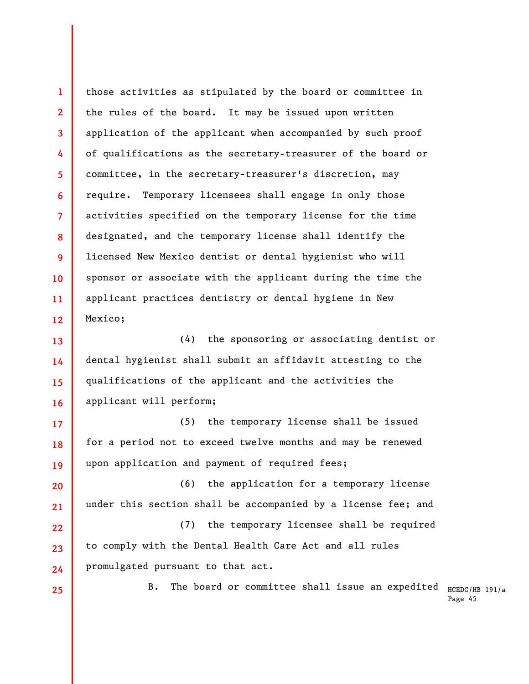**1 2 3 4 5 6 7 8 9 10 11 12**  those activities as stipulated by the board or committee in the rules of the board. It may be issued upon written application of the applicant when accompanied by such proof of qualifications as the secretary-treasurer of the board or committee, in the secretary-treasurer's discretion, may require. Temporary licensees shall engage in only those activities specified on the temporary license for the time designated, and the temporary license shall identify the licensed New Mexico dentist or dental hygienist who will sponsor or associate with the applicant during the time the applicant practices dentistry or dental hygiene in New Mexico;

**13 14 15 16**  (4) the sponsoring or associating dentist or dental hygienist shall submit an affidavit attesting to the qualifications of the applicant and the activities the applicant will perform;

**17 18 19**  (5) the temporary license shall be issued for a period not to exceed twelve months and may be renewed upon application and payment of required fees;

**20 21**  (6) the application for a temporary license under this section shall be accompanied by a license fee; and

**22 23 24**  (7) the temporary licensee shall be required to comply with the Dental Health Care Act and all rules promulgated pursuant to that act.

**25** 

B. The board or committee shall issue an expedited  $_{\rm HCEDC/HB}$   $_{\rm 191/a}$ 

Page 45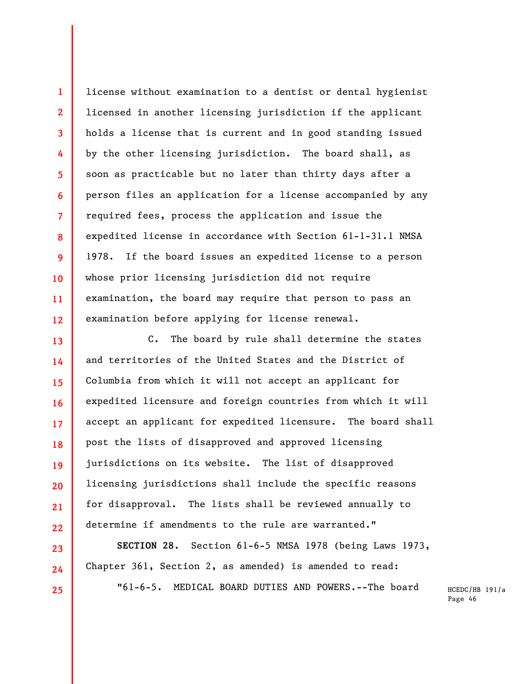license without examination to a dentist or dental hygienist licensed in another licensing jurisdiction if the applicant holds a license that is current and in good standing issued by the other licensing jurisdiction. The board shall, as soon as practicable but no later than thirty days after a person files an application for a license accompanied by any required fees, process the application and issue the expedited license in accordance with Section 61-1-31.1 NMSA 1978. If the board issues an expedited license to a person whose prior licensing jurisdiction did not require examination, the board may require that person to pass an examination before applying for license renewal.

**1** 

**2** 

**3** 

**4** 

**5** 

**6** 

**7** 

**8** 

**9** 

**10** 

**11** 

**12** 

**23** 

**24** 

**25** 

**13 14 15 16 17 18 19 20 21 22**  C. The board by rule shall determine the states and territories of the United States and the District of Columbia from which it will not accept an applicant for expedited licensure and foreign countries from which it will accept an applicant for expedited licensure. The board shall post the lists of disapproved and approved licensing jurisdictions on its website. The list of disapproved licensing jurisdictions shall include the specific reasons for disapproval. The lists shall be reviewed annually to determine if amendments to the rule are warranted."

**SECTION 28.** Section 61-6-5 NMSA 1978 (being Laws 1973, Chapter 361, Section 2, as amended) is amended to read:

"61-6-5. MEDICAL BOARD DUTIES AND POWERS.--The board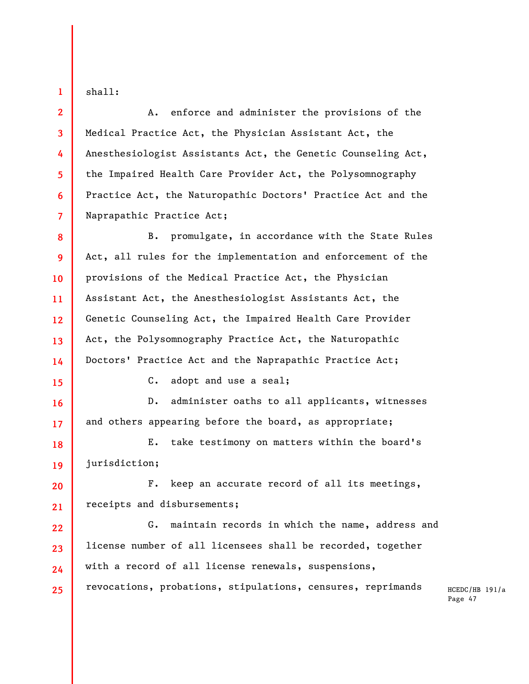shall:

**1** 

**2** 

**3** 

**4** 

**5** 

**6** 

**7** 

**15** 

**16** 

**17** 

A. enforce and administer the provisions of the Medical Practice Act, the Physician Assistant Act, the Anesthesiologist Assistants Act, the Genetic Counseling Act, the Impaired Health Care Provider Act, the Polysomnography Practice Act, the Naturopathic Doctors' Practice Act and the Naprapathic Practice Act;

**8 9 10 11 12 13 14**  B. promulgate, in accordance with the State Rules Act, all rules for the implementation and enforcement of the provisions of the Medical Practice Act, the Physician Assistant Act, the Anesthesiologist Assistants Act, the Genetic Counseling Act, the Impaired Health Care Provider Act, the Polysomnography Practice Act, the Naturopathic Doctors' Practice Act and the Naprapathic Practice Act;

C. adopt and use a seal;

D. administer oaths to all applicants, witnesses and others appearing before the board, as appropriate;

**18 19**  E. take testimony on matters within the board's jurisdiction;

**20 21**  F. keep an accurate record of all its meetings, receipts and disbursements;

**22 23 24 25**  G. maintain records in which the name, address and license number of all licensees shall be recorded, together with a record of all license renewals, suspensions, revocations, probations, stipulations, censures, reprimands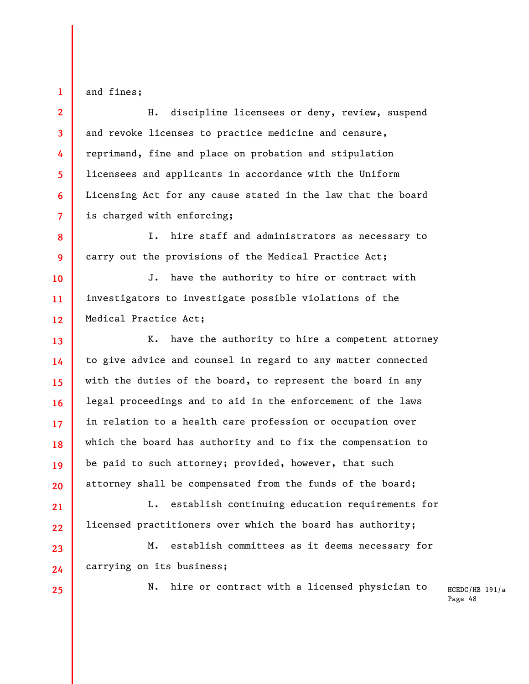and fines;

**1** 

**2** 

**3** 

**4** 

**5** 

**6** 

**7** 

**8** 

**9** 

**13** 

**14** 

**15** 

**16** 

**17** 

**18** 

**19** 

**20** 

**21** 

**22** 

**23** 

**24** 

H. discipline licensees or deny, review, suspend and revoke licenses to practice medicine and censure, reprimand, fine and place on probation and stipulation licensees and applicants in accordance with the Uniform Licensing Act for any cause stated in the law that the board is charged with enforcing;

I. hire staff and administrators as necessary to carry out the provisions of the Medical Practice Act;

**10 11 12**  J. have the authority to hire or contract with investigators to investigate possible violations of the Medical Practice Act;

K. have the authority to hire a competent attorney to give advice and counsel in regard to any matter connected with the duties of the board, to represent the board in any legal proceedings and to aid in the enforcement of the laws in relation to a health care profession or occupation over which the board has authority and to fix the compensation to be paid to such attorney; provided, however, that such attorney shall be compensated from the funds of the board;

L. establish continuing education requirements for licensed practitioners over which the board has authority;

M. establish committees as it deems necessary for carrying on its business;

**25** 

N. hire or contract with a licensed physician to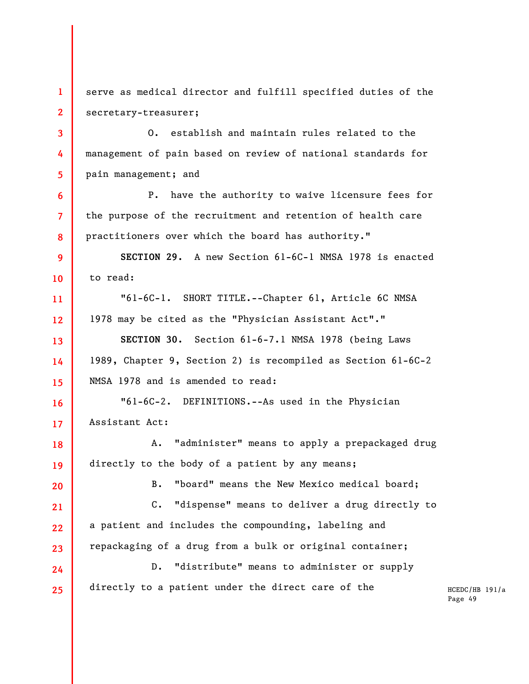**1 2**  serve as medical director and fulfill specified duties of the secretary-treasurer;

**3 4 5**  O. establish and maintain rules related to the management of pain based on review of national standards for pain management; and

**6 7 8**  P. have the authority to waive licensure fees for the purpose of the recruitment and retention of health care practitioners over which the board has authority."

**9 10 SECTION 29.** A new Section 61-6C-1 NMSA 1978 is enacted to read:

**11 12**  "61-6C-1. SHORT TITLE.--Chapter 61, Article 6C NMSA 1978 may be cited as the "Physician Assistant Act"."

**13 14 15 SECTION 30.** Section 61-6-7.1 NMSA 1978 (being Laws 1989, Chapter 9, Section 2) is recompiled as Section 61-6C-2 NMSA 1978 and is amended to read:

**16 17**  "61-6C-2. DEFINITIONS.--As used in the Physician Assistant Act:

**18 19**  A. "administer" means to apply a prepackaged drug directly to the body of a patient by any means;

**20** 

B. "board" means the New Mexico medical board;

**21 22 23**  C. "dispense" means to deliver a drug directly to a patient and includes the compounding, labeling and repackaging of a drug from a bulk or original container;

**24 25**  D. "distribute" means to administer or supply directly to a patient under the direct care of the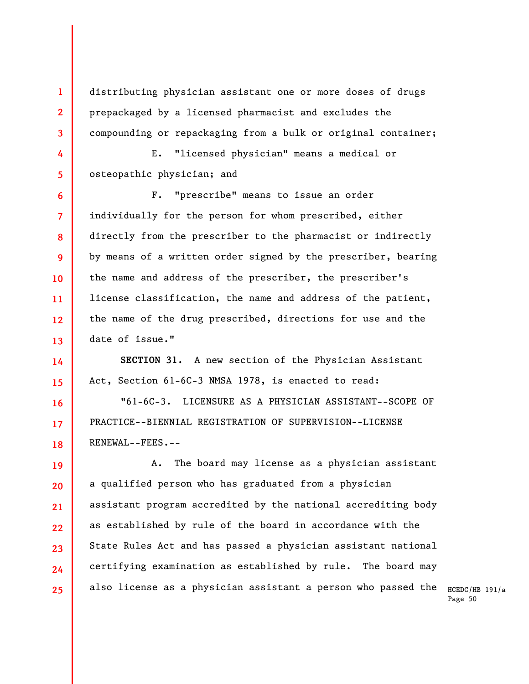distributing physician assistant one or more doses of drugs prepackaged by a licensed pharmacist and excludes the compounding or repackaging from a bulk or original container;

E. "licensed physician" means a medical or osteopathic physician; and

**1** 

**2** 

**3** 

**4** 

**5** 

**16** 

**17** 

**18** 

**6 7 8 9 10 11 12 13**  F. "prescribe" means to issue an order individually for the person for whom prescribed, either directly from the prescriber to the pharmacist or indirectly by means of a written order signed by the prescriber, bearing the name and address of the prescriber, the prescriber's license classification, the name and address of the patient, the name of the drug prescribed, directions for use and the date of issue."

**14 15 SECTION 31.** A new section of the Physician Assistant Act, Section 61-6C-3 NMSA 1978, is enacted to read:

"61-6C-3. LICENSURE AS A PHYSICIAN ASSISTANT--SCOPE OF PRACTICE--BIENNIAL REGISTRATION OF SUPERVISION--LICENSE RENEWAL--FEES.--

**19 20 21 22 23 24 25**  A. The board may license as a physician assistant a qualified person who has graduated from a physician assistant program accredited by the national accrediting body as established by rule of the board in accordance with the State Rules Act and has passed a physician assistant national certifying examination as established by rule. The board may also license as a physician assistant a person who passed the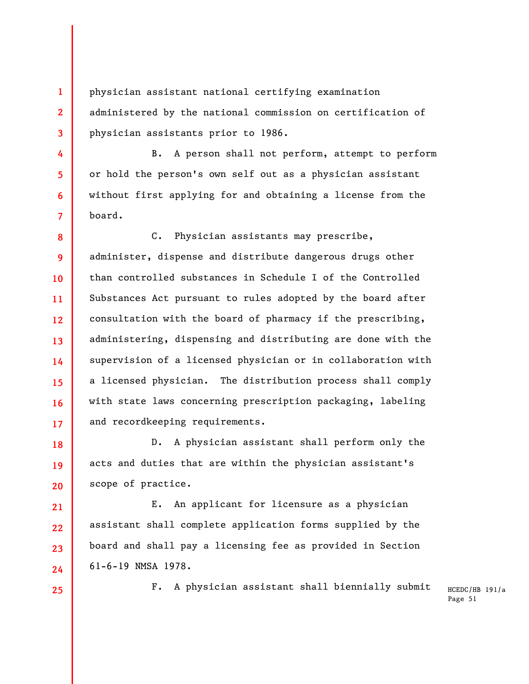physician assistant national certifying examination administered by the national commission on certification of physician assistants prior to 1986.

B. A person shall not perform, attempt to perform or hold the person's own self out as a physician assistant without first applying for and obtaining a license from the board.

**8 9 10 11 12 13 14 15 16 17**  C. Physician assistants may prescribe, administer, dispense and distribute dangerous drugs other than controlled substances in Schedule I of the Controlled Substances Act pursuant to rules adopted by the board after consultation with the board of pharmacy if the prescribing, administering, dispensing and distributing are done with the supervision of a licensed physician or in collaboration with a licensed physician. The distribution process shall comply with state laws concerning prescription packaging, labeling and recordkeeping requirements.

**18 19 20**  D. A physician assistant shall perform only the acts and duties that are within the physician assistant's scope of practice.

E. An applicant for licensure as a physician assistant shall complete application forms supplied by the board and shall pay a licensing fee as provided in Section 61-6-19 NMSA 1978.

**25** 

**21** 

**22** 

**23** 

**24** 

**1** 

**2** 

**3** 

**4** 

**5** 

**6** 

**7** 

F. A physician assistant shall biennially submit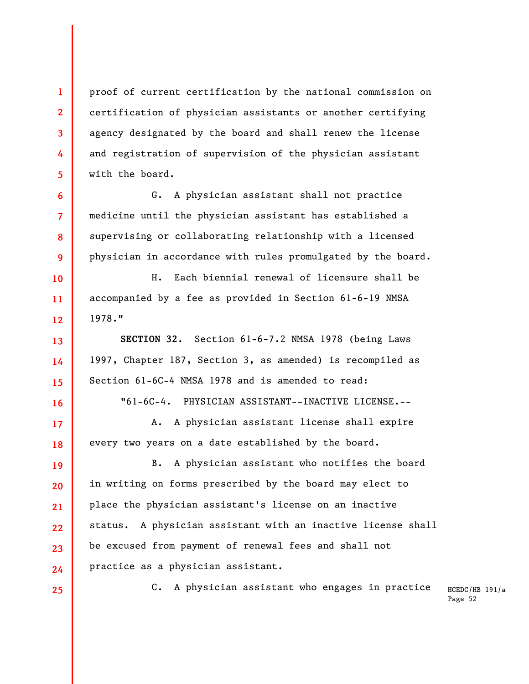proof of current certification by the national commission on certification of physician assistants or another certifying agency designated by the board and shall renew the license and registration of supervision of the physician assistant with the board.

G. A physician assistant shall not practice medicine until the physician assistant has established a supervising or collaborating relationship with a licensed physician in accordance with rules promulgated by the board.

H. Each biennial renewal of licensure shall be accompanied by a fee as provided in Section 61-6-19 NMSA 1978."

**SECTION 32.** Section 61-6-7.2 NMSA 1978 (being Laws 1997, Chapter 187, Section 3, as amended) is recompiled as Section 61-6C-4 NMSA 1978 and is amended to read:

"61-6C-4. PHYSICIAN ASSISTANT--INACTIVE LICENSE.--

A. A physician assistant license shall expire every two years on a date established by the board.

**19 20 21 22 23 24**  B. A physician assistant who notifies the board in writing on forms prescribed by the board may elect to place the physician assistant's license on an inactive status. A physician assistant with an inactive license shall be excused from payment of renewal fees and shall not practice as a physician assistant.

**25** 

**1** 

**2** 

**3** 

**4** 

**5** 

**6** 

**7** 

**8** 

**9** 

**10** 

**11** 

**12** 

**13** 

**14** 

**15** 

**16** 

**17** 

**18** 

C. A physician assistant who engages in practice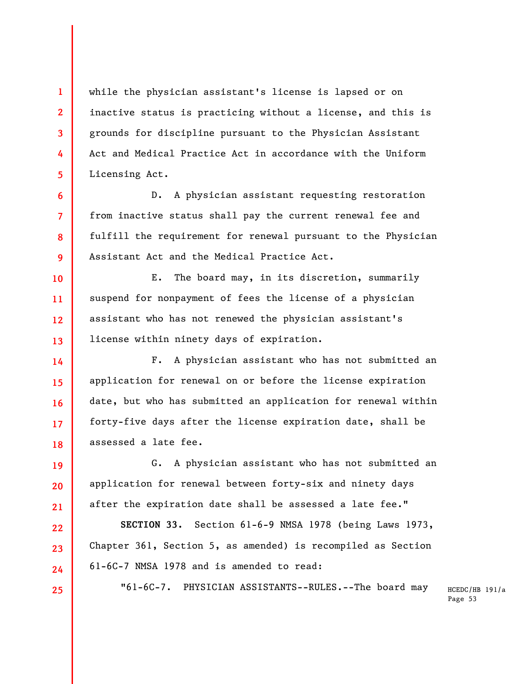while the physician assistant's license is lapsed or on inactive status is practicing without a license, and this is grounds for discipline pursuant to the Physician Assistant Act and Medical Practice Act in accordance with the Uniform Licensing Act.

**1** 

**2** 

**3** 

**4** 

**5** 

**6** 

**7** 

**8** 

**9** 

**10** 

**11** 

**12** 

**13** 

**19** 

**20** 

**21** 

**22** 

**23** 

**24** 

**25** 

D. A physician assistant requesting restoration from inactive status shall pay the current renewal fee and fulfill the requirement for renewal pursuant to the Physician Assistant Act and the Medical Practice Act.

E. The board may, in its discretion, summarily suspend for nonpayment of fees the license of a physician assistant who has not renewed the physician assistant's license within ninety days of expiration.

**14 15 16 17 18**  F. A physician assistant who has not submitted an application for renewal on or before the license expiration date, but who has submitted an application for renewal within forty-five days after the license expiration date, shall be assessed a late fee.

G. A physician assistant who has not submitted an application for renewal between forty-six and ninety days after the expiration date shall be assessed a late fee."

**SECTION 33.** Section 61-6-9 NMSA 1978 (being Laws 1973, Chapter 361, Section 5, as amended) is recompiled as Section 61-6C-7 NMSA 1978 and is amended to read:

"61-6C-7. PHYSICIAN ASSISTANTS--RULES.--The board may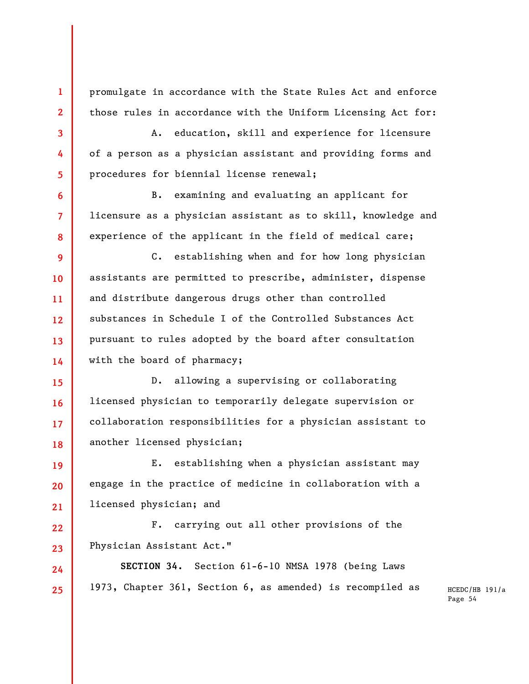promulgate in accordance with the State Rules Act and enforce those rules in accordance with the Uniform Licensing Act for:

**1** 

**2** 

**3** 

**4** 

**5** 

**6** 

**7** 

**8** 

**24** 

**25** 

A. education, skill and experience for licensure of a person as a physician assistant and providing forms and procedures for biennial license renewal;

B. examining and evaluating an applicant for licensure as a physician assistant as to skill, knowledge and experience of the applicant in the field of medical care;

**9 10 11 12 13 14**  C. establishing when and for how long physician assistants are permitted to prescribe, administer, dispense and distribute dangerous drugs other than controlled substances in Schedule I of the Controlled Substances Act pursuant to rules adopted by the board after consultation with the board of pharmacy;

**15 16 17 18**  D. allowing a supervising or collaborating licensed physician to temporarily delegate supervision or collaboration responsibilities for a physician assistant to another licensed physician;

**19 20 21**  E. establishing when a physician assistant may engage in the practice of medicine in collaboration with a licensed physician; and

**22 23**  F. carrying out all other provisions of the Physician Assistant Act."

**SECTION 34.** Section 61-6-10 NMSA 1978 (being Laws 1973, Chapter 361, Section 6, as amended) is recompiled as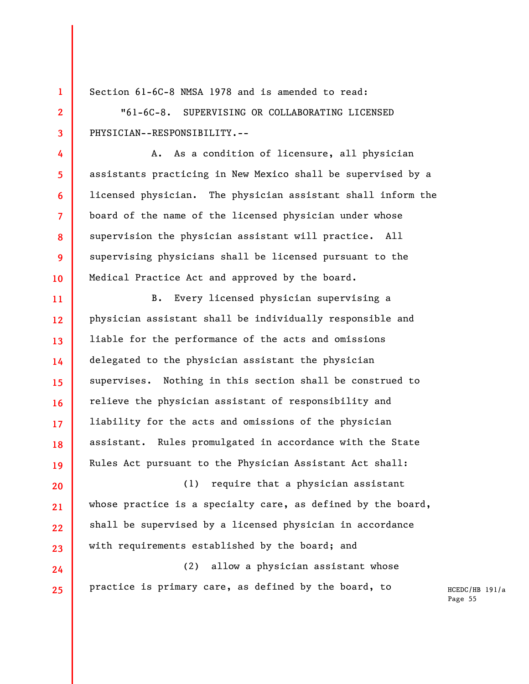Section 61-6C-8 NMSA 1978 and is amended to read:

**1** 

**2** 

**3** 

**4** 

**5** 

**6** 

**7** 

**8** 

**9** 

**10** 

**24** 

**25** 

"61-6C-8. SUPERVISING OR COLLABORATING LICENSED PHYSICIAN--RESPONSIBILITY.--

A. As a condition of licensure, all physician assistants practicing in New Mexico shall be supervised by a licensed physician. The physician assistant shall inform the board of the name of the licensed physician under whose supervision the physician assistant will practice. All supervising physicians shall be licensed pursuant to the Medical Practice Act and approved by the board.

**11 12 13 14 15 16 17 18 19**  B. Every licensed physician supervising a physician assistant shall be individually responsible and liable for the performance of the acts and omissions delegated to the physician assistant the physician supervises. Nothing in this section shall be construed to relieve the physician assistant of responsibility and liability for the acts and omissions of the physician assistant. Rules promulgated in accordance with the State Rules Act pursuant to the Physician Assistant Act shall:

**20 21 22 23**  (1) require that a physician assistant whose practice is a specialty care, as defined by the board, shall be supervised by a licensed physician in accordance with requirements established by the board; and

(2) allow a physician assistant whose practice is primary care, as defined by the board, to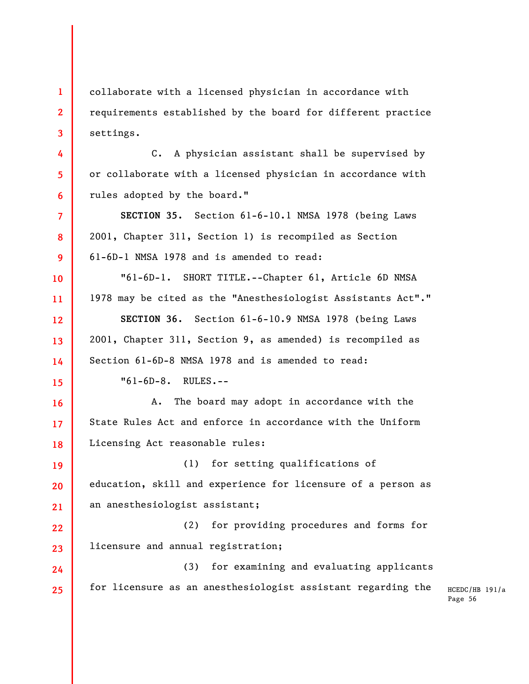collaborate with a licensed physician in accordance with requirements established by the board for different practice settings.

C. A physician assistant shall be supervised by or collaborate with a licensed physician in accordance with rules adopted by the board."

**SECTION 35.** Section 61-6-10.1 NMSA 1978 (being Laws 2001, Chapter 311, Section 1) is recompiled as Section 61-6D-1 NMSA 1978 and is amended to read:

"61-6D-1. SHORT TITLE.--Chapter 61, Article 6D NMSA 1978 may be cited as the "Anesthesiologist Assistants Act"." **SECTION 36.** Section 61-6-10.9 NMSA 1978 (being Laws 2001, Chapter 311, Section 9, as amended) is recompiled as Section 61-6D-8 NMSA 1978 and is amended to read:

"61-6D-8. RULES.--

**1** 

**2** 

**3** 

**4** 

**5** 

**6** 

**7** 

**8** 

**9** 

**10** 

**11** 

**12** 

**13** 

**14** 

**15** 

**16** 

**17** 

**18** 

**24** 

**25** 

A. The board may adopt in accordance with the State Rules Act and enforce in accordance with the Uniform Licensing Act reasonable rules:

**19 20 21**  (1) for setting qualifications of education, skill and experience for licensure of a person as an anesthesiologist assistant;

**22 23**  (2) for providing procedures and forms for licensure and annual registration;

(3) for examining and evaluating applicants for licensure as an anesthesiologist assistant regarding the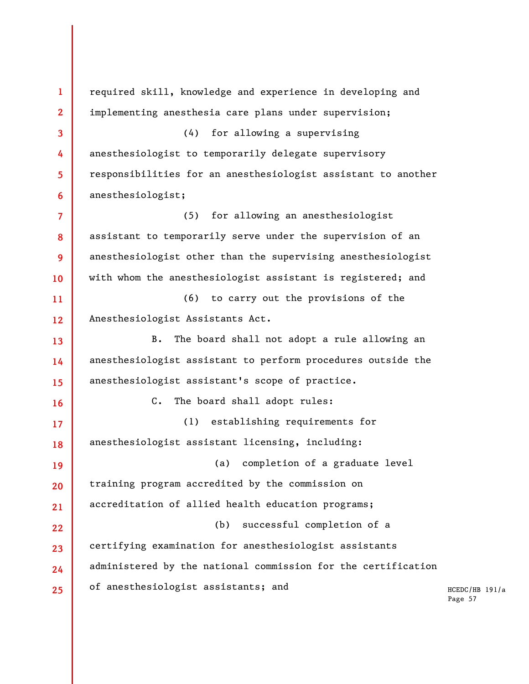HCEDC/HB 191/a Page 57 **1 2 3 4 5 6 7 8 9 10 11 12 13 14 15 16 17 18 19 20 21 22 23 24 25**  required skill, knowledge and experience in developing and implementing anesthesia care plans under supervision; (4) for allowing a supervising anesthesiologist to temporarily delegate supervisory responsibilities for an anesthesiologist assistant to another anesthesiologist; (5) for allowing an anesthesiologist assistant to temporarily serve under the supervision of an anesthesiologist other than the supervising anesthesiologist with whom the anesthesiologist assistant is registered; and (6) to carry out the provisions of the Anesthesiologist Assistants Act. B. The board shall not adopt a rule allowing an anesthesiologist assistant to perform procedures outside the anesthesiologist assistant's scope of practice. C. The board shall adopt rules: (1) establishing requirements for anesthesiologist assistant licensing, including: (a) completion of a graduate level training program accredited by the commission on accreditation of allied health education programs; (b) successful completion of a certifying examination for anesthesiologist assistants administered by the national commission for the certification of anesthesiologist assistants; and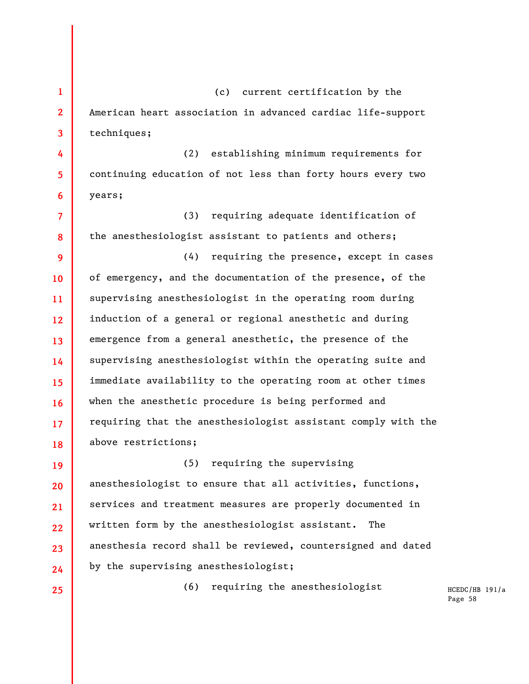**1 2 3 4 5 6**  (c) current certification by the American heart association in advanced cardiac life-support techniques; (2) establishing minimum requirements for continuing education of not less than forty hours every two years;

**7 8**  (3) requiring adequate identification of the anesthesiologist assistant to patients and others;

**9 10 11 12 13 14 15 16 17 18**  (4) requiring the presence, except in cases of emergency, and the documentation of the presence, of the supervising anesthesiologist in the operating room during induction of a general or regional anesthetic and during emergence from a general anesthetic, the presence of the supervising anesthesiologist within the operating suite and immediate availability to the operating room at other times when the anesthetic procedure is being performed and requiring that the anesthesiologist assistant comply with the above restrictions;

**19 20 21 22 23 24**  (5) requiring the supervising anesthesiologist to ensure that all activities, functions, services and treatment measures are properly documented in written form by the anesthesiologist assistant. The anesthesia record shall be reviewed, countersigned and dated by the supervising anesthesiologist;

**25** 

(6) requiring the anesthesiologist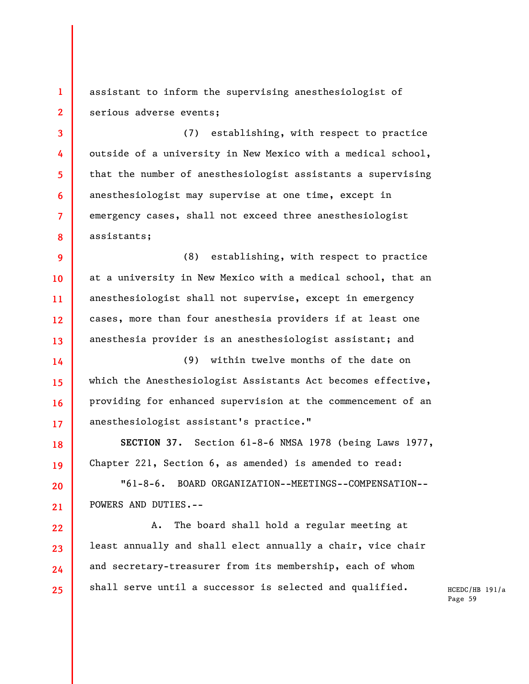**1 2**  assistant to inform the supervising anesthesiologist of serious adverse events;

**3 4 5 6 7 8**  (7) establishing, with respect to practice outside of a university in New Mexico with a medical school, that the number of anesthesiologist assistants a supervising anesthesiologist may supervise at one time, except in emergency cases, shall not exceed three anesthesiologist assistants;

**9 10 11 12 13**  (8) establishing, with respect to practice at a university in New Mexico with a medical school, that an anesthesiologist shall not supervise, except in emergency cases, more than four anesthesia providers if at least one anesthesia provider is an anesthesiologist assistant; and

**14 15 16 17**  (9) within twelve months of the date on which the Anesthesiologist Assistants Act becomes effective, providing for enhanced supervision at the commencement of an anesthesiologist assistant's practice."

**18 19 SECTION 37.** Section 61-8-6 NMSA 1978 (being Laws 1977, Chapter 221, Section 6, as amended) is amended to read:

**20 21**  "61-8-6. BOARD ORGANIZATION--MEETINGS--COMPENSATION-- POWERS AND DUTIES.--

**22** 

**23** 

**24** 

**25** 

A. The board shall hold a regular meeting at least annually and shall elect annually a chair, vice chair and secretary-treasurer from its membership, each of whom shall serve until a successor is selected and qualified.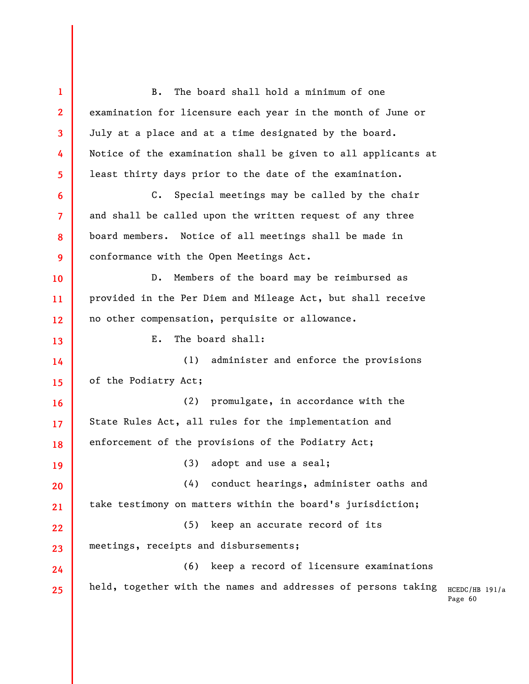HCEDC/HB 191/a Page 60 **1 2 3 4 5 6 7 8 9 10 11 12 13 14 15 16 17 18 19 20 21 22 23 24 25**  B. The board shall hold a minimum of one examination for licensure each year in the month of June or July at a place and at a time designated by the board. Notice of the examination shall be given to all applicants at least thirty days prior to the date of the examination. C. Special meetings may be called by the chair and shall be called upon the written request of any three board members. Notice of all meetings shall be made in conformance with the Open Meetings Act. D. Members of the board may be reimbursed as provided in the Per Diem and Mileage Act, but shall receive no other compensation, perquisite or allowance. E. The board shall: (1) administer and enforce the provisions of the Podiatry Act; (2) promulgate, in accordance with the State Rules Act, all rules for the implementation and enforcement of the provisions of the Podiatry Act; (3) adopt and use a seal; (4) conduct hearings, administer oaths and take testimony on matters within the board's jurisdiction; (5) keep an accurate record of its meetings, receipts and disbursements; (6) keep a record of licensure examinations held, together with the names and addresses of persons taking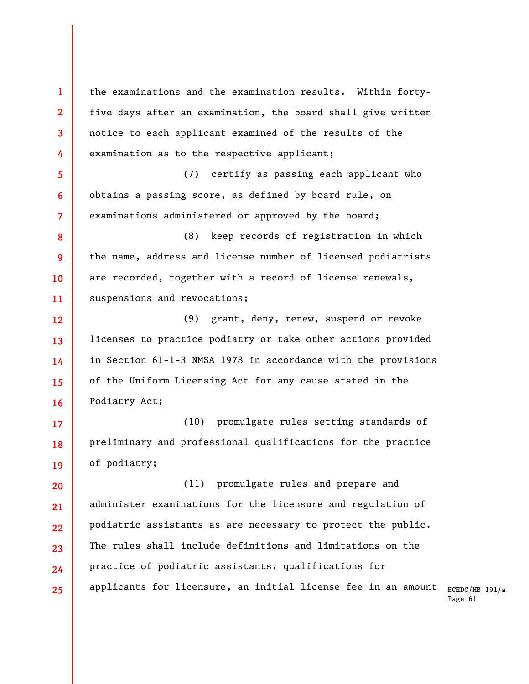**1 2 3 4 5 6 7 8 9 10 11 12 13 14 15 16 17**  the examinations and the examination results. Within fortyfive days after an examination, the board shall give written notice to each applicant examined of the results of the examination as to the respective applicant; (7) certify as passing each applicant who obtains a passing score, as defined by board rule, on examinations administered or approved by the board; (8) keep records of registration in which the name, address and license number of licensed podiatrists are recorded, together with a record of license renewals, suspensions and revocations; (9) grant, deny, renew, suspend or revoke licenses to practice podiatry or take other actions provided in Section 61-1-3 NMSA 1978 in accordance with the provisions of the Uniform Licensing Act for any cause stated in the Podiatry Act; (10) promulgate rules setting standards of

**18 19**  preliminary and professional qualifications for the practice of podiatry;

**20 21 22 23 24 25**  (11) promulgate rules and prepare and administer examinations for the licensure and regulation of podiatric assistants as are necessary to protect the public. The rules shall include definitions and limitations on the practice of podiatric assistants, qualifications for applicants for licensure, an initial license fee in an amount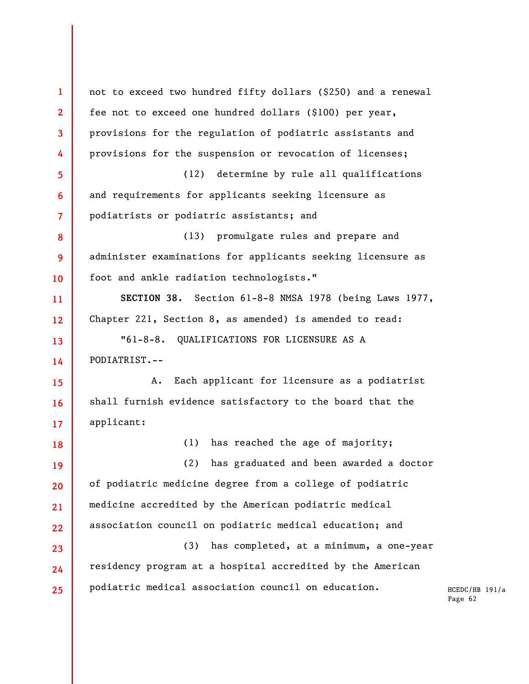HCEDC/HB 191/a Page 62 **1 2 3 4 5 6 7 8 9 10 11 12 13 14 15 16 17 18 19 20 21 22 23 24 25**  not to exceed two hundred fifty dollars (\$250) and a renewal fee not to exceed one hundred dollars (\$100) per year, provisions for the regulation of podiatric assistants and provisions for the suspension or revocation of licenses; (12) determine by rule all qualifications and requirements for applicants seeking licensure as podiatrists or podiatric assistants; and (13) promulgate rules and prepare and administer examinations for applicants seeking licensure as foot and ankle radiation technologists." **SECTION 38.** Section 61-8-8 NMSA 1978 (being Laws 1977, Chapter 221, Section 8, as amended) is amended to read: "61-8-8. QUALIFICATIONS FOR LICENSURE AS A PODIATRIST.-- A. Each applicant for licensure as a podiatrist shall furnish evidence satisfactory to the board that the applicant: (1) has reached the age of majority; (2) has graduated and been awarded a doctor of podiatric medicine degree from a college of podiatric medicine accredited by the American podiatric medical association council on podiatric medical education; and (3) has completed, at a minimum, a one-year residency program at a hospital accredited by the American podiatric medical association council on education.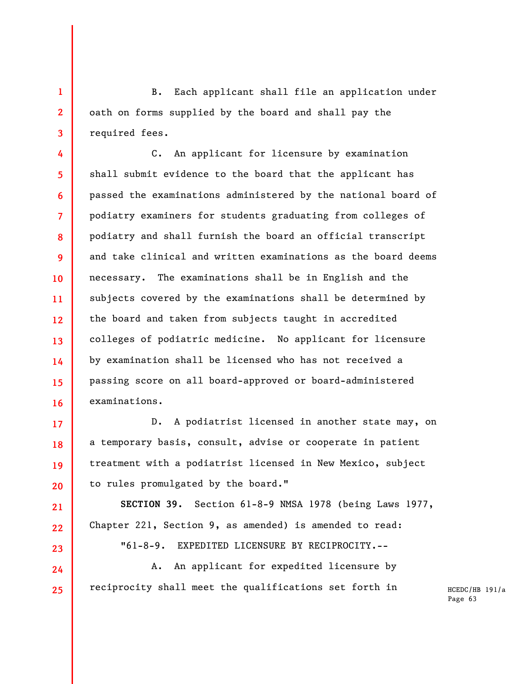**1 2 3**  B. Each applicant shall file an application under oath on forms supplied by the board and shall pay the required fees.

**4 5 6 7 8 9 10 11 12 13 14 15 16**  C. An applicant for licensure by examination shall submit evidence to the board that the applicant has passed the examinations administered by the national board of podiatry examiners for students graduating from colleges of podiatry and shall furnish the board an official transcript and take clinical and written examinations as the board deems necessary. The examinations shall be in English and the subjects covered by the examinations shall be determined by the board and taken from subjects taught in accredited colleges of podiatric medicine. No applicant for licensure by examination shall be licensed who has not received a passing score on all board-approved or board-administered examinations.

D. A podiatrist licensed in another state may, on a temporary basis, consult, advise or cooperate in patient treatment with a podiatrist licensed in New Mexico, subject to rules promulgated by the board."

**17** 

**18** 

**19** 

**20** 

**21** 

**22** 

**23** 

**24** 

**25** 

**SECTION 39.** Section 61-8-9 NMSA 1978 (being Laws 1977, Chapter 221, Section 9, as amended) is amended to read: "61-8-9. EXPEDITED LICENSURE BY RECIPROCITY.--

A. An applicant for expedited licensure by reciprocity shall meet the qualifications set forth in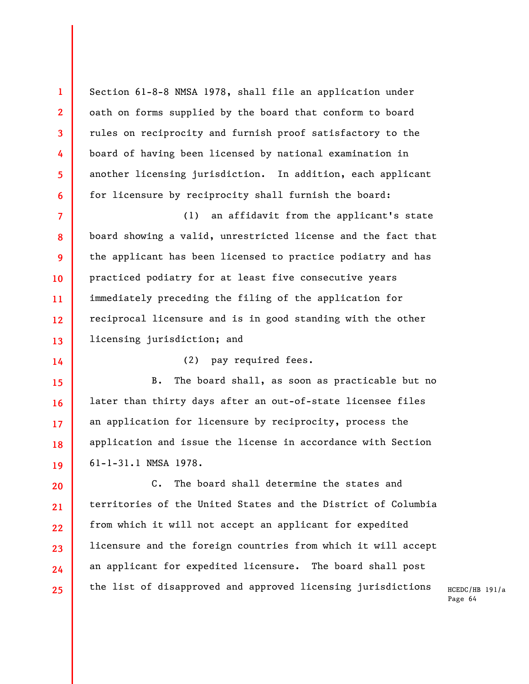Section 61-8-8 NMSA 1978, shall file an application under oath on forms supplied by the board that conform to board rules on reciprocity and furnish proof satisfactory to the board of having been licensed by national examination in another licensing jurisdiction. In addition, each applicant for licensure by reciprocity shall furnish the board:

**1** 

**2** 

**3** 

**4** 

**5** 

**6** 

**14** 

**7 8 9 10 11 12 13**  (1) an affidavit from the applicant's state board showing a valid, unrestricted license and the fact that the applicant has been licensed to practice podiatry and has practiced podiatry for at least five consecutive years immediately preceding the filing of the application for reciprocal licensure and is in good standing with the other licensing jurisdiction; and

(2) pay required fees.

**15 16 17 18 19**  B. The board shall, as soon as practicable but no later than thirty days after an out-of-state licensee files an application for licensure by reciprocity, process the application and issue the license in accordance with Section 61-1-31.1 NMSA 1978.

**20 21 22 23 24 25**  C. The board shall determine the states and territories of the United States and the District of Columbia from which it will not accept an applicant for expedited licensure and the foreign countries from which it will accept an applicant for expedited licensure. The board shall post the list of disapproved and approved licensing jurisdictions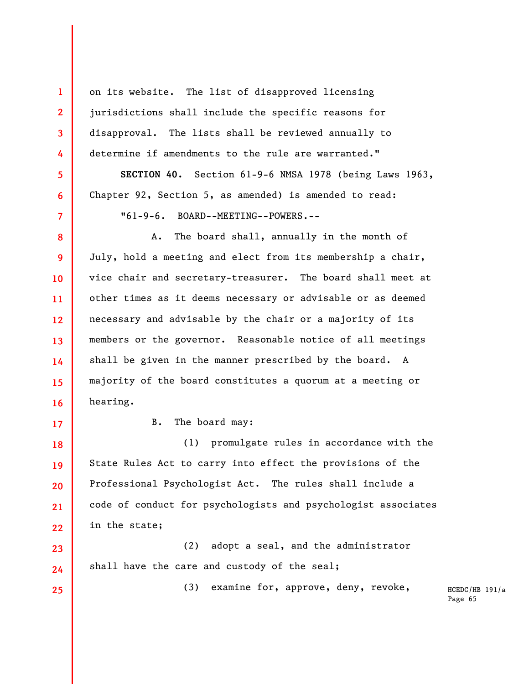on its website. The list of disapproved licensing jurisdictions shall include the specific reasons for disapproval. The lists shall be reviewed annually to determine if amendments to the rule are warranted."

**SECTION 40.** Section 61-9-6 NMSA 1978 (being Laws 1963, Chapter 92, Section 5, as amended) is amended to read: "61-9-6. BOARD--MEETING--POWERS.--

**8 9 10 11 12 13 14 15 16**  A. The board shall, annually in the month of July, hold a meeting and elect from its membership a chair, vice chair and secretary-treasurer. The board shall meet at other times as it deems necessary or advisable or as deemed necessary and advisable by the chair or a majority of its members or the governor. Reasonable notice of all meetings shall be given in the manner prescribed by the board. A majority of the board constitutes a quorum at a meeting or hearing.

**17** 

**18** 

**19** 

**20** 

**21** 

**23** 

**24** 

**25** 

**1** 

**2** 

**3** 

**4** 

**5** 

**6** 

**7** 

B. The board may:

**22**  (1) promulgate rules in accordance with the State Rules Act to carry into effect the provisions of the Professional Psychologist Act. The rules shall include a code of conduct for psychologists and psychologist associates in the state;

(2) adopt a seal, and the administrator shall have the care and custody of the seal;

(3) examine for, approve, deny, revoke,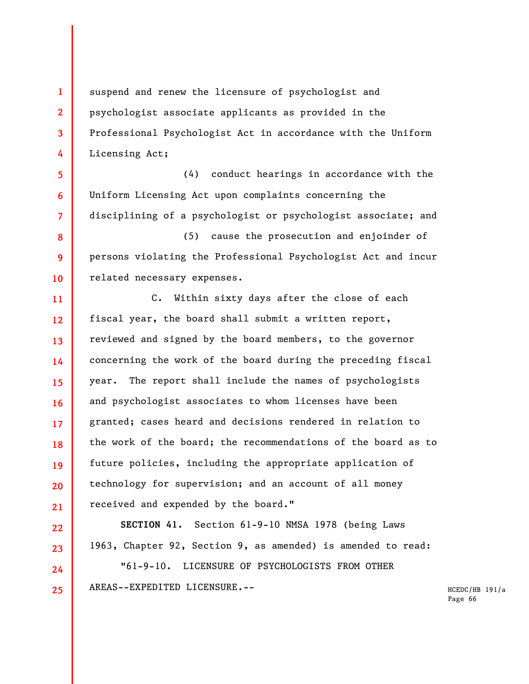suspend and renew the licensure of psychologist and psychologist associate applicants as provided in the Professional Psychologist Act in accordance with the Uniform Licensing Act;

**1** 

**2** 

**3** 

**4** 

**5** 

**6** 

**7** 

**22** 

**23** 

**24** 

**25** 

(4) conduct hearings in accordance with the Uniform Licensing Act upon complaints concerning the disciplining of a psychologist or psychologist associate; and

**8 9 10**  (5) cause the prosecution and enjoinder of persons violating the Professional Psychologist Act and incur related necessary expenses.

**11 12 13 14 15 16 17 18 19 20 21**  C. Within sixty days after the close of each fiscal year, the board shall submit a written report, reviewed and signed by the board members, to the governor concerning the work of the board during the preceding fiscal year. The report shall include the names of psychologists and psychologist associates to whom licenses have been granted; cases heard and decisions rendered in relation to the work of the board; the recommendations of the board as to future policies, including the appropriate application of technology for supervision; and an account of all money received and expended by the board."

**SECTION 41.** Section 61-9-10 NMSA 1978 (being Laws 1963, Chapter 92, Section 9, as amended) is amended to read: "61-9-10. LICENSURE OF PSYCHOLOGISTS FROM OTHER AREAS--EXPEDITED LICENSURE.--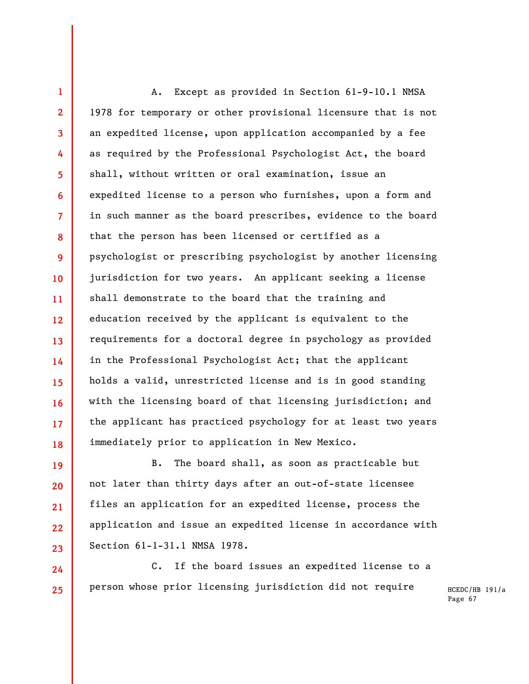**13 18**  A. Except as provided in Section 61-9-10.1 NMSA 1978 for temporary or other provisional licensure that is not an expedited license, upon application accompanied by a fee as required by the Professional Psychologist Act, the board shall, without written or oral examination, issue an expedited license to a person who furnishes, upon a form and in such manner as the board prescribes, evidence to the board that the person has been licensed or certified as a psychologist or prescribing psychologist by another licensing jurisdiction for two years. An applicant seeking a license shall demonstrate to the board that the training and education received by the applicant is equivalent to the requirements for a doctoral degree in psychology as provided in the Professional Psychologist Act; that the applicant holds a valid, unrestricted license and is in good standing with the licensing board of that licensing jurisdiction; and the applicant has practiced psychology for at least two years immediately prior to application in New Mexico.

**1** 

**2** 

**3** 

**4** 

**5** 

**6** 

**7** 

**8** 

**9** 

**10** 

**11** 

**12** 

**14** 

**15** 

**16** 

**17** 

**19** 

**20** 

**21** 

**22** 

**23** 

**24** 

**25** 

B. The board shall, as soon as practicable but not later than thirty days after an out-of-state licensee files an application for an expedited license, process the application and issue an expedited license in accordance with Section 61-1-31.1 NMSA 1978.

C. If the board issues an expedited license to a person whose prior licensing jurisdiction did not require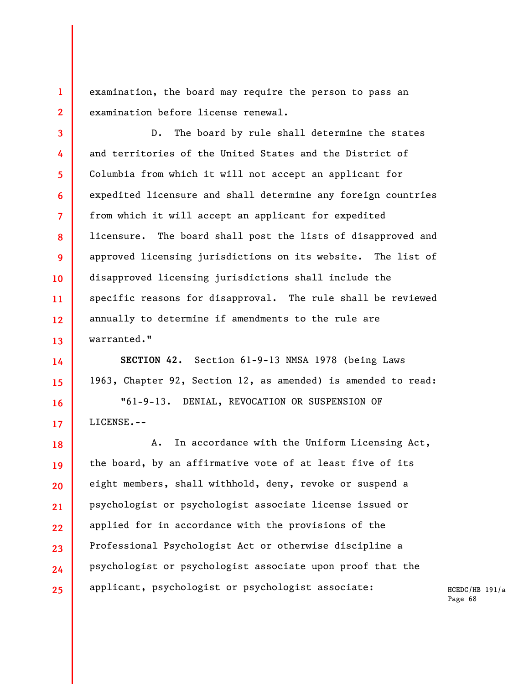examination, the board may require the person to pass an examination before license renewal.

**1** 

**2** 

**3** 

**4** 

**5** 

**6** 

**7** 

**8** 

**9** 

**10** 

**11** 

**12** 

**13** 

**14** 

**15** 

**16** 

**17** 

D. The board by rule shall determine the states and territories of the United States and the District of Columbia from which it will not accept an applicant for expedited licensure and shall determine any foreign countries from which it will accept an applicant for expedited licensure. The board shall post the lists of disapproved and approved licensing jurisdictions on its website. The list of disapproved licensing jurisdictions shall include the specific reasons for disapproval. The rule shall be reviewed annually to determine if amendments to the rule are warranted."

**SECTION 42.** Section 61-9-13 NMSA 1978 (being Laws 1963, Chapter 92, Section 12, as amended) is amended to read:

"61-9-13. DENIAL, REVOCATION OR SUSPENSION OF LICENSE.--

**18 19 20 21 22 23 24 25**  A. In accordance with the Uniform Licensing Act, the board, by an affirmative vote of at least five of its eight members, shall withhold, deny, revoke or suspend a psychologist or psychologist associate license issued or applied for in accordance with the provisions of the Professional Psychologist Act or otherwise discipline a psychologist or psychologist associate upon proof that the applicant, psychologist or psychologist associate: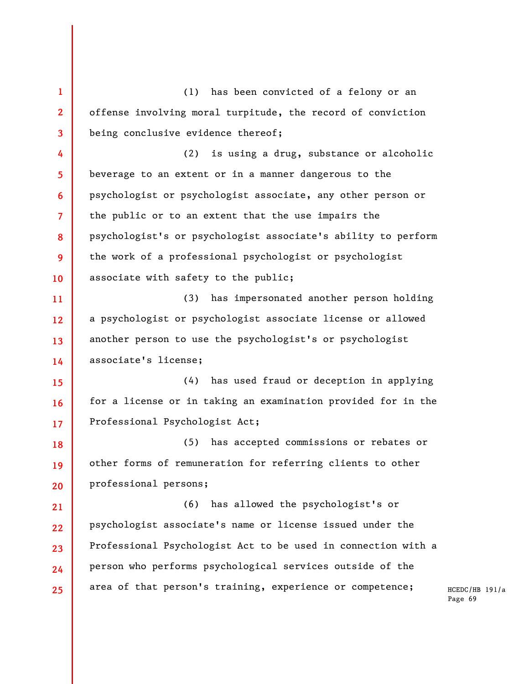**1 2 3 4 5 6 7 8 9 10 11 12 13 14 15 16 17 18 19 20 21 22 23 24 25**  (1) has been convicted of a felony or an offense involving moral turpitude, the record of conviction being conclusive evidence thereof; (2) is using a drug, substance or alcoholic beverage to an extent or in a manner dangerous to the psychologist or psychologist associate, any other person or the public or to an extent that the use impairs the psychologist's or psychologist associate's ability to perform the work of a professional psychologist or psychologist associate with safety to the public; (3) has impersonated another person holding a psychologist or psychologist associate license or allowed another person to use the psychologist's or psychologist associate's license; (4) has used fraud or deception in applying for a license or in taking an examination provided for in the Professional Psychologist Act; (5) has accepted commissions or rebates or other forms of remuneration for referring clients to other professional persons; (6) has allowed the psychologist's or psychologist associate's name or license issued under the Professional Psychologist Act to be used in connection with a person who performs psychological services outside of the area of that person's training, experience or competence;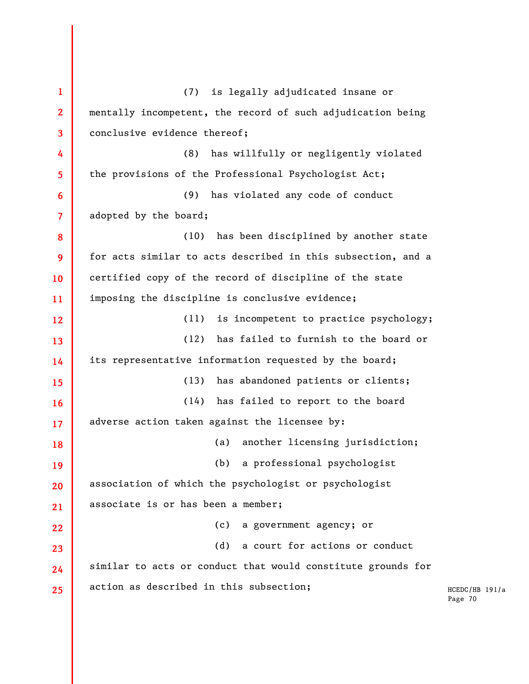**1 2 3 4 5 6 7 8 9 10 11 12 13 14 15 16 17 18 19 20 21 22 23 24 25**  (7) is legally adjudicated insane or mentally incompetent, the record of such adjudication being conclusive evidence thereof; (8) has willfully or negligently violated the provisions of the Professional Psychologist Act; (9) has violated any code of conduct adopted by the board; (10) has been disciplined by another state for acts similar to acts described in this subsection, and a certified copy of the record of discipline of the state imposing the discipline is conclusive evidence; (11) is incompetent to practice psychology; (12) has failed to furnish to the board or its representative information requested by the board; (13) has abandoned patients or clients; (14) has failed to report to the board adverse action taken against the licensee by: (a) another licensing jurisdiction; (b) a professional psychologist association of which the psychologist or psychologist associate is or has been a member; (c) a government agency; or (d) a court for actions or conduct similar to acts or conduct that would constitute grounds for action as described in this subsection;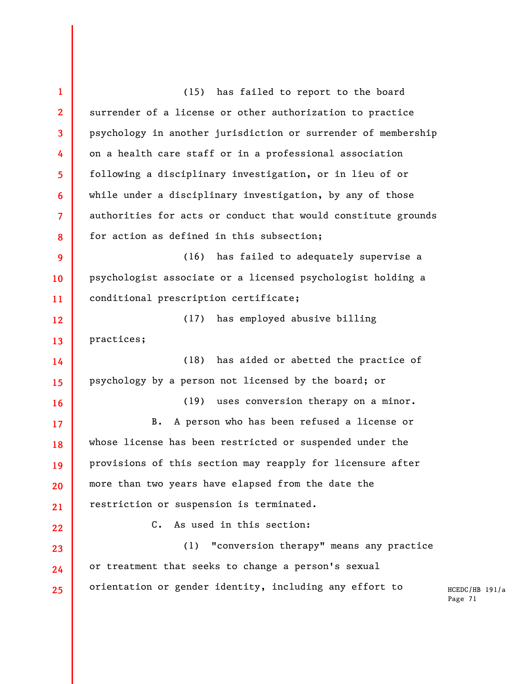HCEDC/HB 191/a Page 71 **1 2 3 4 5 6 7 8 9 10 11 12 13 14 15 16 17 18 19 20 21 22 23 24 25**  (15) has failed to report to the board surrender of a license or other authorization to practice psychology in another jurisdiction or surrender of membership on a health care staff or in a professional association following a disciplinary investigation, or in lieu of or while under a disciplinary investigation, by any of those authorities for acts or conduct that would constitute grounds for action as defined in this subsection; (16) has failed to adequately supervise a psychologist associate or a licensed psychologist holding a conditional prescription certificate; (17) has employed abusive billing practices; (18) has aided or abetted the practice of psychology by a person not licensed by the board; or (19) uses conversion therapy on a minor. B. A person who has been refused a license or whose license has been restricted or suspended under the provisions of this section may reapply for licensure after more than two years have elapsed from the date the restriction or suspension is terminated. C. As used in this section: (1) "conversion therapy" means any practice or treatment that seeks to change a person's sexual orientation or gender identity, including any effort to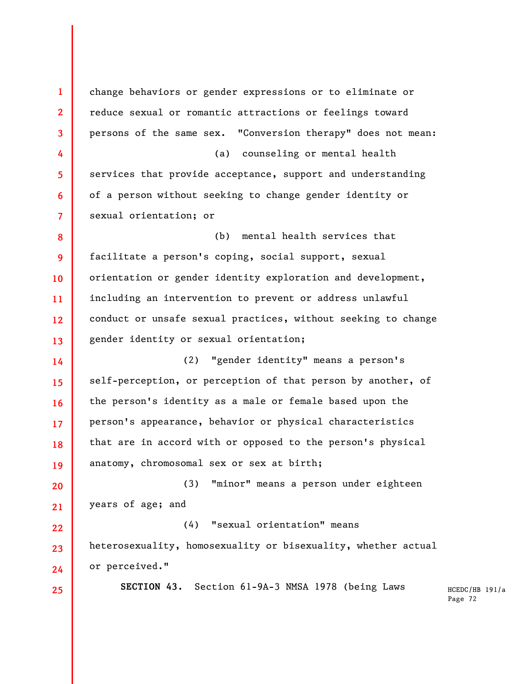**1 2 3 4 5 6 7 8 9 10 11 12 13 14 15 16 17 18 19 20 21 22 23 24 25**  change behaviors or gender expressions or to eliminate or reduce sexual or romantic attractions or feelings toward persons of the same sex. "Conversion therapy" does not mean: (a) counseling or mental health services that provide acceptance, support and understanding of a person without seeking to change gender identity or sexual orientation; or (b) mental health services that facilitate a person's coping, social support, sexual orientation or gender identity exploration and development, including an intervention to prevent or address unlawful conduct or unsafe sexual practices, without seeking to change gender identity or sexual orientation; (2) "gender identity" means a person's self-perception, or perception of that person by another, of the person's identity as a male or female based upon the person's appearance, behavior or physical characteristics that are in accord with or opposed to the person's physical anatomy, chromosomal sex or sex at birth; (3) "minor" means a person under eighteen years of age; and (4) "sexual orientation" means heterosexuality, homosexuality or bisexuality, whether actual or perceived." **SECTION 43.** Section 61-9A-3 NMSA 1978 (being Laws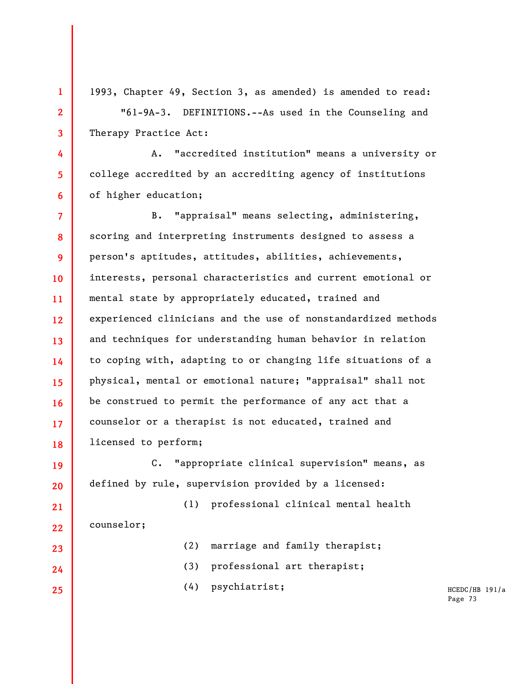1993, Chapter 49, Section 3, as amended) is amended to read: "61-9A-3. DEFINITIONS.--As used in the Counseling and Therapy Practice Act:

**1** 

**2** 

**3** 

**4** 

**5** 

**6** 

**19** 

**20** 

**23** 

**24** 

**25** 

A. "accredited institution" means a university or college accredited by an accrediting agency of institutions of higher education;

**7 8 9 10 11 12 13 14 15 16 17 18**  B. "appraisal" means selecting, administering, scoring and interpreting instruments designed to assess a person's aptitudes, attitudes, abilities, achievements, interests, personal characteristics and current emotional or mental state by appropriately educated, trained and experienced clinicians and the use of nonstandardized methods and techniques for understanding human behavior in relation to coping with, adapting to or changing life situations of a physical, mental or emotional nature; "appraisal" shall not be construed to permit the performance of any act that a counselor or a therapist is not educated, trained and licensed to perform;

C. "appropriate clinical supervision" means, as defined by rule, supervision provided by a licensed:

**21 22**  (1) professional clinical mental health counselor;

(2) marriage and family therapist;

(3) professional art therapist;

(4) psychiatrist;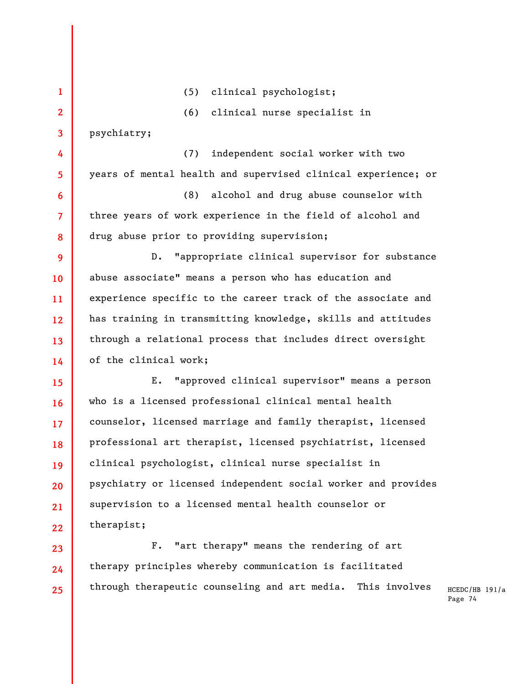**1 2 3 4 5 6 7 8 9 10 11 12 13 14 15 16 17 18 19 20 21 22 23 24**  (5) clinical psychologist; (6) clinical nurse specialist in psychiatry; (7) independent social worker with two years of mental health and supervised clinical experience; or (8) alcohol and drug abuse counselor with three years of work experience in the field of alcohol and drug abuse prior to providing supervision; D. "appropriate clinical supervisor for substance abuse associate" means a person who has education and experience specific to the career track of the associate and has training in transmitting knowledge, skills and attitudes through a relational process that includes direct oversight of the clinical work; E. "approved clinical supervisor" means a person who is a licensed professional clinical mental health counselor, licensed marriage and family therapist, licensed professional art therapist, licensed psychiatrist, licensed clinical psychologist, clinical nurse specialist in psychiatry or licensed independent social worker and provides supervision to a licensed mental health counselor or therapist; F. "art therapy" means the rendering of art therapy principles whereby communication is facilitated

through therapeutic counseling and art media. This involves

**25**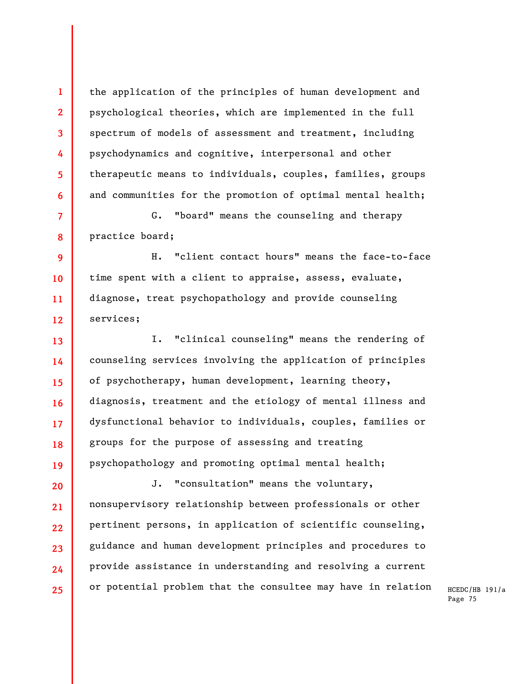the application of the principles of human development and psychological theories, which are implemented in the full spectrum of models of assessment and treatment, including psychodynamics and cognitive, interpersonal and other therapeutic means to individuals, couples, families, groups and communities for the promotion of optimal mental health;

**1** 

**2** 

**3** 

**4** 

**5** 

**6** 

**7 8**  G. "board" means the counseling and therapy practice board;

**9 10 11 12**  H. "client contact hours" means the face-to-face time spent with a client to appraise, assess, evaluate, diagnose, treat psychopathology and provide counseling services;

**13 14 15 16 17 18 19**  I. "clinical counseling" means the rendering of counseling services involving the application of principles of psychotherapy, human development, learning theory, diagnosis, treatment and the etiology of mental illness and dysfunctional behavior to individuals, couples, families or groups for the purpose of assessing and treating psychopathology and promoting optimal mental health;

**20 21 22 23 24 25**  J. "consultation" means the voluntary, nonsupervisory relationship between professionals or other pertinent persons, in application of scientific counseling, guidance and human development principles and procedures to provide assistance in understanding and resolving a current or potential problem that the consultee may have in relation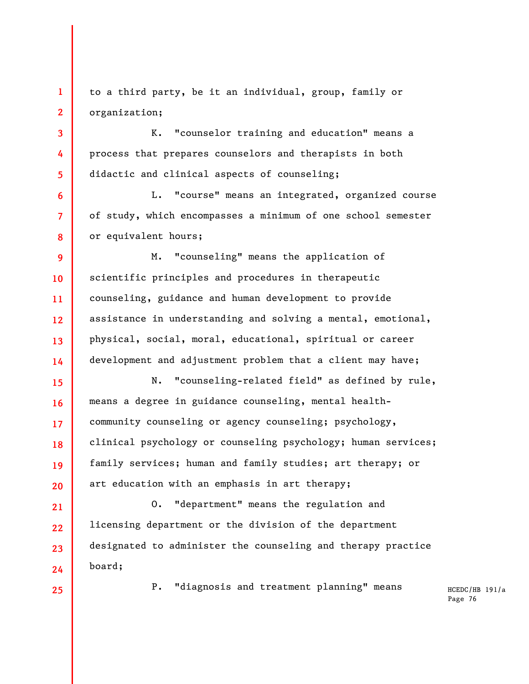**1 2**  to a third party, be it an individual, group, family or organization;

K. "counselor training and education" means a process that prepares counselors and therapists in both didactic and clinical aspects of counseling;

L. "course" means an integrated, organized course of study, which encompasses a minimum of one school semester or equivalent hours;

**9 10 11 12 13 14**  M. "counseling" means the application of scientific principles and procedures in therapeutic counseling, guidance and human development to provide assistance in understanding and solving a mental, emotional, physical, social, moral, educational, spiritual or career development and adjustment problem that a client may have;

N. "counseling-related field" as defined by rule, means a degree in guidance counseling, mental healthcommunity counseling or agency counseling; psychology, clinical psychology or counseling psychology; human services; family services; human and family studies; art therapy; or art education with an emphasis in art therapy;

**21 22 23 24**  O. "department" means the regulation and licensing department or the division of the department designated to administer the counseling and therapy practice board;

**25** 

**3** 

**4** 

**5** 

**6** 

**7** 

**8** 

**15** 

**16** 

**17** 

**18** 

**19** 

**20** 

P. "diagnosis and treatment planning" means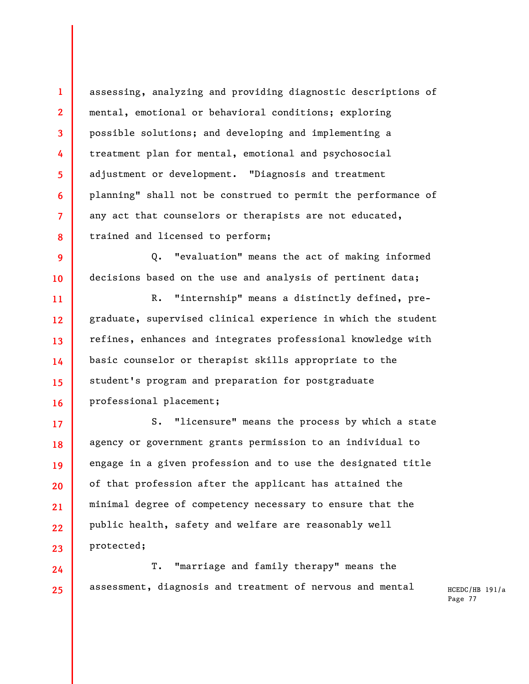assessing, analyzing and providing diagnostic descriptions of mental, emotional or behavioral conditions; exploring possible solutions; and developing and implementing a treatment plan for mental, emotional and psychosocial adjustment or development. "Diagnosis and treatment planning" shall not be construed to permit the performance of any act that counselors or therapists are not educated, trained and licensed to perform;

**1** 

**2** 

**3** 

**4** 

**5** 

**6** 

**7** 

**8** 

**24** 

**25** 

**9 10**  Q. "evaluation" means the act of making informed decisions based on the use and analysis of pertinent data;

**11 12 13 14 15 16**  R. "internship" means a distinctly defined, pregraduate, supervised clinical experience in which the student refines, enhances and integrates professional knowledge with basic counselor or therapist skills appropriate to the student's program and preparation for postgraduate professional placement;

**17 18 19 20 21 22 23**  S. "licensure" means the process by which a state agency or government grants permission to an individual to engage in a given profession and to use the designated title of that profession after the applicant has attained the minimal degree of competency necessary to ensure that the public health, safety and welfare are reasonably well protected;

T. "marriage and family therapy" means the assessment, diagnosis and treatment of nervous and mental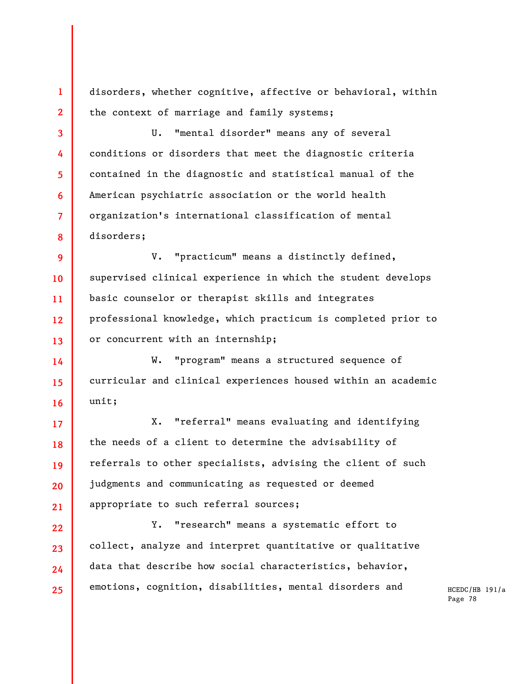disorders, whether cognitive, affective or behavioral, within the context of marriage and family systems;

**1** 

**2** 

**3** 

**4** 

**5** 

**6** 

**7** 

**8** 

U. "mental disorder" means any of several conditions or disorders that meet the diagnostic criteria contained in the diagnostic and statistical manual of the American psychiatric association or the world health organization's international classification of mental disorders;

**9 10 11 12 13**  V. "practicum" means a distinctly defined, supervised clinical experience in which the student develops basic counselor or therapist skills and integrates professional knowledge, which practicum is completed prior to or concurrent with an internship;

**14 15 16**  W. "program" means a structured sequence of curricular and clinical experiences housed within an academic unit;

**17 18 19 20 21**  X. "referral" means evaluating and identifying the needs of a client to determine the advisability of referrals to other specialists, advising the client of such judgments and communicating as requested or deemed appropriate to such referral sources;

**22 23 24 25**  Y. "research" means a systematic effort to collect, analyze and interpret quantitative or qualitative data that describe how social characteristics, behavior, emotions, cognition, disabilities, mental disorders and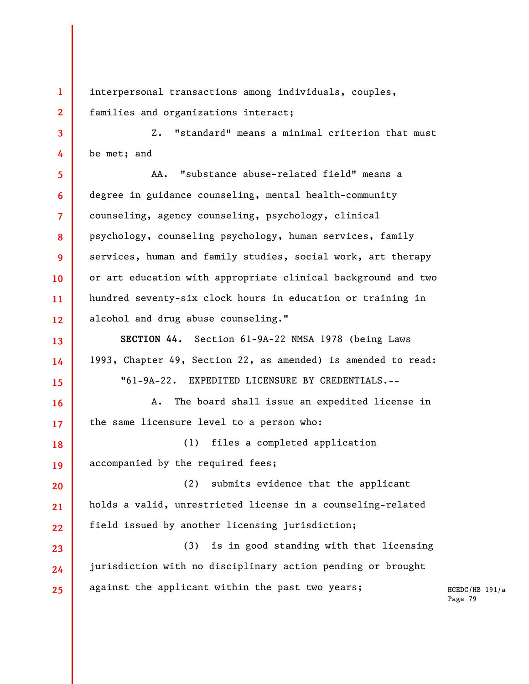interpersonal transactions among individuals, couples, families and organizations interact;

**1** 

**2** 

**3 4**  Z. "standard" means a minimal criterion that must be met; and

**5 6 7 8 9 10 11 12**  AA. "substance abuse-related field" means a degree in guidance counseling, mental health-community counseling, agency counseling, psychology, clinical psychology, counseling psychology, human services, family services, human and family studies, social work, art therapy or art education with appropriate clinical background and two hundred seventy-six clock hours in education or training in alcohol and drug abuse counseling."

**13 14 15 SECTION 44.** Section 61-9A-22 NMSA 1978 (being Laws 1993, Chapter 49, Section 22, as amended) is amended to read: "61-9A-22. EXPEDITED LICENSURE BY CREDENTIALS.--

**16 17**  A. The board shall issue an expedited license in the same licensure level to a person who:

**18 19**  (1) files a completed application accompanied by the required fees;

**20 21 22**  (2) submits evidence that the applicant holds a valid, unrestricted license in a counseling-related field issued by another licensing jurisdiction;

**23 24 25**  (3) is in good standing with that licensing jurisdiction with no disciplinary action pending or brought against the applicant within the past two years;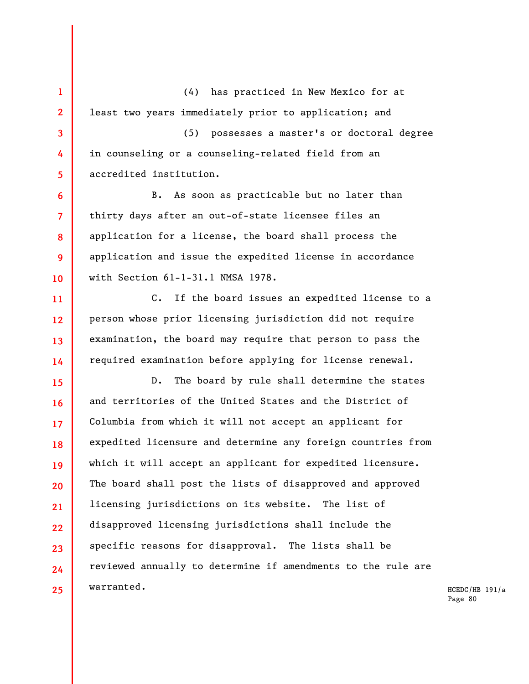**1 2 3 4 5 6 7 8 9 10 11 12 13 14 15 16 17 18 19 20 21 22 23 24**  (4) has practiced in New Mexico for at least two years immediately prior to application; and (5) possesses a master's or doctoral degree in counseling or a counseling-related field from an accredited institution. B. As soon as practicable but no later than thirty days after an out-of-state licensee files an application for a license, the board shall process the application and issue the expedited license in accordance with Section 61-1-31.1 NMSA 1978. C. If the board issues an expedited license to a person whose prior licensing jurisdiction did not require examination, the board may require that person to pass the required examination before applying for license renewal. D. The board by rule shall determine the states and territories of the United States and the District of Columbia from which it will not accept an applicant for expedited licensure and determine any foreign countries from which it will accept an applicant for expedited licensure. The board shall post the lists of disapproved and approved licensing jurisdictions on its website. The list of disapproved licensing jurisdictions shall include the specific reasons for disapproval. The lists shall be reviewed annually to determine if amendments to the rule are

**25** 

warranted.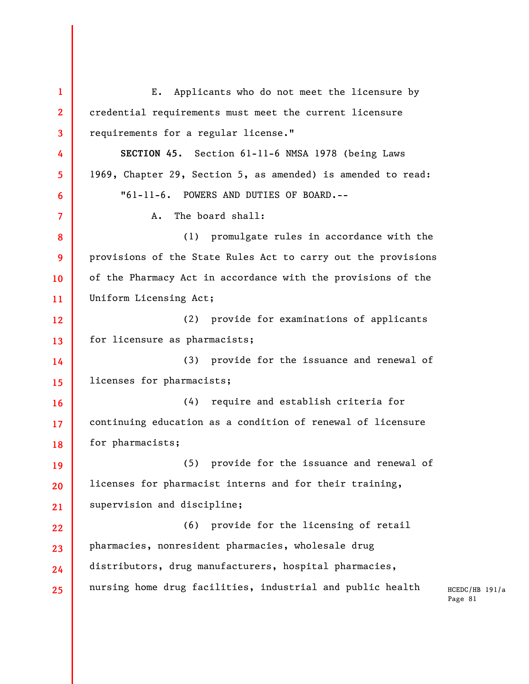**1 2 3 4 5 6 7 8 9 10 11 12 13 14 15 16 17 18 19 20 21 22 23 24 25**  E. Applicants who do not meet the licensure by credential requirements must meet the current licensure requirements for a regular license." **SECTION 45.** Section 61-11-6 NMSA 1978 (being Laws 1969, Chapter 29, Section 5, as amended) is amended to read: "61-11-6. POWERS AND DUTIES OF BOARD.-- A. The board shall: (1) promulgate rules in accordance with the provisions of the State Rules Act to carry out the provisions of the Pharmacy Act in accordance with the provisions of the Uniform Licensing Act; (2) provide for examinations of applicants for licensure as pharmacists; (3) provide for the issuance and renewal of licenses for pharmacists; (4) require and establish criteria for continuing education as a condition of renewal of licensure for pharmacists; (5) provide for the issuance and renewal of licenses for pharmacist interns and for their training, supervision and discipline; (6) provide for the licensing of retail pharmacies, nonresident pharmacies, wholesale drug distributors, drug manufacturers, hospital pharmacies, nursing home drug facilities, industrial and public health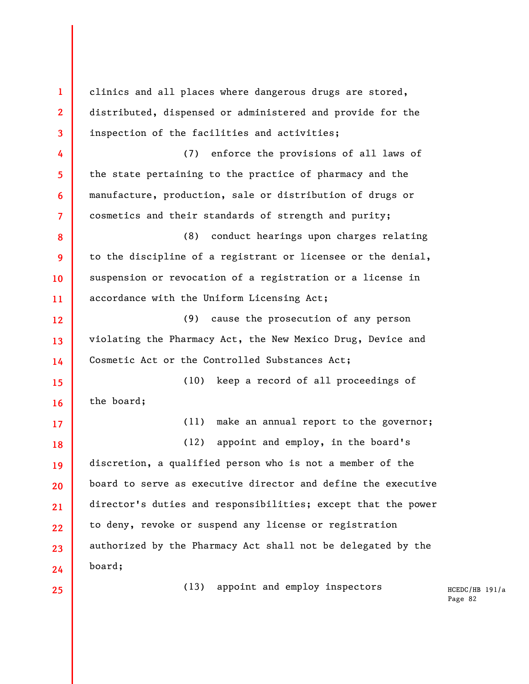**1 2 3 4 5 6 7 8 9 10 11 12 13 14 15 16 17 18 19 20 21 22 23 24 25**  clinics and all places where dangerous drugs are stored, distributed, dispensed or administered and provide for the inspection of the facilities and activities; (7) enforce the provisions of all laws of the state pertaining to the practice of pharmacy and the manufacture, production, sale or distribution of drugs or cosmetics and their standards of strength and purity; (8) conduct hearings upon charges relating to the discipline of a registrant or licensee or the denial, suspension or revocation of a registration or a license in accordance with the Uniform Licensing Act; (9) cause the prosecution of any person violating the Pharmacy Act, the New Mexico Drug, Device and Cosmetic Act or the Controlled Substances Act; (10) keep a record of all proceedings of the board; (11) make an annual report to the governor; (12) appoint and employ, in the board's discretion, a qualified person who is not a member of the board to serve as executive director and define the executive director's duties and responsibilities; except that the power to deny, revoke or suspend any license or registration authorized by the Pharmacy Act shall not be delegated by the board; (13) appoint and employ inspectors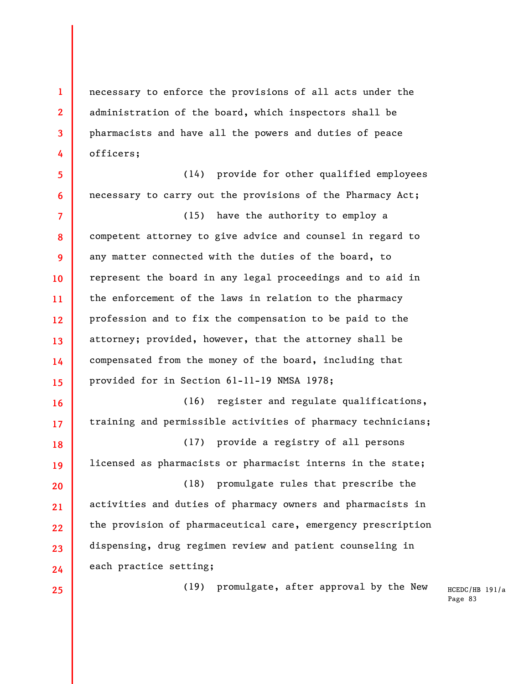necessary to enforce the provisions of all acts under the administration of the board, which inspectors shall be pharmacists and have all the powers and duties of peace officers;

**6**  (14) provide for other qualified employees necessary to carry out the provisions of the Pharmacy Act;

**7 8 9 10 11 12 13 14 15**  (15) have the authority to employ a competent attorney to give advice and counsel in regard to any matter connected with the duties of the board, to represent the board in any legal proceedings and to aid in the enforcement of the laws in relation to the pharmacy profession and to fix the compensation to be paid to the attorney; provided, however, that the attorney shall be compensated from the money of the board, including that provided for in Section 61-11-19 NMSA 1978;

**16 17 18**  (16) register and regulate qualifications, training and permissible activities of pharmacy technicians; (17) provide a registry of all persons

**19**  licensed as pharmacists or pharmacist interns in the state;

**20 21 22 23 24**  (18) promulgate rules that prescribe the activities and duties of pharmacy owners and pharmacists in the provision of pharmaceutical care, emergency prescription dispensing, drug regimen review and patient counseling in each practice setting;

**25** 

**1** 

**2** 

**3** 

**4** 

**5** 

(19) promulgate, after approval by the New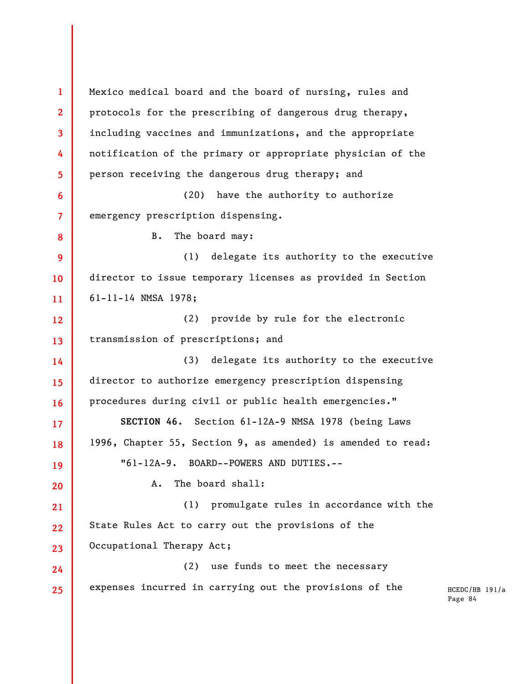HCEDC/HB 191/a Page 84 **1 2 3 4 5 6 7 8 9 10 11 12 13 14 15 16 17 18 19 20 21 22 23 24 25**  Mexico medical board and the board of nursing, rules and protocols for the prescribing of dangerous drug therapy, including vaccines and immunizations, and the appropriate notification of the primary or appropriate physician of the person receiving the dangerous drug therapy; and (20) have the authority to authorize emergency prescription dispensing. B. The board may: (1) delegate its authority to the executive director to issue temporary licenses as provided in Section 61-11-14 NMSA 1978; (2) provide by rule for the electronic transmission of prescriptions; and (3) delegate its authority to the executive director to authorize emergency prescription dispensing procedures during civil or public health emergencies." **SECTION 46.** Section 61-12A-9 NMSA 1978 (being Laws 1996, Chapter 55, Section 9, as amended) is amended to read: "61-12A-9. BOARD--POWERS AND DUTIES.-- A. The board shall: (1) promulgate rules in accordance with the State Rules Act to carry out the provisions of the Occupational Therapy Act; (2) use funds to meet the necessary expenses incurred in carrying out the provisions of the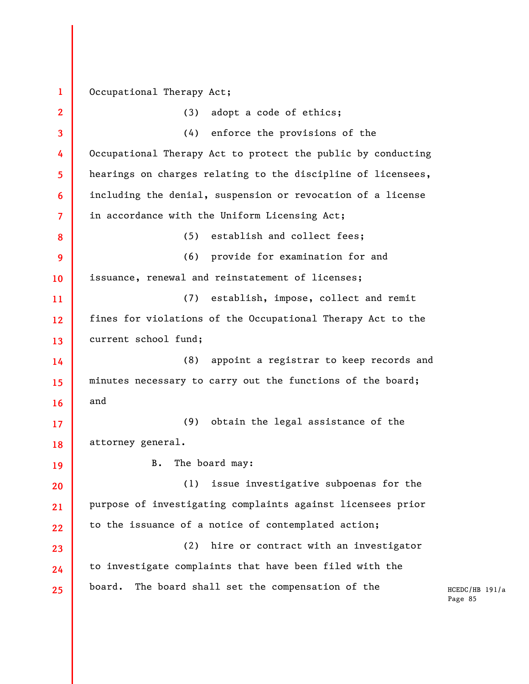## **1**  Occupational Therapy Act;

| $\overline{2}$          | (3)<br>adopt a code of ethics;                               |
|-------------------------|--------------------------------------------------------------|
| $\overline{\mathbf{3}}$ | (4) enforce the provisions of the                            |
| 4                       | Occupational Therapy Act to protect the public by conducting |
| 5                       | hearings on charges relating to the discipline of licensees, |
| 6                       | including the denial, suspension or revocation of a license  |
| $\overline{7}$          | in accordance with the Uniform Licensing Act;                |
| 8                       | establish and collect fees;<br>(5)                           |
| 9                       | (6) provide for examination for and                          |
| 10                      | issuance, renewal and reinstatement of licenses;             |
| 11                      | establish, impose, collect and remit<br>(7)                  |
| 12                      | fines for violations of the Occupational Therapy Act to the  |
| 13                      | current school fund;                                         |
| 14                      | appoint a registrar to keep records and<br>(8)               |
| 15                      | minutes necessary to carry out the functions of the board;   |
| 16                      | and                                                          |
| 17                      | obtain the legal assistance of the<br>(9)                    |
| 18                      | attorney general.                                            |
| 19                      | The board may:<br>B.                                         |
| 20                      | issue investigative subpoenas for the<br>(1)                 |
| 21                      | purpose of investigating complaints against licensees prior  |
| 22                      | to the issuance of a notice of contemplated action;          |
| 23                      | hire or contract with an investigator<br>(2)                 |
|                         |                                                              |
| 24                      | to investigate complaints that have been filed with the      |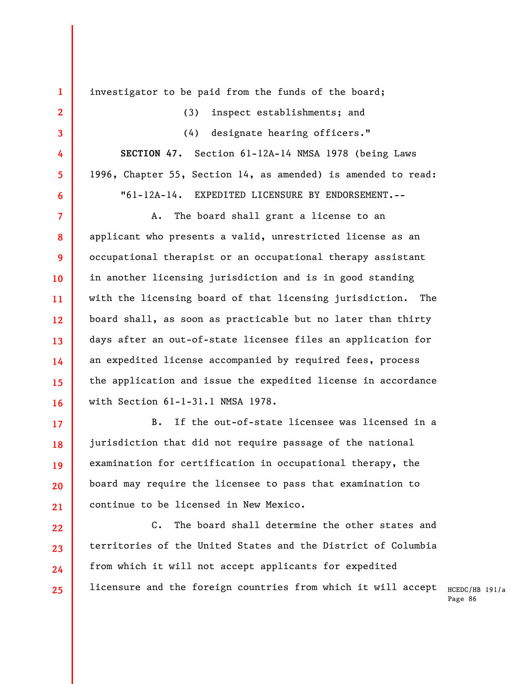**1 2 3 4 5 6 7 8 9 10 11 12 13 14 15 16 17 18 19 20**  investigator to be paid from the funds of the board; (3) inspect establishments; and (4) designate hearing officers." **SECTION 47.** Section 61-12A-14 NMSA 1978 (being Laws 1996, Chapter 55, Section 14, as amended) is amended to read: "61-12A-14. EXPEDITED LICENSURE BY ENDORSEMENT.-- A. The board shall grant a license to an applicant who presents a valid, unrestricted license as an occupational therapist or an occupational therapy assistant in another licensing jurisdiction and is in good standing with the licensing board of that licensing jurisdiction. The board shall, as soon as practicable but no later than thirty days after an out-of-state licensee files an application for an expedited license accompanied by required fees, process the application and issue the expedited license in accordance with Section 61-1-31.1 NMSA 1978. B. If the out-of-state licensee was licensed in a jurisdiction that did not require passage of the national examination for certification in occupational therapy, the board may require the licensee to pass that examination to continue to be licensed in New Mexico.

**21** 

licensure and the foreign countries from which it will accept  $_{\rm HCEDC/HB}$   $_{\rm 191/a}$ **22 23 24 25**  C. The board shall determine the other states and territories of the United States and the District of Columbia from which it will not accept applicants for expedited

Page 86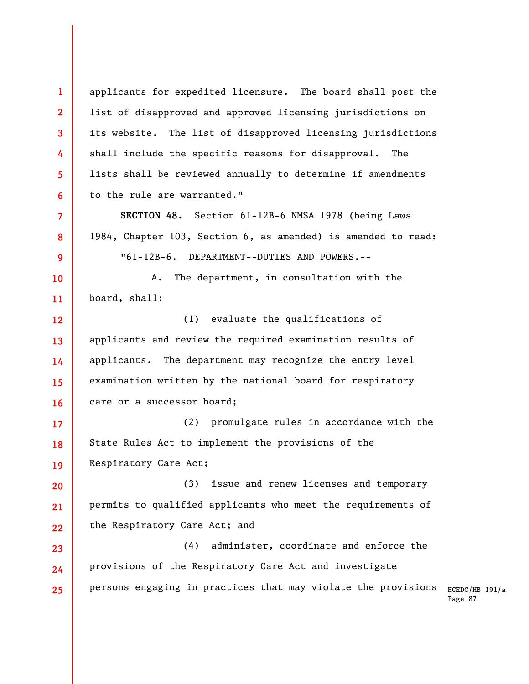**1 2 3 4 5 6 7 8 9 10 11 12 13 14 15 16 17 18 19 20 21 22 23 24 25**  applicants for expedited licensure. The board shall post the list of disapproved and approved licensing jurisdictions on its website. The list of disapproved licensing jurisdictions shall include the specific reasons for disapproval. The lists shall be reviewed annually to determine if amendments to the rule are warranted." **SECTION 48.** Section 61-12B-6 NMSA 1978 (being Laws 1984, Chapter 103, Section 6, as amended) is amended to read: "61-12B-6. DEPARTMENT--DUTIES AND POWERS.-- A. The department, in consultation with the board, shall: (1) evaluate the qualifications of applicants and review the required examination results of applicants. The department may recognize the entry level examination written by the national board for respiratory care or a successor board; (2) promulgate rules in accordance with the State Rules Act to implement the provisions of the Respiratory Care Act; (3) issue and renew licenses and temporary permits to qualified applicants who meet the requirements of the Respiratory Care Act; and (4) administer, coordinate and enforce the provisions of the Respiratory Care Act and investigate persons engaging in practices that may violate the provisions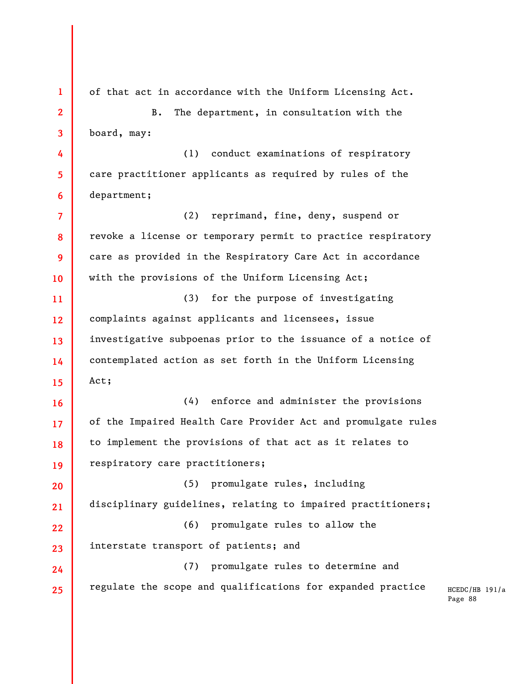**1 2 3 4 5 6 7 8 9 10 11 12 13 14 15 16 17 18 19 20 21 22 23 24 25**  of that act in accordance with the Uniform Licensing Act. B. The department, in consultation with the board, may: (1) conduct examinations of respiratory care practitioner applicants as required by rules of the department; (2) reprimand, fine, deny, suspend or revoke a license or temporary permit to practice respiratory care as provided in the Respiratory Care Act in accordance with the provisions of the Uniform Licensing Act; (3) for the purpose of investigating complaints against applicants and licensees, issue investigative subpoenas prior to the issuance of a notice of contemplated action as set forth in the Uniform Licensing Act; (4) enforce and administer the provisions of the Impaired Health Care Provider Act and promulgate rules to implement the provisions of that act as it relates to respiratory care practitioners; (5) promulgate rules, including disciplinary guidelines, relating to impaired practitioners; (6) promulgate rules to allow the interstate transport of patients; and (7) promulgate rules to determine and regulate the scope and qualifications for expanded practice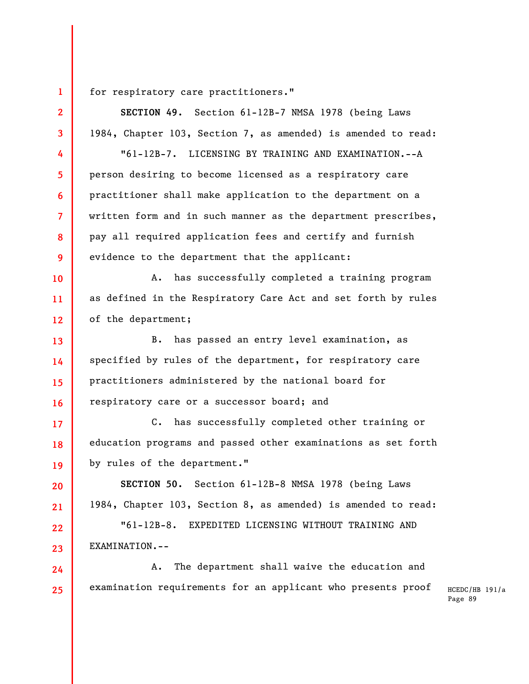for respiratory care practitioners."

HCEDC/HB 191/a Page 89 **2 3 4 5 6 7 8 9 10 11 12 13 14 15 16 17 18 19 20 21 22 23 24 25 SECTION 49.** Section 61-12B-7 NMSA 1978 (being Laws 1984, Chapter 103, Section 7, as amended) is amended to read: "61-12B-7. LICENSING BY TRAINING AND EXAMINATION.--A person desiring to become licensed as a respiratory care practitioner shall make application to the department on a written form and in such manner as the department prescribes, pay all required application fees and certify and furnish evidence to the department that the applicant: A. has successfully completed a training program as defined in the Respiratory Care Act and set forth by rules of the department; B. has passed an entry level examination, as specified by rules of the department, for respiratory care practitioners administered by the national board for respiratory care or a successor board; and C. has successfully completed other training or education programs and passed other examinations as set forth by rules of the department." **SECTION 50.** Section 61-12B-8 NMSA 1978 (being Laws 1984, Chapter 103, Section 8, as amended) is amended to read: "61-12B-8. EXPEDITED LICENSING WITHOUT TRAINING AND EXAMINATION.-- A. The department shall waive the education and examination requirements for an applicant who presents proof

**1**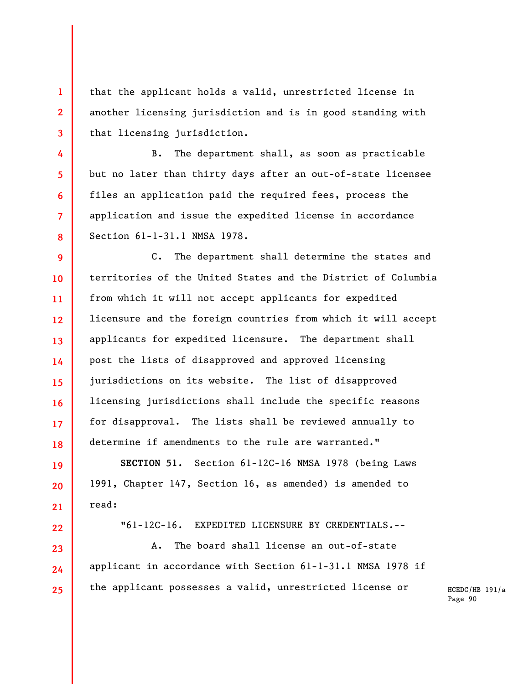that the applicant holds a valid, unrestricted license in another licensing jurisdiction and is in good standing with that licensing jurisdiction.

**1** 

**2** 

**3** 

**4** 

**5** 

**6** 

**7** 

**8** 

**19** 

**20** 

**21** 

**22** 

**23** 

**24** 

**25** 

B. The department shall, as soon as practicable but no later than thirty days after an out-of-state licensee files an application paid the required fees, process the application and issue the expedited license in accordance Section 61-1-31.1 NMSA 1978.

**9 10 11 12 13 14 15 16 17 18**  C. The department shall determine the states and territories of the United States and the District of Columbia from which it will not accept applicants for expedited licensure and the foreign countries from which it will accept applicants for expedited licensure. The department shall post the lists of disapproved and approved licensing jurisdictions on its website. The list of disapproved licensing jurisdictions shall include the specific reasons for disapproval. The lists shall be reviewed annually to determine if amendments to the rule are warranted."

**SECTION 51.** Section 61-12C-16 NMSA 1978 (being Laws 1991, Chapter 147, Section 16, as amended) is amended to read:

"61-12C-16. EXPEDITED LICENSURE BY CREDENTIALS.--

A. The board shall license an out-of-state applicant in accordance with Section 61-1-31.1 NMSA 1978 if the applicant possesses a valid, unrestricted license or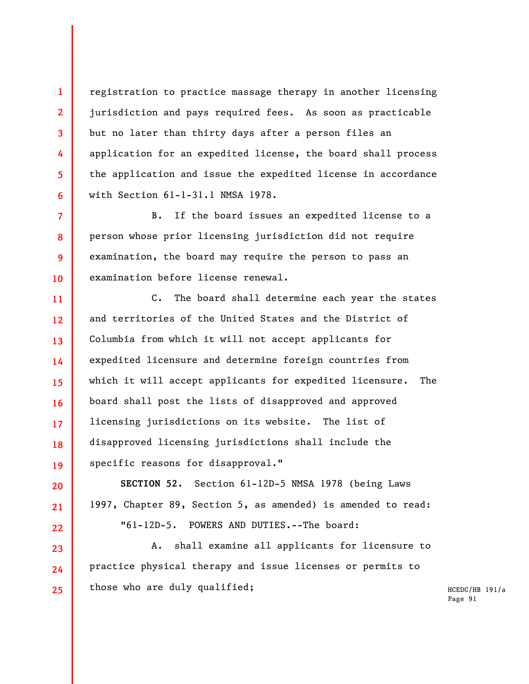registration to practice massage therapy in another licensing jurisdiction and pays required fees. As soon as practicable but no later than thirty days after a person files an application for an expedited license, the board shall process the application and issue the expedited license in accordance with Section 61-1-31.1 NMSA 1978.

**1** 

**2** 

**3** 

**4** 

**5** 

**6** 

**20** 

**21** 

**22** 

**23** 

**24** 

**25** 

**7 8 9 10**  B. If the board issues an expedited license to a person whose prior licensing jurisdiction did not require examination, the board may require the person to pass an examination before license renewal.

**11 12 13 14 15 16 17 18 19**  C. The board shall determine each year the states and territories of the United States and the District of Columbia from which it will not accept applicants for expedited licensure and determine foreign countries from which it will accept applicants for expedited licensure. The board shall post the lists of disapproved and approved licensing jurisdictions on its website. The list of disapproved licensing jurisdictions shall include the specific reasons for disapproval."

**SECTION 52.** Section 61-12D-5 NMSA 1978 (being Laws 1997, Chapter 89, Section 5, as amended) is amended to read: "61-12D-5. POWERS AND DUTIES.--The board:

A. shall examine all applicants for licensure to practice physical therapy and issue licenses or permits to those who are duly qualified;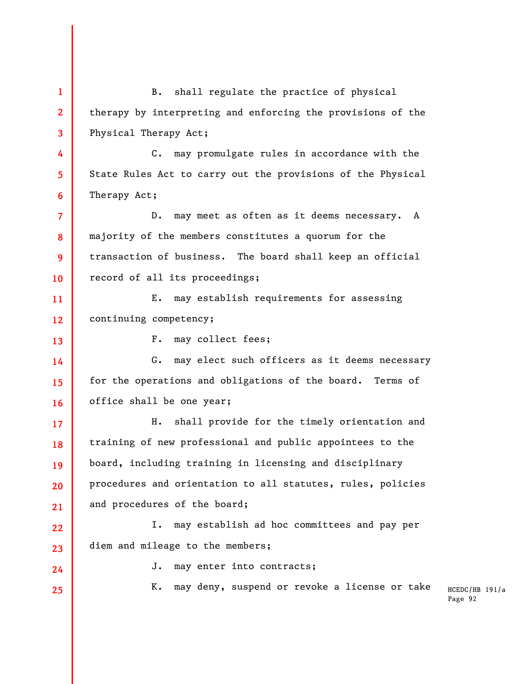HCEDC/HB 191/a Page 92 **1 2 3 4 5 6 7 8 9 10 11 12 13 14 15 16 17 18 19 20 21 22 23 24 25**  B. shall regulate the practice of physical therapy by interpreting and enforcing the provisions of the Physical Therapy Act; C. may promulgate rules in accordance with the State Rules Act to carry out the provisions of the Physical Therapy Act; D. may meet as often as it deems necessary. A majority of the members constitutes a quorum for the transaction of business. The board shall keep an official record of all its proceedings; E. may establish requirements for assessing continuing competency; F. may collect fees; G. may elect such officers as it deems necessary for the operations and obligations of the board. Terms of office shall be one year; H. shall provide for the timely orientation and training of new professional and public appointees to the board, including training in licensing and disciplinary procedures and orientation to all statutes, rules, policies and procedures of the board; I. may establish ad hoc committees and pay per diem and mileage to the members; J. may enter into contracts; K. may deny, suspend or revoke a license or take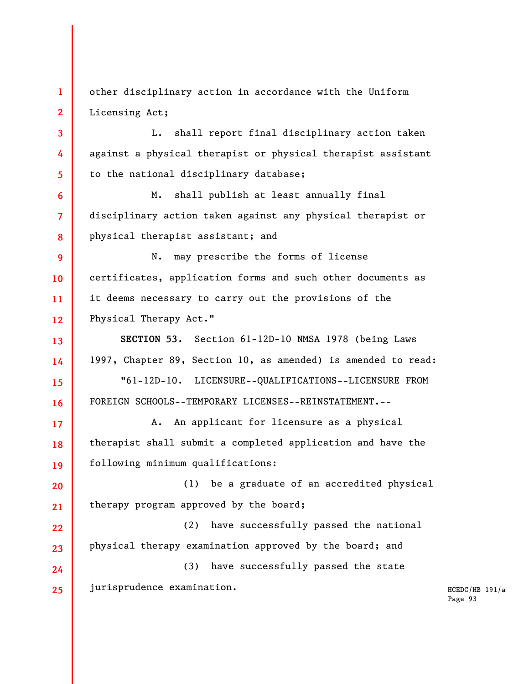**1 2**  other disciplinary action in accordance with the Uniform Licensing Act;

**3** 

**4** 

**5** 

**6** 

**7** 

**8** 

**13** 

**14** 

**15** 

**16** 

**17** 

**18** 

**19** 

L. shall report final disciplinary action taken against a physical therapist or physical therapist assistant to the national disciplinary database;

M. shall publish at least annually final disciplinary action taken against any physical therapist or physical therapist assistant; and

**9 10 11 12**  N. may prescribe the forms of license certificates, application forms and such other documents as it deems necessary to carry out the provisions of the Physical Therapy Act."

**SECTION 53.** Section 61-12D-10 NMSA 1978 (being Laws 1997, Chapter 89, Section 10, as amended) is amended to read:

"61-12D-10. LICENSURE--QUALIFICATIONS--LICENSURE FROM FOREIGN SCHOOLS--TEMPORARY LICENSES--REINSTATEMENT.--

A. An applicant for licensure as a physical therapist shall submit a completed application and have the following minimum qualifications:

**20 21**  (1) be a graduate of an accredited physical therapy program approved by the board;

**22 23**  (2) have successfully passed the national physical therapy examination approved by the board; and

**24 25**  (3) have successfully passed the state jurisprudence examination.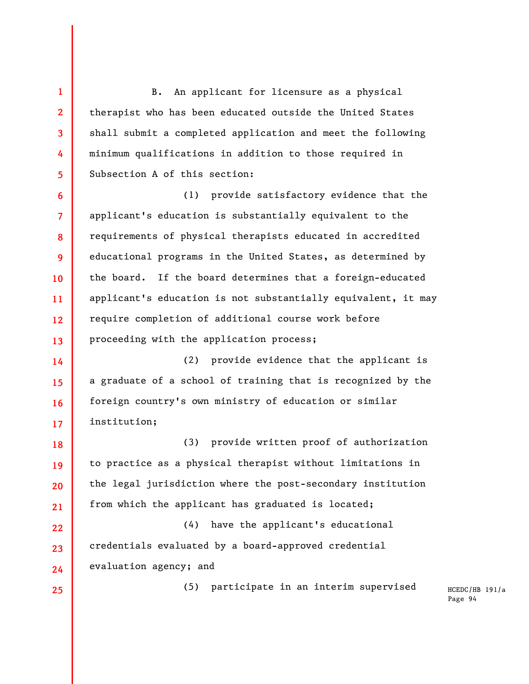B. An applicant for licensure as a physical therapist who has been educated outside the United States shall submit a completed application and meet the following minimum qualifications in addition to those required in Subsection A of this section:

**6 7 8 9 10 11 12 13**  (1) provide satisfactory evidence that the applicant's education is substantially equivalent to the requirements of physical therapists educated in accredited educational programs in the United States, as determined by the board. If the board determines that a foreign-educated applicant's education is not substantially equivalent, it may require completion of additional course work before proceeding with the application process;

**14 15 16 17**  (2) provide evidence that the applicant is a graduate of a school of training that is recognized by the foreign country's own ministry of education or similar institution;

**18 19 20 21**  (3) provide written proof of authorization to practice as a physical therapist without limitations in the legal jurisdiction where the post-secondary institution from which the applicant has graduated is located;

**22 23 24**  (4) have the applicant's educational credentials evaluated by a board-approved credential evaluation agency; and

**25** 

**1** 

**2** 

**3** 

**4** 

**5** 

(5) participate in an interim supervised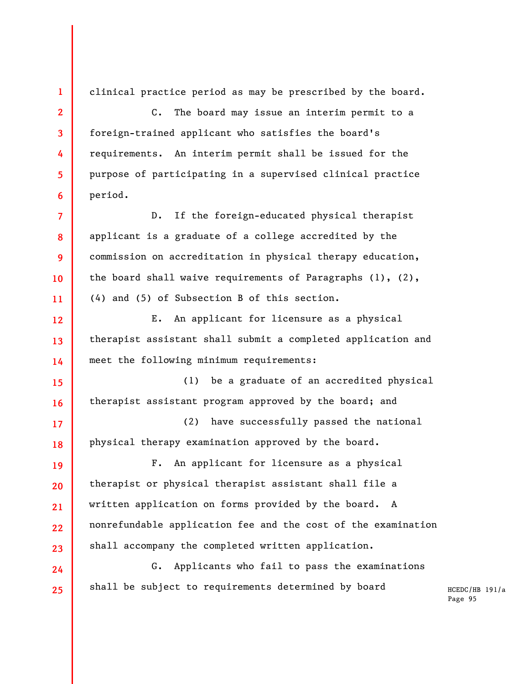**1 2 3 4 5 6 7 8 9 10 11 12 13 14 15 16 17 18 19 20 21 22 23 24 25**  clinical practice period as may be prescribed by the board. C. The board may issue an interim permit to a foreign-trained applicant who satisfies the board's requirements. An interim permit shall be issued for the purpose of participating in a supervised clinical practice period. D. If the foreign-educated physical therapist applicant is a graduate of a college accredited by the commission on accreditation in physical therapy education, the board shall waive requirements of Paragraphs  $(1)$ ,  $(2)$ , (4) and (5) of Subsection B of this section. E. An applicant for licensure as a physical therapist assistant shall submit a completed application and meet the following minimum requirements: (1) be a graduate of an accredited physical therapist assistant program approved by the board; and (2) have successfully passed the national physical therapy examination approved by the board. F. An applicant for licensure as a physical therapist or physical therapist assistant shall file a written application on forms provided by the board. A nonrefundable application fee and the cost of the examination shall accompany the completed written application. G. Applicants who fail to pass the examinations shall be subject to requirements determined by board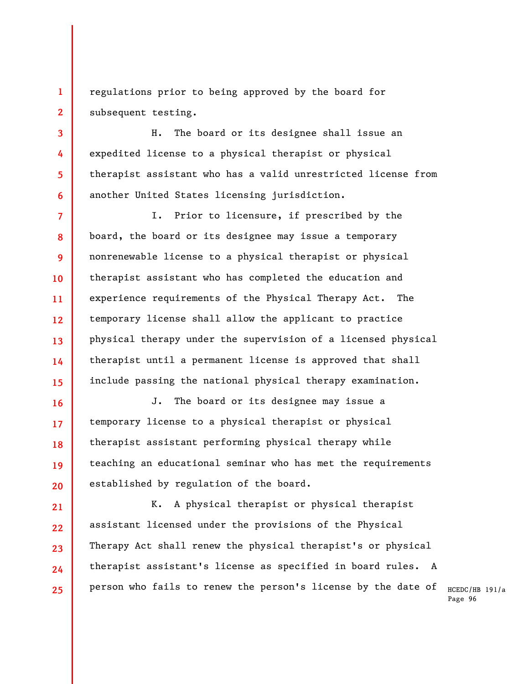**1 2**  regulations prior to being approved by the board for subsequent testing.

**3** 

**4** 

**5** 

**6** 

**16** 

**17** 

**18** 

**19** 

**20** 

H. The board or its designee shall issue an expedited license to a physical therapist or physical therapist assistant who has a valid unrestricted license from another United States licensing jurisdiction.

**7 8 9 10 11 12 13 14 15**  I. Prior to licensure, if prescribed by the board, the board or its designee may issue a temporary nonrenewable license to a physical therapist or physical therapist assistant who has completed the education and experience requirements of the Physical Therapy Act. The temporary license shall allow the applicant to practice physical therapy under the supervision of a licensed physical therapist until a permanent license is approved that shall include passing the national physical therapy examination.

J. The board or its designee may issue a temporary license to a physical therapist or physical therapist assistant performing physical therapy while teaching an educational seminar who has met the requirements established by regulation of the board.

**21 22 23 24 25**  K. A physical therapist or physical therapist assistant licensed under the provisions of the Physical Therapy Act shall renew the physical therapist's or physical therapist assistant's license as specified in board rules. A person who fails to renew the person's license by the date of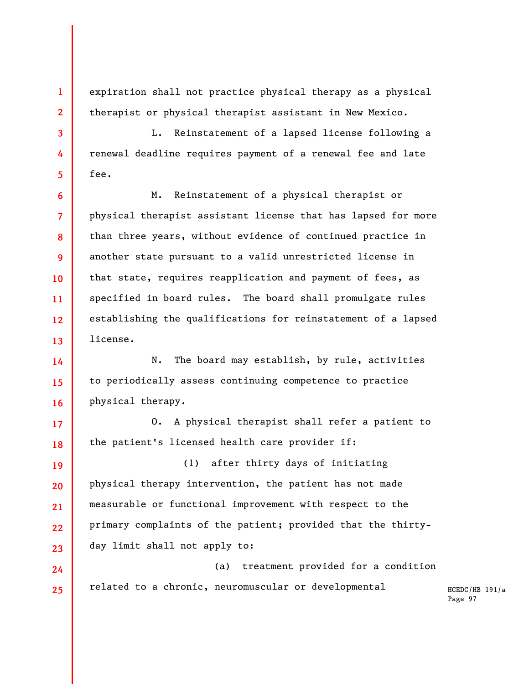expiration shall not practice physical therapy as a physical therapist or physical therapist assistant in New Mexico.

**1** 

**2** 

**3** 

**4** 

**5** 

**6** 

**7** 

**8** 

**9** 

**10** 

**11** 

**12** 

**17** 

**18** 

L. Reinstatement of a lapsed license following a renewal deadline requires payment of a renewal fee and late fee.

**13**  M. Reinstatement of a physical therapist or physical therapist assistant license that has lapsed for more than three years, without evidence of continued practice in another state pursuant to a valid unrestricted license in that state, requires reapplication and payment of fees, as specified in board rules. The board shall promulgate rules establishing the qualifications for reinstatement of a lapsed license.

**14 15 16**  N. The board may establish, by rule, activities to periodically assess continuing competence to practice physical therapy.

O. A physical therapist shall refer a patient to the patient's licensed health care provider if:

**19 20 21 22 23**  (1) after thirty days of initiating physical therapy intervention, the patient has not made measurable or functional improvement with respect to the primary complaints of the patient; provided that the thirtyday limit shall not apply to:

**24 25**  (a) treatment provided for a condition related to a chronic, neuromuscular or developmental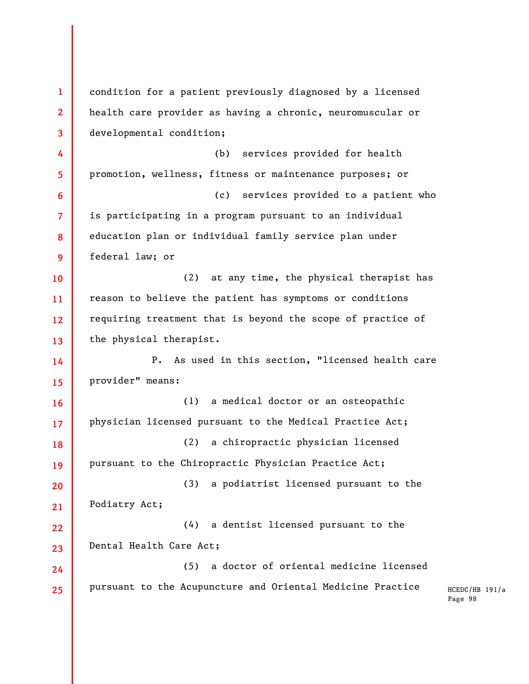HCEDC/HB 191/a Page 98 **1 2 3 4 5 6 7 8 9 10 11 12 13 14 15 16 17 18 19 20 21 22 23 24 25**  condition for a patient previously diagnosed by a licensed health care provider as having a chronic, neuromuscular or developmental condition; (b) services provided for health promotion, wellness, fitness or maintenance purposes; or (c) services provided to a patient who is participating in a program pursuant to an individual education plan or individual family service plan under federal law; or (2) at any time, the physical therapist has reason to believe the patient has symptoms or conditions requiring treatment that is beyond the scope of practice of the physical therapist. P. As used in this section, "licensed health care provider" means: (1) a medical doctor or an osteopathic physician licensed pursuant to the Medical Practice Act; (2) a chiropractic physician licensed pursuant to the Chiropractic Physician Practice Act; (3) a podiatrist licensed pursuant to the Podiatry Act; (4) a dentist licensed pursuant to the Dental Health Care Act; (5) a doctor of oriental medicine licensed pursuant to the Acupuncture and Oriental Medicine Practice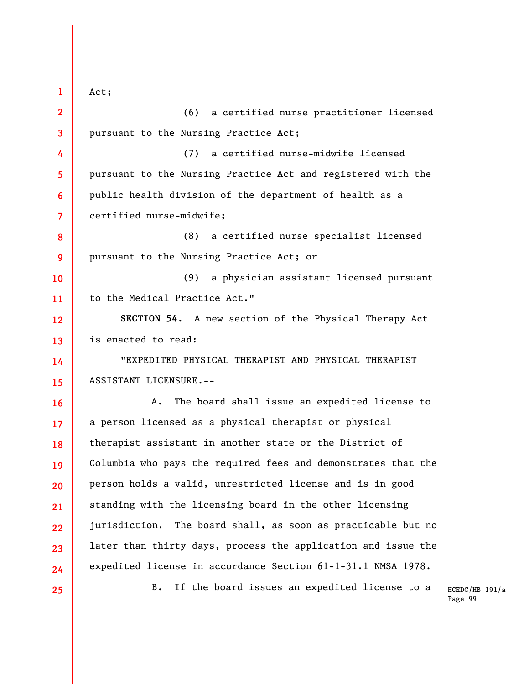HCEDC/HB 191/a **1 2 3 4 5 6 7 8 9 10 11 12 13 14 15 16 17 18 19 20 21 22 23 24 25**  Act; (6) a certified nurse practitioner licensed pursuant to the Nursing Practice Act; (7) a certified nurse-midwife licensed pursuant to the Nursing Practice Act and registered with the public health division of the department of health as a certified nurse-midwife; (8) a certified nurse specialist licensed pursuant to the Nursing Practice Act; or (9) a physician assistant licensed pursuant to the Medical Practice Act." **SECTION 54.** A new section of the Physical Therapy Act is enacted to read: "EXPEDITED PHYSICAL THERAPIST AND PHYSICAL THERAPIST ASSISTANT LICENSURE.-- A. The board shall issue an expedited license to a person licensed as a physical therapist or physical therapist assistant in another state or the District of Columbia who pays the required fees and demonstrates that the person holds a valid, unrestricted license and is in good standing with the licensing board in the other licensing jurisdiction. The board shall, as soon as practicable but no later than thirty days, process the application and issue the expedited license in accordance Section 61-1-31.1 NMSA 1978. B. If the board issues an expedited license to a

Page 99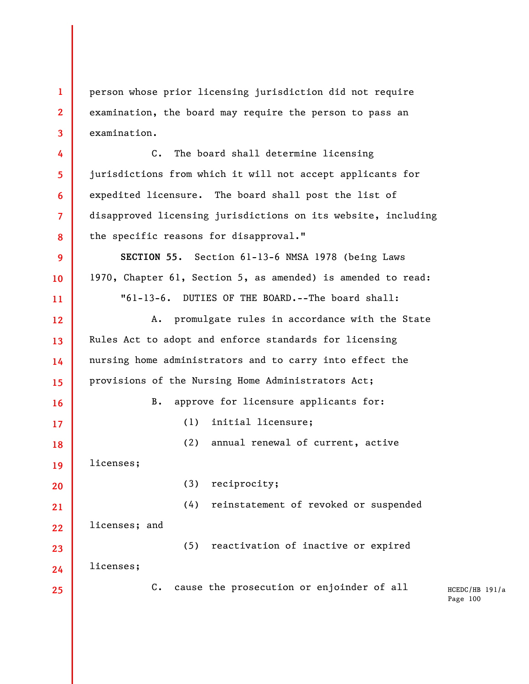**1 2 3**  person whose prior licensing jurisdiction did not require examination, the board may require the person to pass an examination.

C. The board shall determine licensing jurisdictions from which it will not accept applicants for expedited licensure. The board shall post the list of disapproved licensing jurisdictions on its website, including the specific reasons for disapproval."

**SECTION 55.** Section 61-13-6 NMSA 1978 (being Laws 1970, Chapter 61, Section 5, as amended) is amended to read: "61-13-6. DUTIES OF THE BOARD.--The board shall:

A. promulgate rules in accordance with the State Rules Act to adopt and enforce standards for licensing nursing home administrators and to carry into effect the provisions of the Nursing Home Administrators Act; B. approve for licensure applicants for: (1) initial licensure; (2) annual renewal of current, active

(3) reciprocity;

**19**  licenses;

licenses; and

licenses;

**4** 

**5** 

**6** 

**7** 

**8** 

**9** 

**10** 

**11** 

**12** 

**13** 

**14** 

**15** 

**16** 

**17** 

**18** 

**24** 

**25** 

(5) reactivation of inactive or expired

(4) reinstatement of revoked or suspended

C. cause the prosecution or enjoinder of all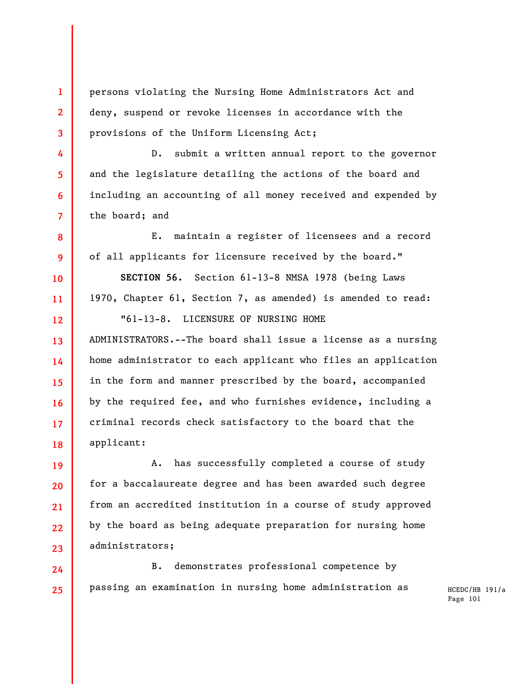persons violating the Nursing Home Administrators Act and deny, suspend or revoke licenses in accordance with the provisions of the Uniform Licensing Act;

**1** 

**2** 

**3** 

**4** 

**5** 

**6** 

**7** 

**8** 

**9** 

**10** 

**11** 

**12** 

**13** 

**14** 

**15** 

**16** 

**17** 

**18** 

**19** 

**20** 

**21** 

**22** 

**23** 

D. submit a written annual report to the governor and the legislature detailing the actions of the board and including an accounting of all money received and expended by the board; and

E. maintain a register of licensees and a record of all applicants for licensure received by the board."

**SECTION 56.** Section 61-13-8 NMSA 1978 (being Laws 1970, Chapter 61, Section 7, as amended) is amended to read: "61-13-8. LICENSURE OF NURSING HOME

ADMINISTRATORS.--The board shall issue a license as a nursing home administrator to each applicant who files an application in the form and manner prescribed by the board, accompanied by the required fee, and who furnishes evidence, including a criminal records check satisfactory to the board that the applicant:

A. has successfully completed a course of study for a baccalaureate degree and has been awarded such degree from an accredited institution in a course of study approved by the board as being adequate preparation for nursing home administrators;

**24 25**  B. demonstrates professional competence by passing an examination in nursing home administration as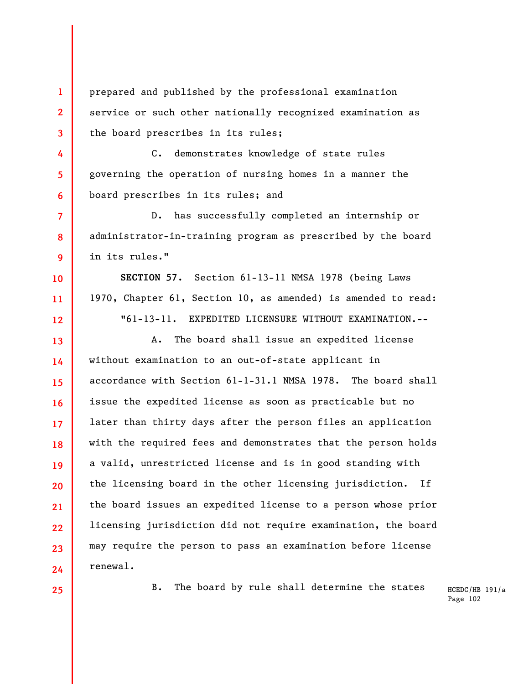prepared and published by the professional examination service or such other nationally recognized examination as the board prescribes in its rules;

C. demonstrates knowledge of state rules governing the operation of nursing homes in a manner the board prescribes in its rules; and

D. has successfully completed an internship or administrator-in-training program as prescribed by the board in its rules."

**SECTION 57.** Section 61-13-11 NMSA 1978 (being Laws 1970, Chapter 61, Section 10, as amended) is amended to read: "61-13-11. EXPEDITED LICENSURE WITHOUT EXAMINATION.--

**13 14 15 16 17 18 19 20 21 22 23 24**  A. The board shall issue an expedited license without examination to an out-of-state applicant in accordance with Section 61-1-31.1 NMSA 1978. The board shall issue the expedited license as soon as practicable but no later than thirty days after the person files an application with the required fees and demonstrates that the person holds a valid, unrestricted license and is in good standing with the licensing board in the other licensing jurisdiction. If the board issues an expedited license to a person whose prior licensing jurisdiction did not require examination, the board may require the person to pass an examination before license renewal.

**25** 

**1** 

**2** 

**3** 

**4** 

**5** 

**6** 

**7** 

**8** 

**9** 

**10** 

**11** 

**12** 

B. The board by rule shall determine the states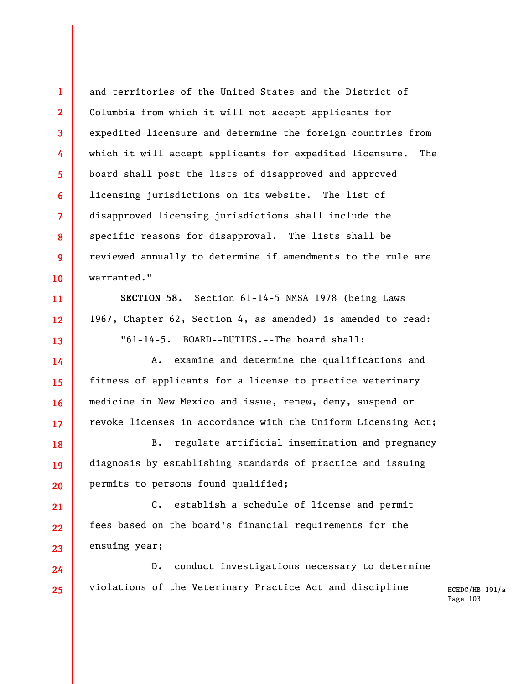**1 2 3 4 5 6 7 8 9 10**  and territories of the United States and the District of Columbia from which it will not accept applicants for expedited licensure and determine the foreign countries from which it will accept applicants for expedited licensure. The board shall post the lists of disapproved and approved licensing jurisdictions on its website. The list of disapproved licensing jurisdictions shall include the specific reasons for disapproval. The lists shall be reviewed annually to determine if amendments to the rule are warranted."

**SECTION 58.** Section 61-14-5 NMSA 1978 (being Laws 1967, Chapter 62, Section 4, as amended) is amended to read: "61-14-5. BOARD--DUTIES.--The board shall:

**11** 

**12** 

**13** 

**14** 

**15** 

**16** 

**17** 

A. examine and determine the qualifications and fitness of applicants for a license to practice veterinary medicine in New Mexico and issue, renew, deny, suspend or revoke licenses in accordance with the Uniform Licensing Act;

**18 19 20**  B. regulate artificial insemination and pregnancy diagnosis by establishing standards of practice and issuing permits to persons found qualified;

**21 22 23**  C. establish a schedule of license and permit fees based on the board's financial requirements for the ensuing year;

**24 25**  D. conduct investigations necessary to determine violations of the Veterinary Practice Act and discipline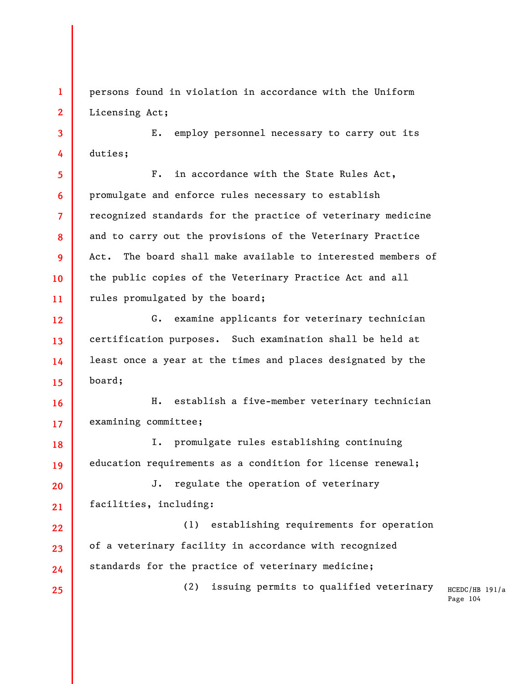persons found in violation in accordance with the Uniform Licensing Act;

**1** 

**2** 

**3** 

**4** 

**25** 

E. employ personnel necessary to carry out its duties;

**5 6 7 8 9 10 11**  F. in accordance with the State Rules Act, promulgate and enforce rules necessary to establish recognized standards for the practice of veterinary medicine and to carry out the provisions of the Veterinary Practice Act. The board shall make available to interested members of the public copies of the Veterinary Practice Act and all rules promulgated by the board;

**12 13 14 15**  G. examine applicants for veterinary technician certification purposes. Such examination shall be held at least once a year at the times and places designated by the board;

**16 17**  H. establish a five-member veterinary technician examining committee;

**18 19**  I. promulgate rules establishing continuing education requirements as a condition for license renewal;

**20 21**  J. regulate the operation of veterinary facilities, including:

**22 23 24**  (1) establishing requirements for operation of a veterinary facility in accordance with recognized standards for the practice of veterinary medicine;

(2) issuing permits to qualified veterinary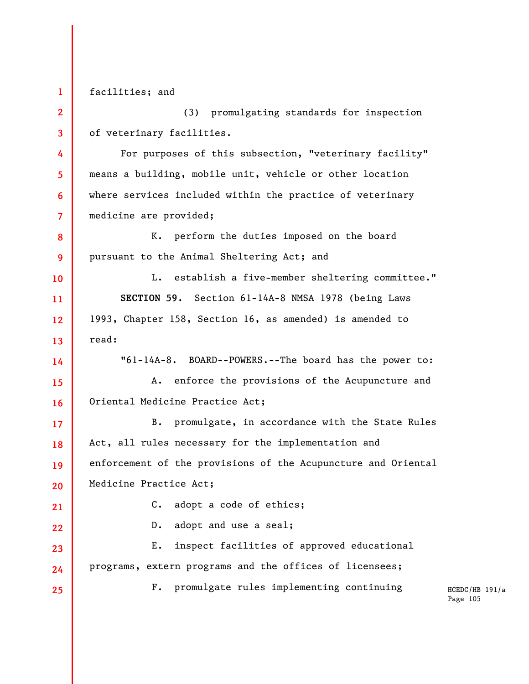**1 2 3 4 5 6 7 8 9 10 11 12 13 14 15 16 17 18 19 20 21 22 23 24 25**  facilities; and (3) promulgating standards for inspection of veterinary facilities. For purposes of this subsection, "veterinary facility" means a building, mobile unit, vehicle or other location where services included within the practice of veterinary medicine are provided; K. perform the duties imposed on the board pursuant to the Animal Sheltering Act; and L. establish a five-member sheltering committee." **SECTION 59.** Section 61-14A-8 NMSA 1978 (being Laws 1993, Chapter 158, Section 16, as amended) is amended to read: "61-14A-8. BOARD--POWERS.--The board has the power to: A. enforce the provisions of the Acupuncture and Oriental Medicine Practice Act; B. promulgate, in accordance with the State Rules Act, all rules necessary for the implementation and enforcement of the provisions of the Acupuncture and Oriental Medicine Practice Act; C. adopt a code of ethics; D. adopt and use a seal; E. inspect facilities of approved educational programs, extern programs and the offices of licensees; F. promulgate rules implementing continuing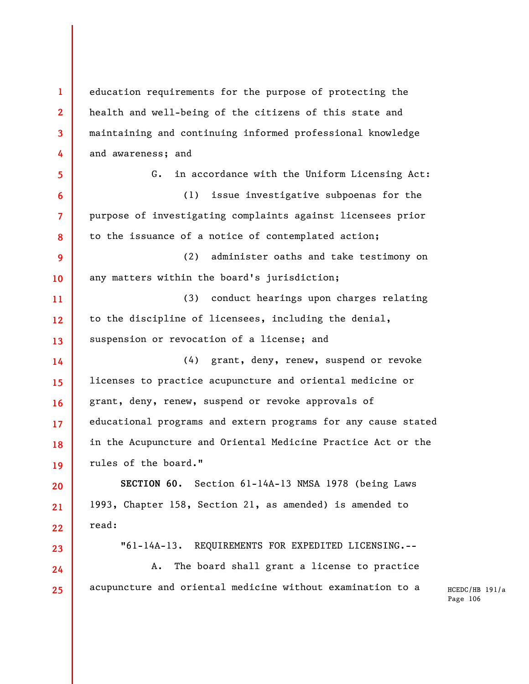**1 2 3 4 5 6 7 8 9 10 11 12 13 14 15 16 17 18 19 20 21 22 23 24 25**  education requirements for the purpose of protecting the health and well-being of the citizens of this state and maintaining and continuing informed professional knowledge and awareness; and G. in accordance with the Uniform Licensing Act: (1) issue investigative subpoenas for the purpose of investigating complaints against licensees prior to the issuance of a notice of contemplated action; (2) administer oaths and take testimony on any matters within the board's jurisdiction; (3) conduct hearings upon charges relating to the discipline of licensees, including the denial, suspension or revocation of a license; and (4) grant, deny, renew, suspend or revoke licenses to practice acupuncture and oriental medicine or grant, deny, renew, suspend or revoke approvals of educational programs and extern programs for any cause stated in the Acupuncture and Oriental Medicine Practice Act or the rules of the board." **SECTION 60.** Section 61-14A-13 NMSA 1978 (being Laws 1993, Chapter 158, Section 21, as amended) is amended to read: "61-14A-13. REQUIREMENTS FOR EXPEDITED LICENSING.-- A. The board shall grant a license to practice acupuncture and oriental medicine without examination to a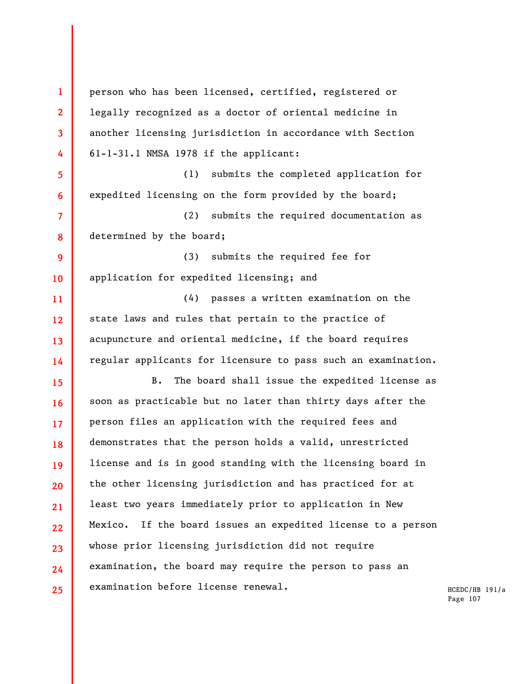**1 2 3 4 5 6 7 8 9 10 11 12 13 14 15 16 17 18 19 20 21 22 23 24 25**  person who has been licensed, certified, registered or legally recognized as a doctor of oriental medicine in another licensing jurisdiction in accordance with Section 61-1-31.1 NMSA 1978 if the applicant: (1) submits the completed application for expedited licensing on the form provided by the board; (2) submits the required documentation as determined by the board; (3) submits the required fee for application for expedited licensing; and (4) passes a written examination on the state laws and rules that pertain to the practice of acupuncture and oriental medicine, if the board requires regular applicants for licensure to pass such an examination. B. The board shall issue the expedited license as soon as practicable but no later than thirty days after the person files an application with the required fees and demonstrates that the person holds a valid, unrestricted license and is in good standing with the licensing board in the other licensing jurisdiction and has practiced for at least two years immediately prior to application in New Mexico. If the board issues an expedited license to a person whose prior licensing jurisdiction did not require examination, the board may require the person to pass an examination before license renewal.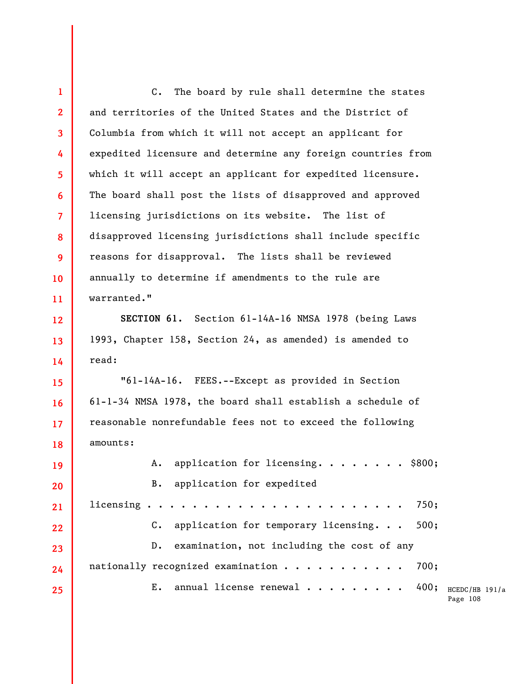400; HCEDC/HB 191/a Page 108 **1 2 3 4 5 6 7 8 9 10 11 12 13 14 15 16 17 18 19 20 21 22 23 24 25**  C. The board by rule shall determine the states and territories of the United States and the District of Columbia from which it will not accept an applicant for expedited licensure and determine any foreign countries from which it will accept an applicant for expedited licensure. The board shall post the lists of disapproved and approved licensing jurisdictions on its website. The list of disapproved licensing jurisdictions shall include specific reasons for disapproval. The lists shall be reviewed annually to determine if amendments to the rule are warranted." **SECTION 61.** Section 61-14A-16 NMSA 1978 (being Laws 1993, Chapter 158, Section 24, as amended) is amended to read: "61-14A-16. FEES.--Except as provided in Section 61-1-34 NMSA 1978, the board shall establish a schedule of reasonable nonrefundable fees not to exceed the following amounts: A. application for licensing........ \$800; B. application for expedited licensing  $\ldots \ldots \ldots \ldots \ldots$ . C. application for temporary licensing. . . 500; D. examination, not including the cost of any nationally recognized examination........... 700; E. annual license renewal  $\cdots$ .....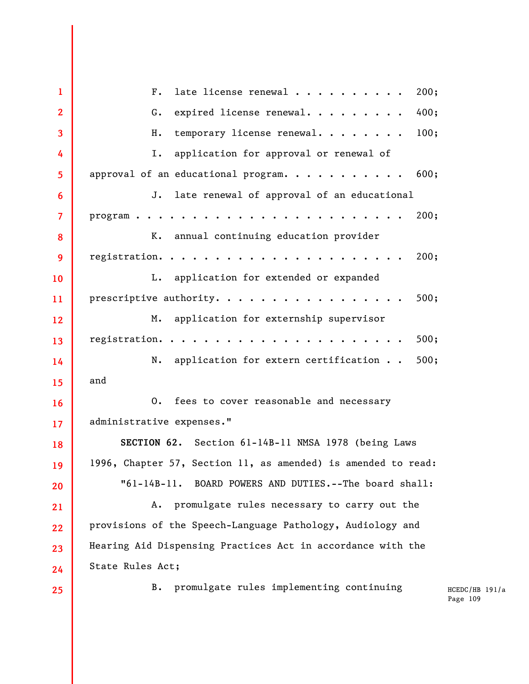**1 2 3 4 5 6 7 8 9 10 11 12 13 14 15 16 17 18 19 20 21 22 23 24 25**  F. late license renewal  $\cdots$ ........... 200: G. expired license renewal.......... 400; H. temporary license renewal......... 100; I. application for approval or renewal of approval of an educational program........... 600; J. late renewal of approval of an educational program........................ 200; K. annual continuing education provider registration...................... 200; L. application for extended or expanded prescriptive authority.  $\cdots$ ..........................500; M. application for externship supervisor registration...................... 500; N. application for extern certification . . 500; and O. fees to cover reasonable and necessary administrative expenses." **SECTION 62.** Section 61-14B-11 NMSA 1978 (being Laws 1996, Chapter 57, Section 11, as amended) is amended to read: "61-14B-11. BOARD POWERS AND DUTIES.--The board shall: A. promulgate rules necessary to carry out the provisions of the Speech-Language Pathology, Audiology and Hearing Aid Dispensing Practices Act in accordance with the State Rules Act; B. promulgate rules implementing continuing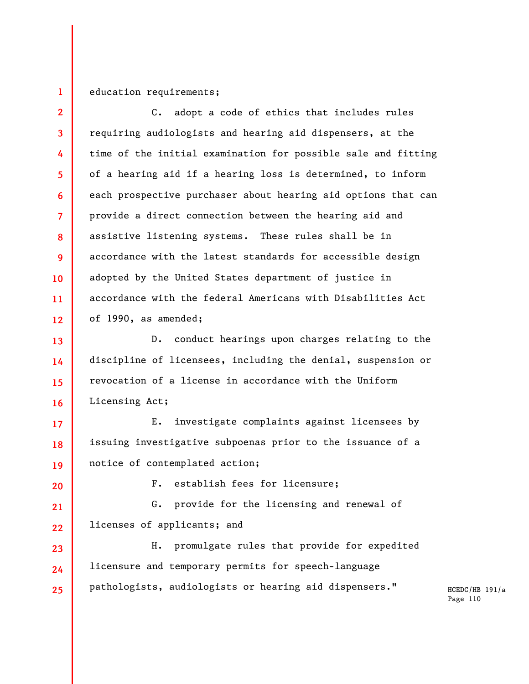## education requirements;

**2 3 4 5 6 7 8 9 10 11 12**  C. adopt a code of ethics that includes rules requiring audiologists and hearing aid dispensers, at the time of the initial examination for possible sale and fitting of a hearing aid if a hearing loss is determined, to inform each prospective purchaser about hearing aid options that can provide a direct connection between the hearing aid and assistive listening systems. These rules shall be in accordance with the latest standards for accessible design adopted by the United States department of justice in accordance with the federal Americans with Disabilities Act of 1990, as amended;

**13 14 15 16**  D. conduct hearings upon charges relating to the discipline of licensees, including the denial, suspension or revocation of a license in accordance with the Uniform Licensing Act;

E. investigate complaints against licensees by issuing investigative subpoenas prior to the issuance of a notice of contemplated action;

**20** 

**17** 

**18** 

**19** 

**1** 

F. establish fees for licensure;

**21 22**  G. provide for the licensing and renewal of licenses of applicants; and

**23 24 25**  H. promulgate rules that provide for expedited licensure and temporary permits for speech-language pathologists, audiologists or hearing aid dispensers."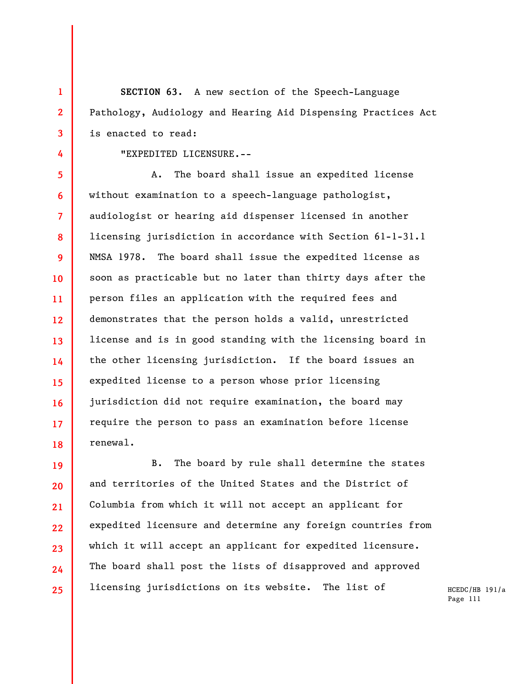**SECTION 63.** A new section of the Speech-Language Pathology, Audiology and Hearing Aid Dispensing Practices Act is enacted to read:

"EXPEDITED LICENSURE.--

**1** 

**2** 

**3** 

**4** 

**5 6 7 8 9 10 11 12 13 14 15 16 17 18**  A. The board shall issue an expedited license without examination to a speech-language pathologist, audiologist or hearing aid dispenser licensed in another licensing jurisdiction in accordance with Section 61-1-31.1 NMSA 1978. The board shall issue the expedited license as soon as practicable but no later than thirty days after the person files an application with the required fees and demonstrates that the person holds a valid, unrestricted license and is in good standing with the licensing board in the other licensing jurisdiction. If the board issues an expedited license to a person whose prior licensing jurisdiction did not require examination, the board may require the person to pass an examination before license renewal.

**19 20 21 22 23 24 25**  B. The board by rule shall determine the states and territories of the United States and the District of Columbia from which it will not accept an applicant for expedited licensure and determine any foreign countries from which it will accept an applicant for expedited licensure. The board shall post the lists of disapproved and approved licensing jurisdictions on its website. The list of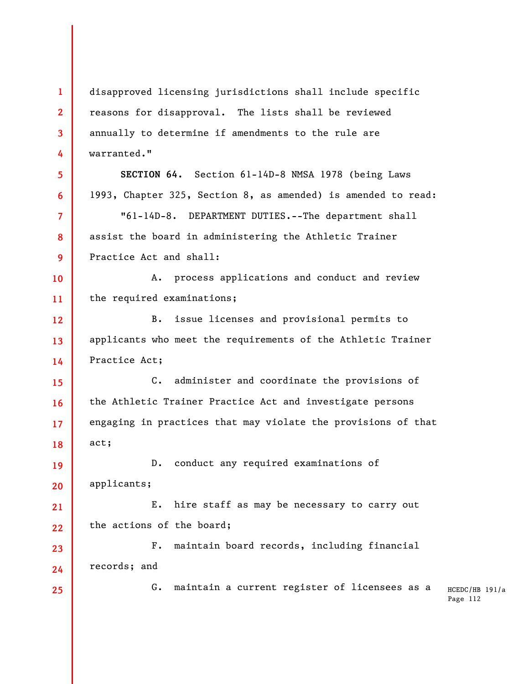HCEDC/HB 191/a Page 112 **1 2 3 4 5 6 7 8 9 10 11 12 13 14 15 16 17 18 19 20 21 22 23 24 25**  disapproved licensing jurisdictions shall include specific reasons for disapproval. The lists shall be reviewed annually to determine if amendments to the rule are warranted." **SECTION 64.** Section 61-14D-8 NMSA 1978 (being Laws 1993, Chapter 325, Section 8, as amended) is amended to read: "61-14D-8. DEPARTMENT DUTIES.--The department shall assist the board in administering the Athletic Trainer Practice Act and shall: A. process applications and conduct and review the required examinations; B. issue licenses and provisional permits to applicants who meet the requirements of the Athletic Trainer Practice Act; C. administer and coordinate the provisions of the Athletic Trainer Practice Act and investigate persons engaging in practices that may violate the provisions of that act; D. conduct any required examinations of applicants; E. hire staff as may be necessary to carry out the actions of the board; F. maintain board records, including financial records; and G. maintain a current register of licensees as a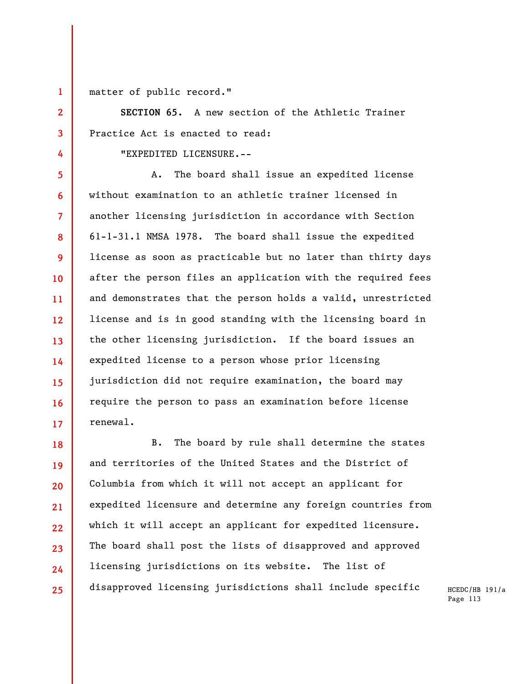**1** 

**2** 

**3** 

**4** 

matter of public record."

**SECTION 65.** A new section of the Athletic Trainer Practice Act is enacted to read:

"EXPEDITED LICENSURE.--

**5 6 7 8 9 10 11 12 13 14 15 16 17**  A. The board shall issue an expedited license without examination to an athletic trainer licensed in another licensing jurisdiction in accordance with Section 61-1-31.1 NMSA 1978. The board shall issue the expedited license as soon as practicable but no later than thirty days after the person files an application with the required fees and demonstrates that the person holds a valid, unrestricted license and is in good standing with the licensing board in the other licensing jurisdiction. If the board issues an expedited license to a person whose prior licensing jurisdiction did not require examination, the board may require the person to pass an examination before license renewal.

**18 19 20 21 22 23 24 25**  B. The board by rule shall determine the states and territories of the United States and the District of Columbia from which it will not accept an applicant for expedited licensure and determine any foreign countries from which it will accept an applicant for expedited licensure. The board shall post the lists of disapproved and approved licensing jurisdictions on its website. The list of disapproved licensing jurisdictions shall include specific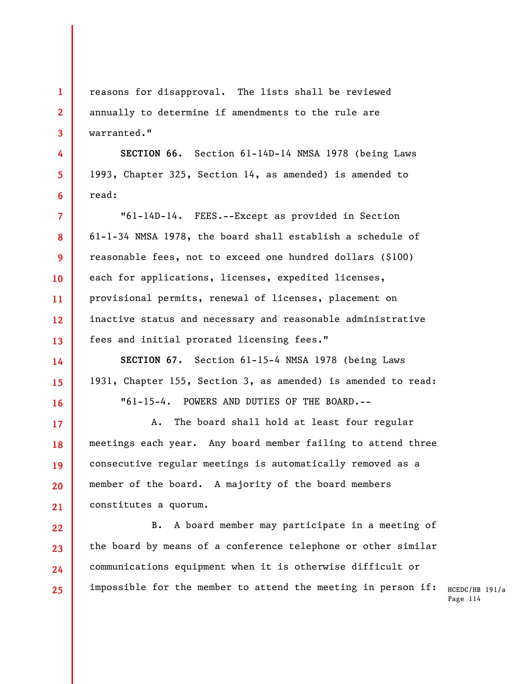**1 2 3**  reasons for disapproval. The lists shall be reviewed annually to determine if amendments to the rule are warranted."

**4** 

**5** 

**6** 

**14** 

**15** 

**16** 

**SECTION 66.** Section 61-14D-14 NMSA 1978 (being Laws 1993, Chapter 325, Section 14, as amended) is amended to read:

**7 8 9 10 11 12 13**  "61-14D-14. FEES.--Except as provided in Section 61-1-34 NMSA 1978, the board shall establish a schedule of reasonable fees, not to exceed one hundred dollars (\$100) each for applications, licenses, expedited licenses, provisional permits, renewal of licenses, placement on inactive status and necessary and reasonable administrative fees and initial prorated licensing fees."

**SECTION 67.** Section 61-15-4 NMSA 1978 (being Laws 1931, Chapter 155, Section 3, as amended) is amended to read: "61-15-4. POWERS AND DUTIES OF THE BOARD.--

**17 18 19 20 21**  A. The board shall hold at least four regular meetings each year. Any board member failing to attend three consecutive regular meetings is automatically removed as a member of the board. A majority of the board members constitutes a quorum.

**22 23 24 25**  B. A board member may participate in a meeting of the board by means of a conference telephone or other similar communications equipment when it is otherwise difficult or impossible for the member to attend the meeting in person if: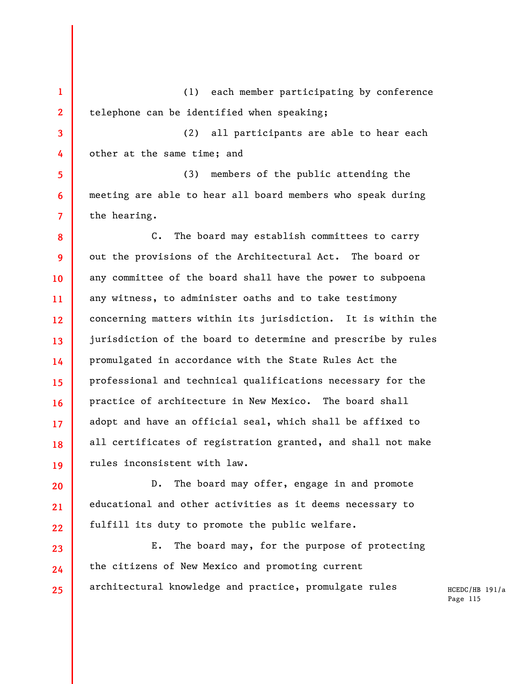**1 2**  (1) each member participating by conference telephone can be identified when speaking;

**4**  (2) all participants are able to hear each other at the same time; and

**3** 

**5** 

**6** 

**7** 

**20** 

**21** 

**22** 

**23** 

**24** 

**25** 

(3) members of the public attending the meeting are able to hear all board members who speak during the hearing.

**8 9 10 11 12 13 14 15 16 17 18 19**  C. The board may establish committees to carry out the provisions of the Architectural Act. The board or any committee of the board shall have the power to subpoena any witness, to administer oaths and to take testimony concerning matters within its jurisdiction. It is within the jurisdiction of the board to determine and prescribe by rules promulgated in accordance with the State Rules Act the professional and technical qualifications necessary for the practice of architecture in New Mexico. The board shall adopt and have an official seal, which shall be affixed to all certificates of registration granted, and shall not make rules inconsistent with law.

D. The board may offer, engage in and promote educational and other activities as it deems necessary to fulfill its duty to promote the public welfare.

E. The board may, for the purpose of protecting the citizens of New Mexico and promoting current architectural knowledge and practice, promulgate rules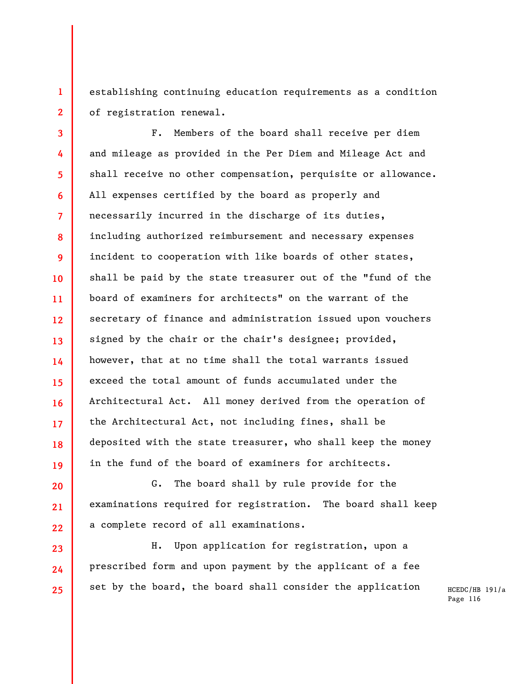establishing continuing education requirements as a condition of registration renewal.

**1** 

**2** 

**20** 

**21** 

**22** 

**23** 

**24** 

**25** 

**3 4 5 6 7 8 9 10 11 12 13 14 15 16 17 18 19**  F. Members of the board shall receive per diem and mileage as provided in the Per Diem and Mileage Act and shall receive no other compensation, perquisite or allowance. All expenses certified by the board as properly and necessarily incurred in the discharge of its duties, including authorized reimbursement and necessary expenses incident to cooperation with like boards of other states, shall be paid by the state treasurer out of the "fund of the board of examiners for architects" on the warrant of the secretary of finance and administration issued upon vouchers signed by the chair or the chair's designee; provided, however, that at no time shall the total warrants issued exceed the total amount of funds accumulated under the Architectural Act. All money derived from the operation of the Architectural Act, not including fines, shall be deposited with the state treasurer, who shall keep the money in the fund of the board of examiners for architects.

G. The board shall by rule provide for the examinations required for registration. The board shall keep a complete record of all examinations.

H. Upon application for registration, upon a prescribed form and upon payment by the applicant of a fee set by the board, the board shall consider the application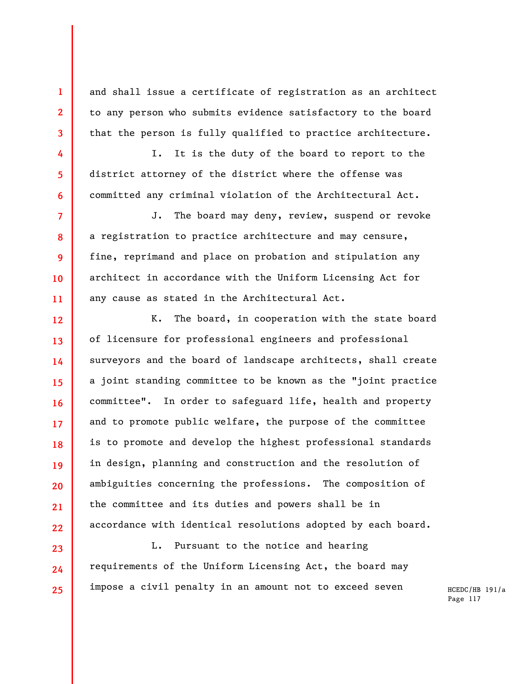and shall issue a certificate of registration as an architect to any person who submits evidence satisfactory to the board that the person is fully qualified to practice architecture.

**1** 

**2** 

**3** 

**4** 

**5** 

**6** 

**7** 

**8** 

**9** 

**10** 

**11** 

**12** 

**13** 

**14** 

**15** 

**16** 

**17** 

**18** 

**19** 

**20** 

**21** 

**22** 

**23** 

**24** 

**25** 

I. It is the duty of the board to report to the district attorney of the district where the offense was committed any criminal violation of the Architectural Act.

J. The board may deny, review, suspend or revoke a registration to practice architecture and may censure, fine, reprimand and place on probation and stipulation any architect in accordance with the Uniform Licensing Act for any cause as stated in the Architectural Act.

K. The board, in cooperation with the state board of licensure for professional engineers and professional surveyors and the board of landscape architects, shall create a joint standing committee to be known as the "joint practice committee". In order to safeguard life, health and property and to promote public welfare, the purpose of the committee is to promote and develop the highest professional standards in design, planning and construction and the resolution of ambiguities concerning the professions. The composition of the committee and its duties and powers shall be in accordance with identical resolutions adopted by each board.

L. Pursuant to the notice and hearing requirements of the Uniform Licensing Act, the board may impose a civil penalty in an amount not to exceed seven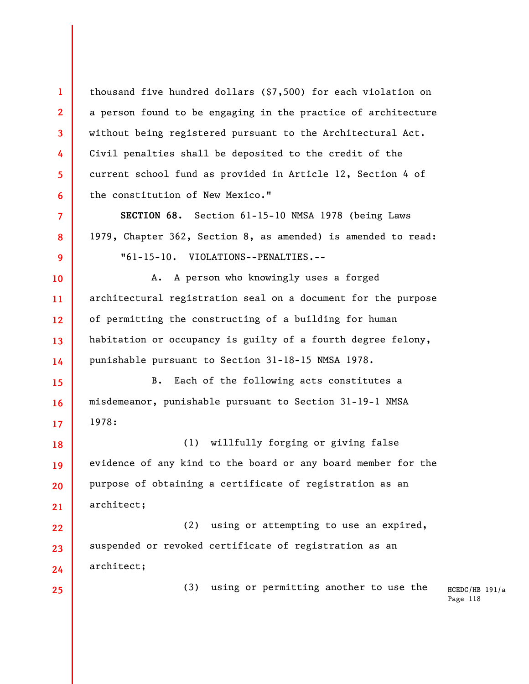thousand five hundred dollars (\$7,500) for each violation on a person found to be engaging in the practice of architecture without being registered pursuant to the Architectural Act. Civil penalties shall be deposited to the credit of the current school fund as provided in Article 12, Section 4 of the constitution of New Mexico."

**SECTION 68.** Section 61-15-10 NMSA 1978 (being Laws 1979, Chapter 362, Section 8, as amended) is amended to read: "61-15-10. VIOLATIONS--PENALTIES.--

**10 11 12 13 14**  A. A person who knowingly uses a forged architectural registration seal on a document for the purpose of permitting the constructing of a building for human habitation or occupancy is guilty of a fourth degree felony, punishable pursuant to Section 31-18-15 NMSA 1978.

**15 16 17**  B. Each of the following acts constitutes a misdemeanor, punishable pursuant to Section 31-19-1 NMSA 1978:

**18 19 20 21**  (1) willfully forging or giving false evidence of any kind to the board or any board member for the purpose of obtaining a certificate of registration as an architect;

**22 23 24**  (2) using or attempting to use an expired, suspended or revoked certificate of registration as an architect;

```
25
```
**1** 

**2** 

**3** 

**4** 

**5** 

**6** 

**7** 

**8** 

**9** 

(3) using or permitting another to use the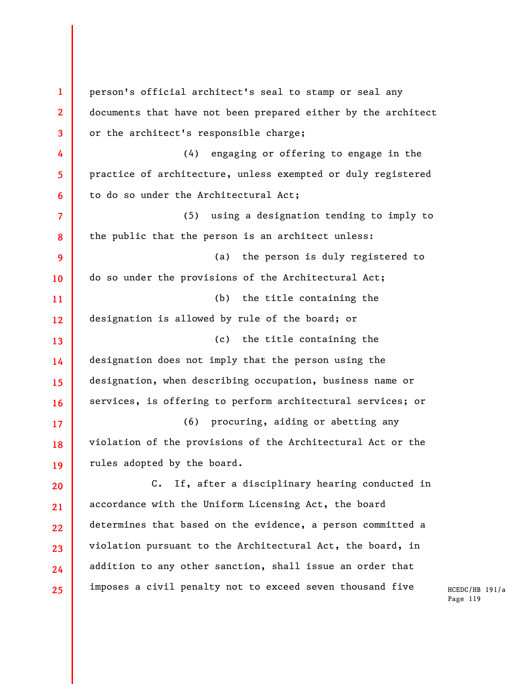**1 2 3 4 5 6 7 8 9 10 11 12 13 14 15 16 17 18 19 20 21 22 23 24 25**  person's official architect's seal to stamp or seal any documents that have not been prepared either by the architect or the architect's responsible charge; (4) engaging or offering to engage in the practice of architecture, unless exempted or duly registered to do so under the Architectural Act; (5) using a designation tending to imply to the public that the person is an architect unless: (a) the person is duly registered to do so under the provisions of the Architectural Act; (b) the title containing the designation is allowed by rule of the board; or (c) the title containing the designation does not imply that the person using the designation, when describing occupation, business name or services, is offering to perform architectural services; or (6) procuring, aiding or abetting any violation of the provisions of the Architectural Act or the rules adopted by the board. C. If, after a disciplinary hearing conducted in accordance with the Uniform Licensing Act, the board determines that based on the evidence, a person committed a violation pursuant to the Architectural Act, the board, in addition to any other sanction, shall issue an order that imposes a civil penalty not to exceed seven thousand five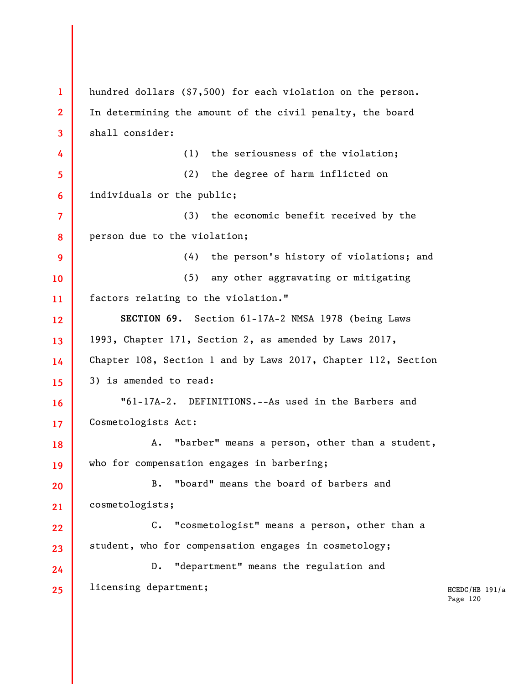HCEDC/HB 191/a Page 120 **1 2 3 4 5 6 7 8 9 10 11 12 13 14 15 16 17 18 19 20 21 22 23 24 25**  hundred dollars (\$7,500) for each violation on the person. In determining the amount of the civil penalty, the board shall consider: (1) the seriousness of the violation; (2) the degree of harm inflicted on individuals or the public; (3) the economic benefit received by the person due to the violation; (4) the person's history of violations; and (5) any other aggravating or mitigating factors relating to the violation." **SECTION 69.** Section 61-17A-2 NMSA 1978 (being Laws 1993, Chapter 171, Section 2, as amended by Laws 2017, Chapter 108, Section 1 and by Laws 2017, Chapter 112, Section 3) is amended to read: "61-17A-2. DEFINITIONS.--As used in the Barbers and Cosmetologists Act: A. "barber" means a person, other than a student, who for compensation engages in barbering; B. "board" means the board of barbers and cosmetologists; C. "cosmetologist" means a person, other than a student, who for compensation engages in cosmetology; D. "department" means the regulation and licensing department;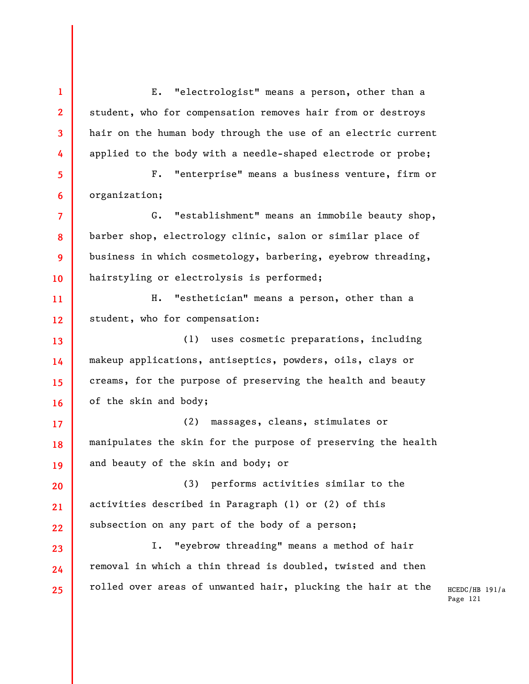E. "electrologist" means a person, other than a student, who for compensation removes hair from or destroys hair on the human body through the use of an electric current applied to the body with a needle-shaped electrode or probe;

**1** 

**2** 

**3** 

**4** 

**5 6**  F. "enterprise" means a business venture, firm or organization;

**7 8 9 10**  G. "establishment" means an immobile beauty shop, barber shop, electrology clinic, salon or similar place of business in which cosmetology, barbering, eyebrow threading, hairstyling or electrolysis is performed;

**11 12**  H. "esthetician" means a person, other than a student, who for compensation:

**13 14 15 16**  (1) uses cosmetic preparations, including makeup applications, antiseptics, powders, oils, clays or creams, for the purpose of preserving the health and beauty of the skin and body;

**17 18 19**  (2) massages, cleans, stimulates or manipulates the skin for the purpose of preserving the health and beauty of the skin and body; or

**20 21 22**  (3) performs activities similar to the activities described in Paragraph (1) or (2) of this subsection on any part of the body of a person;

**23 24 25**  I. "eyebrow threading" means a method of hair removal in which a thin thread is doubled, twisted and then rolled over areas of unwanted hair, plucking the hair at the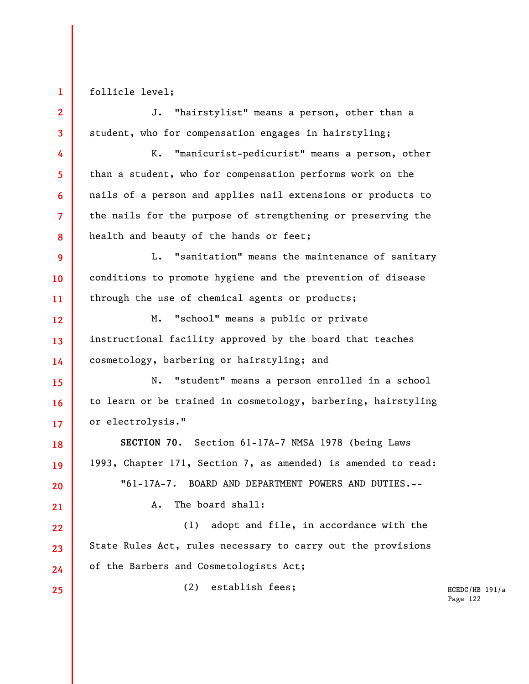follicle level;

**1** 

**2** 

**3** 

**4** 

**5** 

**6** 

**7** 

**8** 

**15** 

**16** 

**17** 

**18** 

**19** 

**20** 

**21** 

**22** 

**23** 

J. "hairstylist" means a person, other than a student, who for compensation engages in hairstyling;

K. "manicurist-pedicurist" means a person, other than a student, who for compensation performs work on the nails of a person and applies nail extensions or products to the nails for the purpose of strengthening or preserving the health and beauty of the hands or feet;

**9 10 11**  L. "sanitation" means the maintenance of sanitary conditions to promote hygiene and the prevention of disease through the use of chemical agents or products;

**12 13 14**  M. "school" means a public or private instructional facility approved by the board that teaches cosmetology, barbering or hairstyling; and

N. "student" means a person enrolled in a school to learn or be trained in cosmetology, barbering, hairstyling or electrolysis."

**SECTION 70.** Section 61-17A-7 NMSA 1978 (being Laws 1993, Chapter 171, Section 7, as amended) is amended to read: "61-17A-7. BOARD AND DEPARTMENT POWERS AND DUTIES.--

A. The board shall:

(1) adopt and file, in accordance with the State Rules Act, rules necessary to carry out the provisions of the Barbers and Cosmetologists Act;

**24 25** 

(2) establish fees;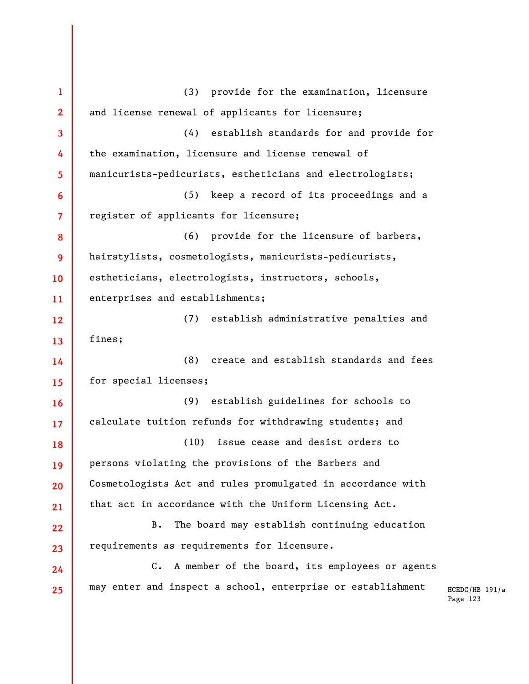**1 2 3 4 5 6 7 8 9 10 11 12 13 14 15 16 17 18 19 20 21 22 23 24 25**  (3) provide for the examination, licensure and license renewal of applicants for licensure; (4) establish standards for and provide for the examination, licensure and license renewal of manicurists-pedicurists, estheticians and electrologists; (5) keep a record of its proceedings and a register of applicants for licensure; (6) provide for the licensure of barbers, hairstylists, cosmetologists, manicurists-pedicurists, estheticians, electrologists, instructors, schools, enterprises and establishments; (7) establish administrative penalties and fines; (8) create and establish standards and fees for special licenses; (9) establish guidelines for schools to calculate tuition refunds for withdrawing students; and (10) issue cease and desist orders to persons violating the provisions of the Barbers and Cosmetologists Act and rules promulgated in accordance with that act in accordance with the Uniform Licensing Act. B. The board may establish continuing education requirements as requirements for licensure. C. A member of the board, its employees or agents may enter and inspect a school, enterprise or establishment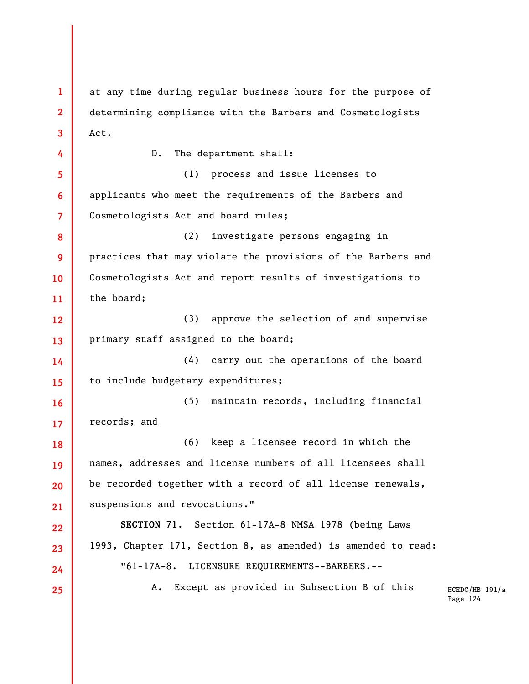**1 2 3 4 5 6 7 8 9 10 11 12 13 14 15 16 17 18 19 20 21 22 23 24 25**  at any time during regular business hours for the purpose of determining compliance with the Barbers and Cosmetologists Act. D. The department shall: (1) process and issue licenses to applicants who meet the requirements of the Barbers and Cosmetologists Act and board rules; (2) investigate persons engaging in practices that may violate the provisions of the Barbers and Cosmetologists Act and report results of investigations to the board; (3) approve the selection of and supervise primary staff assigned to the board; (4) carry out the operations of the board to include budgetary expenditures; (5) maintain records, including financial records; and (6) keep a licensee record in which the names, addresses and license numbers of all licensees shall be recorded together with a record of all license renewals, suspensions and revocations." **SECTION 71.** Section 61-17A-8 NMSA 1978 (being Laws 1993, Chapter 171, Section 8, as amended) is amended to read: "61-17A-8. LICENSURE REQUIREMENTS--BARBERS.-- A. Except as provided in Subsection B of this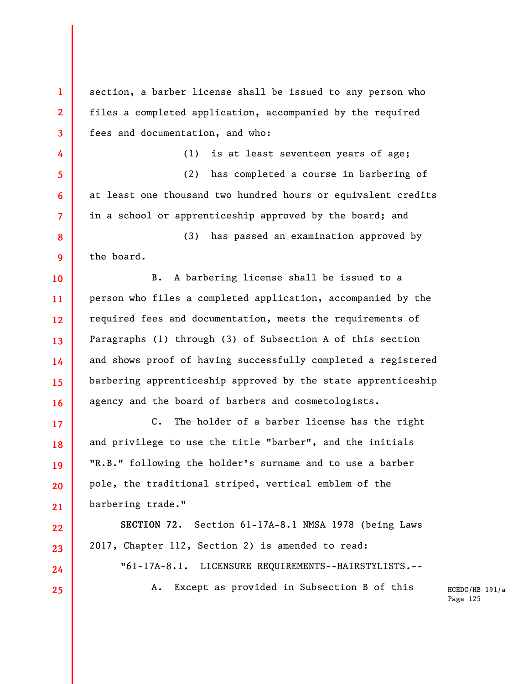**1 2 3 4 5 6 7 8 9 10 11 12 13 14 15 16 17 18 19 20 21 22 23 24 25**  section, a barber license shall be issued to any person who files a completed application, accompanied by the required fees and documentation, and who: (1) is at least seventeen years of age; (2) has completed a course in barbering of at least one thousand two hundred hours or equivalent credits in a school or apprenticeship approved by the board; and (3) has passed an examination approved by the board. B. A barbering license shall be issued to a person who files a completed application, accompanied by the required fees and documentation, meets the requirements of Paragraphs (1) through (3) of Subsection A of this section and shows proof of having successfully completed a registered barbering apprenticeship approved by the state apprenticeship agency and the board of barbers and cosmetologists. C. The holder of a barber license has the right and privilege to use the title "barber", and the initials "R.B." following the holder's surname and to use a barber pole, the traditional striped, vertical emblem of the barbering trade." **SECTION 72.** Section 61-17A-8.1 NMSA 1978 (being Laws 2017, Chapter 112, Section 2) is amended to read: "61-17A-8.1. LICENSURE REQUIREMENTS--HAIRSTYLISTS.-- A. Except as provided in Subsection B of this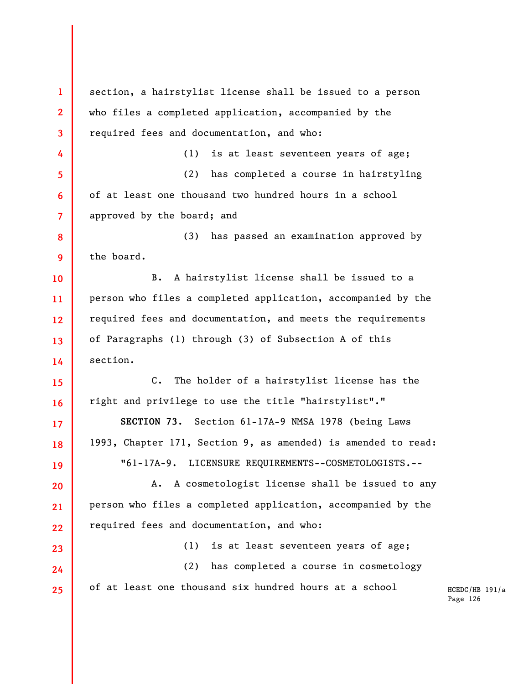**1 2 3 4 5 6 7 8 9 10 11 12 13 14 15 16 17 18 19 20 21 22 23 24 25**  section, a hairstylist license shall be issued to a person who files a completed application, accompanied by the required fees and documentation, and who: (1) is at least seventeen years of age; (2) has completed a course in hairstyling of at least one thousand two hundred hours in a school approved by the board; and (3) has passed an examination approved by the board. B. A hairstylist license shall be issued to a person who files a completed application, accompanied by the required fees and documentation, and meets the requirements of Paragraphs (1) through (3) of Subsection A of this section. C. The holder of a hairstylist license has the right and privilege to use the title "hairstylist"." **SECTION 73.** Section 61-17A-9 NMSA 1978 (being Laws 1993, Chapter 171, Section 9, as amended) is amended to read: "61-17A-9. LICENSURE REQUIREMENTS--COSMETOLOGISTS.-- A. A cosmetologist license shall be issued to any person who files a completed application, accompanied by the required fees and documentation, and who: (1) is at least seventeen years of age; (2) has completed a course in cosmetology of at least one thousand six hundred hours at a school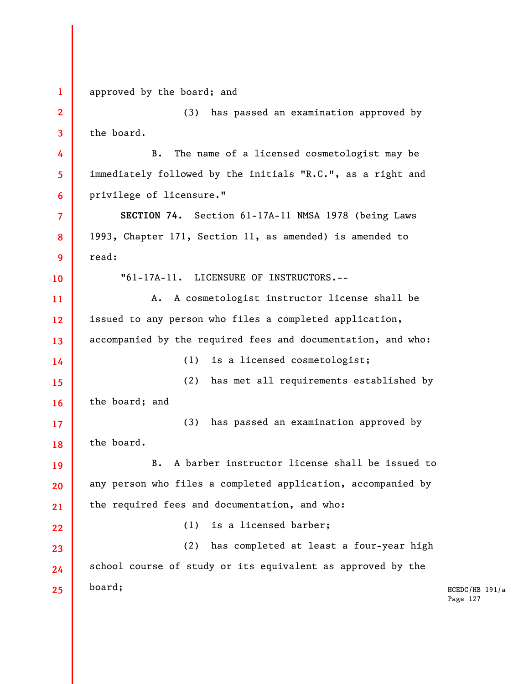| $\mathbf{1}$            | approved by the board; and                                   |              |
|-------------------------|--------------------------------------------------------------|--------------|
| $\overline{2}$          | (3)<br>has passed an examination approved by                 |              |
| $\overline{\mathbf{3}}$ | the board.                                                   |              |
| 4                       | The name of a licensed cosmetologist may be<br>В.            |              |
| 5                       | immediately followed by the initials "R.C.", as a right and  |              |
| 6                       | privilege of licensure."                                     |              |
| $\overline{7}$          | SECTION 74. Section 61-17A-11 NMSA 1978 (being Laws          |              |
| 8                       | 1993, Chapter 171, Section 11, as amended) is amended to     |              |
| 9                       | read:                                                        |              |
| 10                      | "61-17A-11. LICENSURE OF INSTRUCTORS.--                      |              |
| 11                      | A cosmetologist instructor license shall be<br>Α.            |              |
| 12                      | issued to any person who files a completed application,      |              |
| 13                      | accompanied by the required fees and documentation, and who: |              |
| 14                      | is a licensed cosmetologist;<br>(1)                          |              |
| 15                      | (2)<br>has met all requirements established by               |              |
| 16                      | the board; and                                               |              |
| 17                      | has passed an examination approved by<br>(3)                 |              |
| 18                      | the board.                                                   |              |
| 19                      | B. A barber instructor license shall be issued to            |              |
| 20                      | any person who files a completed application, accompanied by |              |
| 21                      | the required fees and documentation, and who:                |              |
| 22                      | is a licensed barber;<br>(1)                                 |              |
| 23                      | has completed at least a four-year high<br>(2)               |              |
| 24                      | school course of study or its equivalent as approved by the  |              |
| 25                      | board;                                                       | HCEL<br>Page |
|                         |                                                              |              |

 $DC/HB$  191/a  $e$  127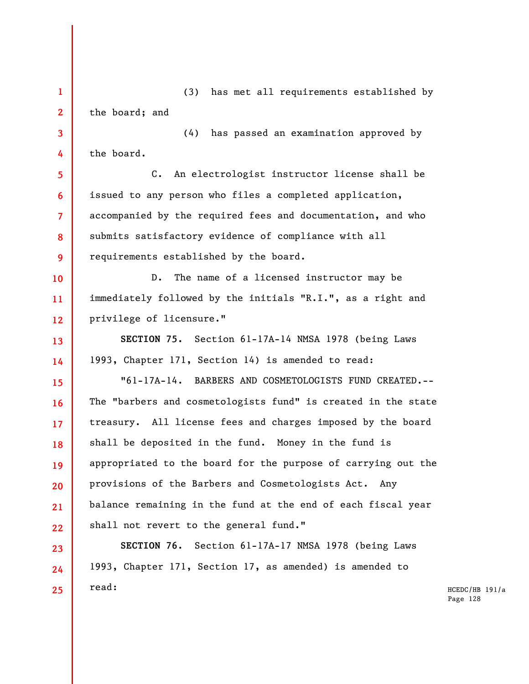**1 2 3 4 5 6 7 8 9 10 11 12 13 14 15 16 17 18 19 20 21 22 23 24 25**  (3) has met all requirements established by the board; and (4) has passed an examination approved by the board. C. An electrologist instructor license shall be issued to any person who files a completed application, accompanied by the required fees and documentation, and who submits satisfactory evidence of compliance with all requirements established by the board. D. The name of a licensed instructor may be immediately followed by the initials "R.I.", as a right and privilege of licensure." **SECTION 75.** Section 61-17A-14 NMSA 1978 (being Laws 1993, Chapter 171, Section 14) is amended to read: "61-17A-14. BARBERS AND COSMETOLOGISTS FUND CREATED.-- The "barbers and cosmetologists fund" is created in the state treasury. All license fees and charges imposed by the board shall be deposited in the fund. Money in the fund is appropriated to the board for the purpose of carrying out the provisions of the Barbers and Cosmetologists Act. Any balance remaining in the fund at the end of each fiscal year shall not revert to the general fund." **SECTION 76.** Section 61-17A-17 NMSA 1978 (being Laws 1993, Chapter 171, Section 17, as amended) is amended to read: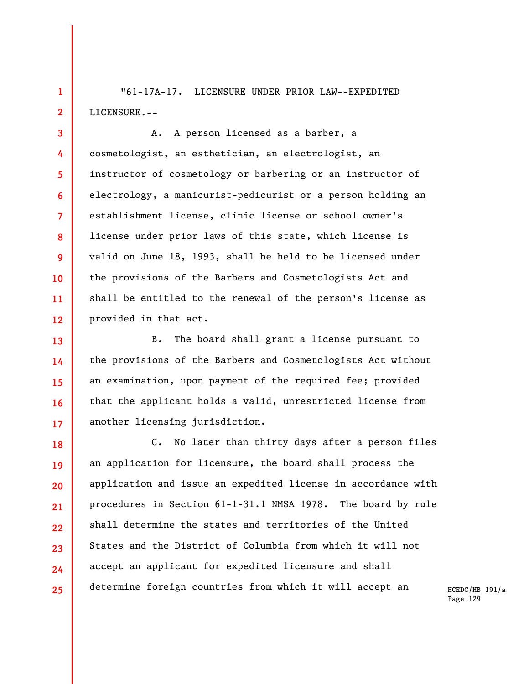"61-17A-17. LICENSURE UNDER PRIOR LAW--EXPEDITED LICENSURE.--

**1** 

**2** 

**3** 

**4** 

**5** 

**6** 

**7** 

**8** 

**9** 

**10** 

**11** 

**12** 

**13** 

**14** 

**15** 

**16** 

**17** 

A. A person licensed as a barber, a cosmetologist, an esthetician, an electrologist, an instructor of cosmetology or barbering or an instructor of electrology, a manicurist-pedicurist or a person holding an establishment license, clinic license or school owner's license under prior laws of this state, which license is valid on June 18, 1993, shall be held to be licensed under the provisions of the Barbers and Cosmetologists Act and shall be entitled to the renewal of the person's license as provided in that act.

B. The board shall grant a license pursuant to the provisions of the Barbers and Cosmetologists Act without an examination, upon payment of the required fee; provided that the applicant holds a valid, unrestricted license from another licensing jurisdiction.

**18 19 20 21 22 23 24 25**  C. No later than thirty days after a person files an application for licensure, the board shall process the application and issue an expedited license in accordance with procedures in Section 61-1-31.1 NMSA 1978. The board by rule shall determine the states and territories of the United States and the District of Columbia from which it will not accept an applicant for expedited licensure and shall determine foreign countries from which it will accept an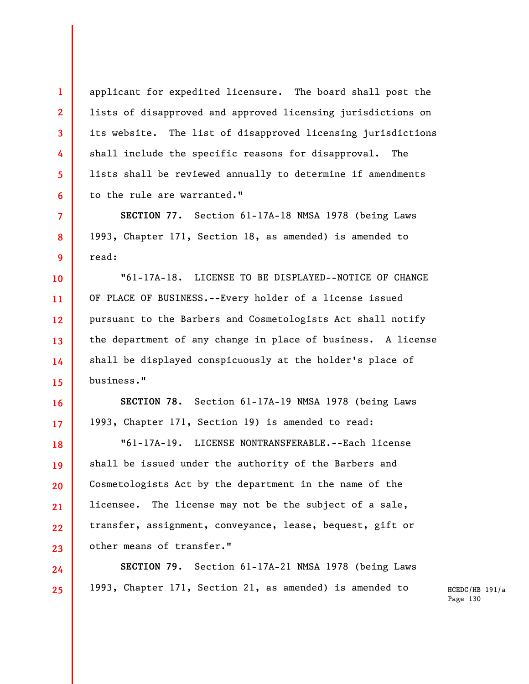applicant for expedited licensure. The board shall post the lists of disapproved and approved licensing jurisdictions on its website. The list of disapproved licensing jurisdictions shall include the specific reasons for disapproval. The lists shall be reviewed annually to determine if amendments to the rule are warranted."

**1** 

**2** 

**3** 

**4** 

**5** 

**6** 

**7** 

**8** 

**9** 

**16** 

**17** 

**18** 

**19** 

**20** 

**21** 

**23** 

**24** 

**25** 

**SECTION 77.** Section 61-17A-18 NMSA 1978 (being Laws 1993, Chapter 171, Section 18, as amended) is amended to read:

**10 11 12 13 14 15**  "61-17A-18. LICENSE TO BE DISPLAYED--NOTICE OF CHANGE OF PLACE OF BUSINESS.--Every holder of a license issued pursuant to the Barbers and Cosmetologists Act shall notify the department of any change in place of business. A license shall be displayed conspicuously at the holder's place of business."

**SECTION 78.** Section 61-17A-19 NMSA 1978 (being Laws 1993, Chapter 171, Section 19) is amended to read:

**22**  "61-17A-19. LICENSE NONTRANSFERABLE.--Each license shall be issued under the authority of the Barbers and Cosmetologists Act by the department in the name of the licensee. The license may not be the subject of a sale, transfer, assignment, conveyance, lease, bequest, gift or other means of transfer."

**SECTION 79.** Section 61-17A-21 NMSA 1978 (being Laws 1993, Chapter 171, Section 21, as amended) is amended to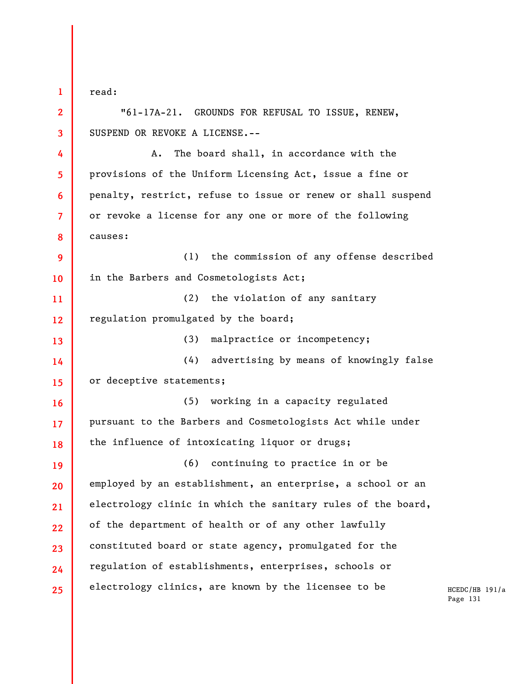**1 2 3 4 5 6 7 8 9 10 11 12 13 14 15 16 17 18 19 20 21 22 23 24 25**  read: "61-17A-21. GROUNDS FOR REFUSAL TO ISSUE, RENEW, SUSPEND OR REVOKE A LICENSE.-- A. The board shall, in accordance with the provisions of the Uniform Licensing Act, issue a fine or penalty, restrict, refuse to issue or renew or shall suspend or revoke a license for any one or more of the following causes: (1) the commission of any offense described in the Barbers and Cosmetologists Act; (2) the violation of any sanitary regulation promulgated by the board; (3) malpractice or incompetency; (4) advertising by means of knowingly false or deceptive statements; (5) working in a capacity regulated pursuant to the Barbers and Cosmetologists Act while under the influence of intoxicating liquor or drugs; (6) continuing to practice in or be employed by an establishment, an enterprise, a school or an electrology clinic in which the sanitary rules of the board, of the department of health or of any other lawfully constituted board or state agency, promulgated for the regulation of establishments, enterprises, schools or electrology clinics, are known by the licensee to be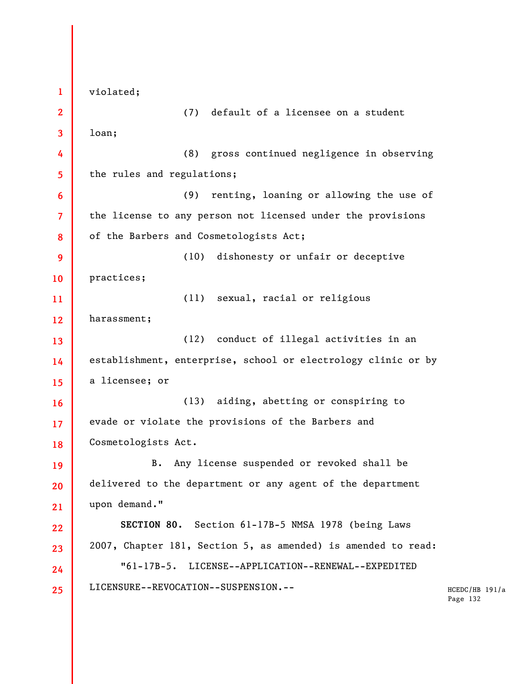HCEDC/HB 191/a Page 132 **1 2 3 4 5 6 7 8 9 10 11 12 13 14 15 16 17 18 19 20 21 22 23 24 25**  violated; (7) default of a licensee on a student loan; (8) gross continued negligence in observing the rules and regulations; (9) renting, loaning or allowing the use of the license to any person not licensed under the provisions of the Barbers and Cosmetologists Act; (10) dishonesty or unfair or deceptive practices; (11) sexual, racial or religious harassment; (12) conduct of illegal activities in an establishment, enterprise, school or electrology clinic or by a licensee; or (13) aiding, abetting or conspiring to evade or violate the provisions of the Barbers and Cosmetologists Act. B. Any license suspended or revoked shall be delivered to the department or any agent of the department upon demand." **SECTION 80.** Section 61-17B-5 NMSA 1978 (being Laws 2007, Chapter 181, Section 5, as amended) is amended to read: "61-17B-5. LICENSE--APPLICATION--RENEWAL--EXPEDITED LICENSURE--REVOCATION--SUSPENSION.--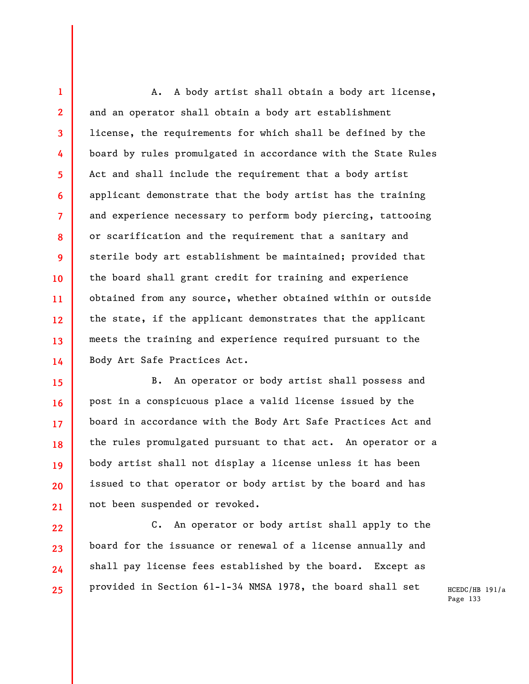**1 2 3 4 5 6 7 8 9 10 11 12 13 14**  A. A body artist shall obtain a body art license, and an operator shall obtain a body art establishment license, the requirements for which shall be defined by the board by rules promulgated in accordance with the State Rules Act and shall include the requirement that a body artist applicant demonstrate that the body artist has the training and experience necessary to perform body piercing, tattooing or scarification and the requirement that a sanitary and sterile body art establishment be maintained; provided that the board shall grant credit for training and experience obtained from any source, whether obtained within or outside the state, if the applicant demonstrates that the applicant meets the training and experience required pursuant to the Body Art Safe Practices Act.

**15 16 17 18 19 20 21**  B. An operator or body artist shall possess and post in a conspicuous place a valid license issued by the board in accordance with the Body Art Safe Practices Act and the rules promulgated pursuant to that act. An operator or a body artist shall not display a license unless it has been issued to that operator or body artist by the board and has not been suspended or revoked.

**22**  C. An operator or body artist shall apply to the board for the issuance or renewal of a license annually and shall pay license fees established by the board. Except as provided in Section 61-1-34 NMSA 1978, the board shall set

**23** 

**24** 

**25**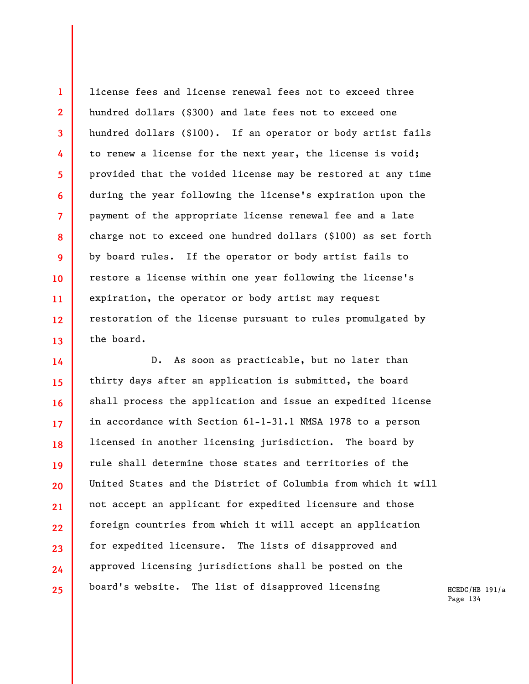**1 2 3 4 5 6 7 8 9 10 11 12 13**  license fees and license renewal fees not to exceed three hundred dollars (\$300) and late fees not to exceed one hundred dollars (\$100). If an operator or body artist fails to renew a license for the next year, the license is void; provided that the voided license may be restored at any time during the year following the license's expiration upon the payment of the appropriate license renewal fee and a late charge not to exceed one hundred dollars (\$100) as set forth by board rules. If the operator or body artist fails to restore a license within one year following the license's expiration, the operator or body artist may request restoration of the license pursuant to rules promulgated by the board.

**14 15 16 17 18 19 20 21 22 23 24 25**  D. As soon as practicable, but no later than thirty days after an application is submitted, the board shall process the application and issue an expedited license in accordance with Section 61-1-31.1 NMSA 1978 to a person licensed in another licensing jurisdiction. The board by rule shall determine those states and territories of the United States and the District of Columbia from which it will not accept an applicant for expedited licensure and those foreign countries from which it will accept an application for expedited licensure. The lists of disapproved and approved licensing jurisdictions shall be posted on the board's website. The list of disapproved licensing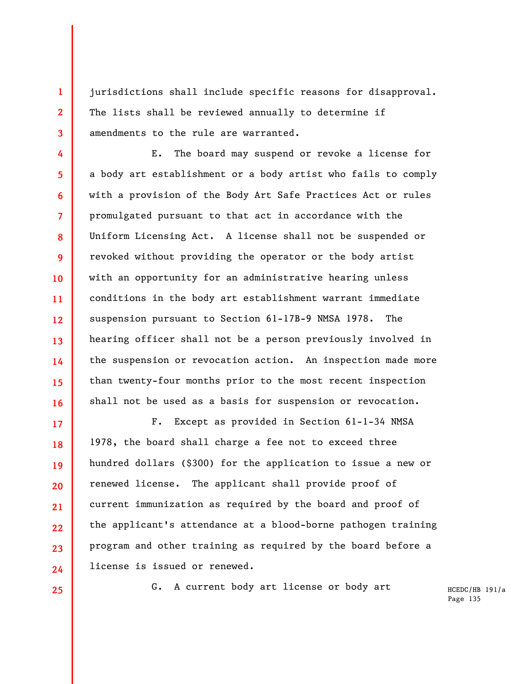jurisdictions shall include specific reasons for disapproval. The lists shall be reviewed annually to determine if amendments to the rule are warranted.

E. The board may suspend or revoke a license for a body art establishment or a body artist who fails to comply with a provision of the Body Art Safe Practices Act or rules promulgated pursuant to that act in accordance with the Uniform Licensing Act. A license shall not be suspended or revoked without providing the operator or the body artist with an opportunity for an administrative hearing unless conditions in the body art establishment warrant immediate suspension pursuant to Section 61-17B-9 NMSA 1978. The hearing officer shall not be a person previously involved in the suspension or revocation action. An inspection made more than twenty-four months prior to the most recent inspection shall not be used as a basis for suspension or revocation.

**17 18 19 20 21 22 23 24**  F. Except as provided in Section 61-1-34 NMSA 1978, the board shall charge a fee not to exceed three hundred dollars (\$300) for the application to issue a new or renewed license. The applicant shall provide proof of current immunization as required by the board and proof of the applicant's attendance at a blood-borne pathogen training program and other training as required by the board before a license is issued or renewed.

**25** 

**1** 

**2** 

**3** 

**4** 

**5** 

**6** 

**7** 

**8** 

**9** 

**10** 

**11** 

**12** 

**13** 

**14** 

**15** 

**16** 

G. A current body art license or body art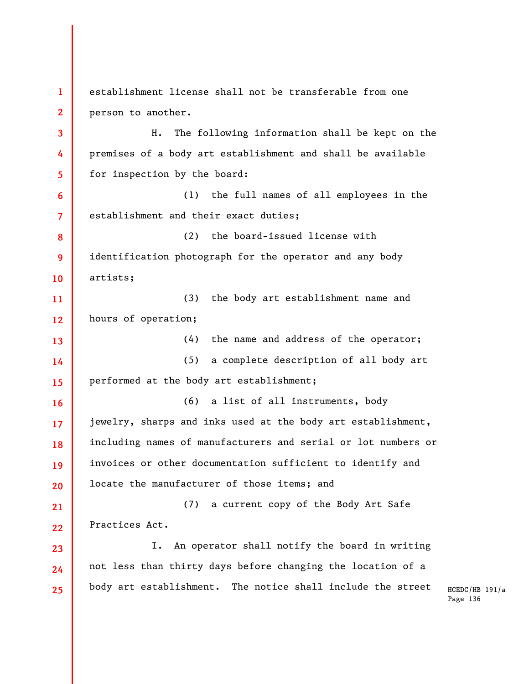HCEDC/HB 191/a Page 136 **1 2 3 4 5 6 7 8 9 10 11 12 13 14 15 16 17 18 19 20 21 22 23 24 25**  establishment license shall not be transferable from one person to another. H. The following information shall be kept on the premises of a body art establishment and shall be available for inspection by the board: (1) the full names of all employees in the establishment and their exact duties; (2) the board-issued license with identification photograph for the operator and any body artists; (3) the body art establishment name and hours of operation; (4) the name and address of the operator; (5) a complete description of all body art performed at the body art establishment; (6) a list of all instruments, body jewelry, sharps and inks used at the body art establishment, including names of manufacturers and serial or lot numbers or invoices or other documentation sufficient to identify and locate the manufacturer of those items; and (7) a current copy of the Body Art Safe Practices Act. I. An operator shall notify the board in writing not less than thirty days before changing the location of a body art establishment. The notice shall include the street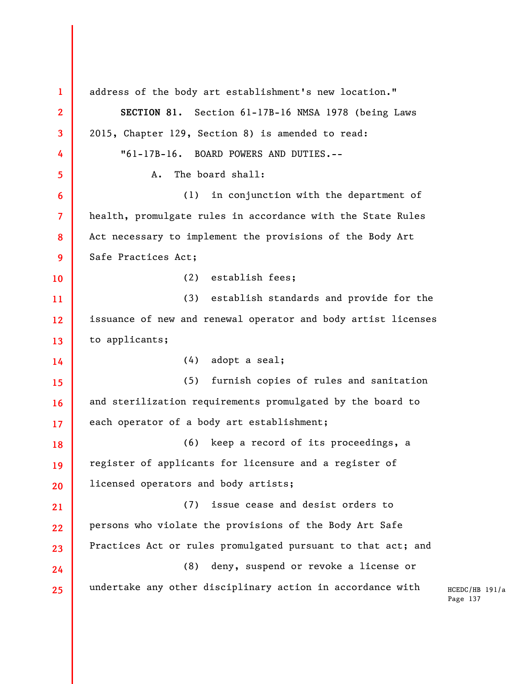HCEDC/HB 191/a Page 137 **1 2 3 4 5 6 7 8 9 10 11 12 13 14 15 16 17 18 19 20 21 22 23 24 25**  address of the body art establishment's new location." **SECTION 81.** Section 61-17B-16 NMSA 1978 (being Laws 2015, Chapter 129, Section 8) is amended to read: "61-17B-16. BOARD POWERS AND DUTIES.-- A. The board shall: (1) in conjunction with the department of health, promulgate rules in accordance with the State Rules Act necessary to implement the provisions of the Body Art Safe Practices Act; (2) establish fees; (3) establish standards and provide for the issuance of new and renewal operator and body artist licenses to applicants; (4) adopt a seal; (5) furnish copies of rules and sanitation and sterilization requirements promulgated by the board to each operator of a body art establishment; (6) keep a record of its proceedings, a register of applicants for licensure and a register of licensed operators and body artists; (7) issue cease and desist orders to persons who violate the provisions of the Body Art Safe Practices Act or rules promulgated pursuant to that act; and (8) deny, suspend or revoke a license or undertake any other disciplinary action in accordance with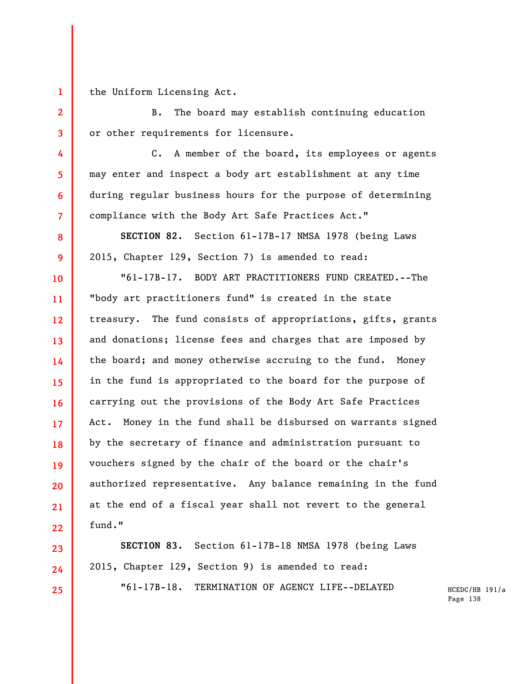the Uniform Licensing Act.

**1** 

**2** 

**3** 

**4** 

**5** 

**6** 

**7** 

**8** 

**9** 

**10** 

**11** 

**12** 

**13** 

**14** 

**15** 

**16** 

**17** 

**18** 

**19** 

**20** 

**21** 

**22** 

**23** 

**24** 

**25** 

B. The board may establish continuing education or other requirements for licensure.

C. A member of the board, its employees or agents may enter and inspect a body art establishment at any time during regular business hours for the purpose of determining compliance with the Body Art Safe Practices Act."

**SECTION 82.** Section 61-17B-17 NMSA 1978 (being Laws 2015, Chapter 129, Section 7) is amended to read:

"61-17B-17. BODY ART PRACTITIONERS FUND CREATED.--The "body art practitioners fund" is created in the state treasury. The fund consists of appropriations, gifts, grants and donations; license fees and charges that are imposed by the board; and money otherwise accruing to the fund. Money in the fund is appropriated to the board for the purpose of carrying out the provisions of the Body Art Safe Practices Act. Money in the fund shall be disbursed on warrants signed by the secretary of finance and administration pursuant to vouchers signed by the chair of the board or the chair's authorized representative. Any balance remaining in the fund at the end of a fiscal year shall not revert to the general fund."

**SECTION 83.** Section 61-17B-18 NMSA 1978 (being Laws 2015, Chapter 129, Section 9) is amended to read: "61-17B-18. TERMINATION OF AGENCY LIFE--DELAYED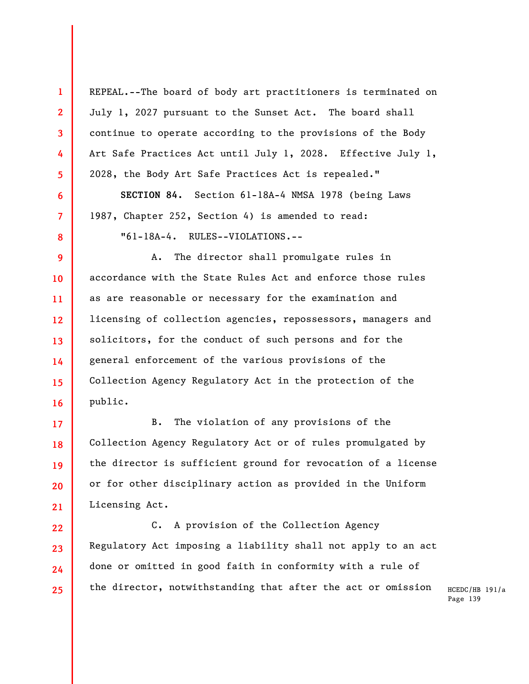REPEAL.--The board of body art practitioners is terminated on July 1, 2027 pursuant to the Sunset Act. The board shall continue to operate according to the provisions of the Body Art Safe Practices Act until July 1, 2028. Effective July 1, 2028, the Body Art Safe Practices Act is repealed."

**1** 

**2** 

**3** 

**4** 

**5** 

**6** 

**7** 

**8** 

**9** 

**10** 

**11** 

**12** 

**13** 

**14** 

**15** 

**16** 

**17** 

**18** 

**19** 

**20** 

**21** 

**22** 

**23** 

**24** 

**25** 

**SECTION 84.** Section 61-18A-4 NMSA 1978 (being Laws 1987, Chapter 252, Section 4) is amended to read: "61-18A-4. RULES--VIOLATIONS.--

A. The director shall promulgate rules in accordance with the State Rules Act and enforce those rules as are reasonable or necessary for the examination and licensing of collection agencies, repossessors, managers and solicitors, for the conduct of such persons and for the general enforcement of the various provisions of the Collection Agency Regulatory Act in the protection of the public.

B. The violation of any provisions of the Collection Agency Regulatory Act or of rules promulgated by the director is sufficient ground for revocation of a license or for other disciplinary action as provided in the Uniform Licensing Act.

C. A provision of the Collection Agency Regulatory Act imposing a liability shall not apply to an act done or omitted in good faith in conformity with a rule of the director, notwithstanding that after the act or omission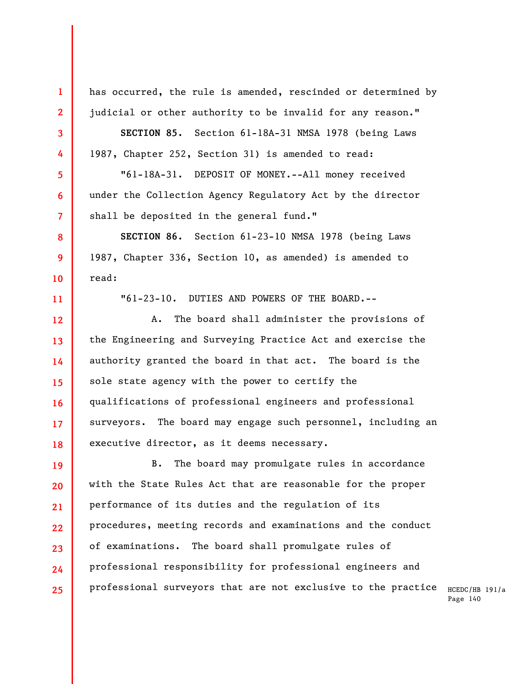has occurred, the rule is amended, rescinded or determined by judicial or other authority to be invalid for any reason."

**1** 

**2** 

**3** 

**4** 

**5** 

**6** 

**7** 

**8** 

**9** 

**10** 

**11** 

**SECTION 85.** Section 61-18A-31 NMSA 1978 (being Laws 1987, Chapter 252, Section 31) is amended to read:

"61-18A-31. DEPOSIT OF MONEY.--All money received under the Collection Agency Regulatory Act by the director shall be deposited in the general fund."

**SECTION 86.** Section 61-23-10 NMSA 1978 (being Laws 1987, Chapter 336, Section 10, as amended) is amended to read:

"61-23-10. DUTIES AND POWERS OF THE BOARD.--

**12 13 14 15 16 17 18**  A. The board shall administer the provisions of the Engineering and Surveying Practice Act and exercise the authority granted the board in that act. The board is the sole state agency with the power to certify the qualifications of professional engineers and professional surveyors. The board may engage such personnel, including an executive director, as it deems necessary.

**19 20 21 22 23 24 25**  B. The board may promulgate rules in accordance with the State Rules Act that are reasonable for the proper performance of its duties and the regulation of its procedures, meeting records and examinations and the conduct of examinations. The board shall promulgate rules of professional responsibility for professional engineers and professional surveyors that are not exclusive to the practice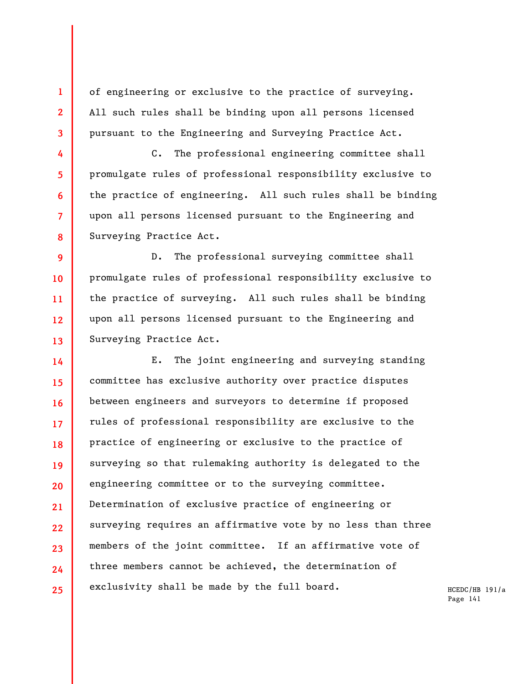of engineering or exclusive to the practice of surveying. All such rules shall be binding upon all persons licensed pursuant to the Engineering and Surveying Practice Act.

**1** 

**2** 

**3** 

**4** 

**5** 

**6** 

**7** 

**8** 

C. The professional engineering committee shall promulgate rules of professional responsibility exclusive to the practice of engineering. All such rules shall be binding upon all persons licensed pursuant to the Engineering and Surveying Practice Act.

**9 10 11 12 13**  D. The professional surveying committee shall promulgate rules of professional responsibility exclusive to the practice of surveying. All such rules shall be binding upon all persons licensed pursuant to the Engineering and Surveying Practice Act.

**14 15 16 17 18 19 20 21 22 23 24 25**  E. The joint engineering and surveying standing committee has exclusive authority over practice disputes between engineers and surveyors to determine if proposed rules of professional responsibility are exclusive to the practice of engineering or exclusive to the practice of surveying so that rulemaking authority is delegated to the engineering committee or to the surveying committee. Determination of exclusive practice of engineering or surveying requires an affirmative vote by no less than three members of the joint committee. If an affirmative vote of three members cannot be achieved, the determination of exclusivity shall be made by the full board.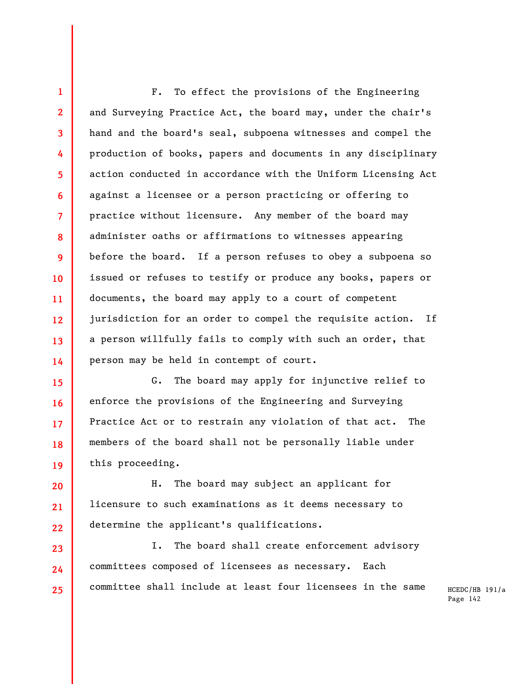**1 2 3 4 5 6 7 8 9 10 11 12 13 14**  F. To effect the provisions of the Engineering and Surveying Practice Act, the board may, under the chair's hand and the board's seal, subpoena witnesses and compel the production of books, papers and documents in any disciplinary action conducted in accordance with the Uniform Licensing Act against a licensee or a person practicing or offering to practice without licensure. Any member of the board may administer oaths or affirmations to witnesses appearing before the board. If a person refuses to obey a subpoena so issued or refuses to testify or produce any books, papers or documents, the board may apply to a court of competent jurisdiction for an order to compel the requisite action. If a person willfully fails to comply with such an order, that person may be held in contempt of court.

**15 16 17 18 19**  G. The board may apply for injunctive relief to enforce the provisions of the Engineering and Surveying Practice Act or to restrain any violation of that act. The members of the board shall not be personally liable under this proceeding.

**20 21 22**  H. The board may subject an applicant for licensure to such examinations as it deems necessary to determine the applicant's qualifications.

**23 24 25**  I. The board shall create enforcement advisory committees composed of licensees as necessary. Each committee shall include at least four licensees in the same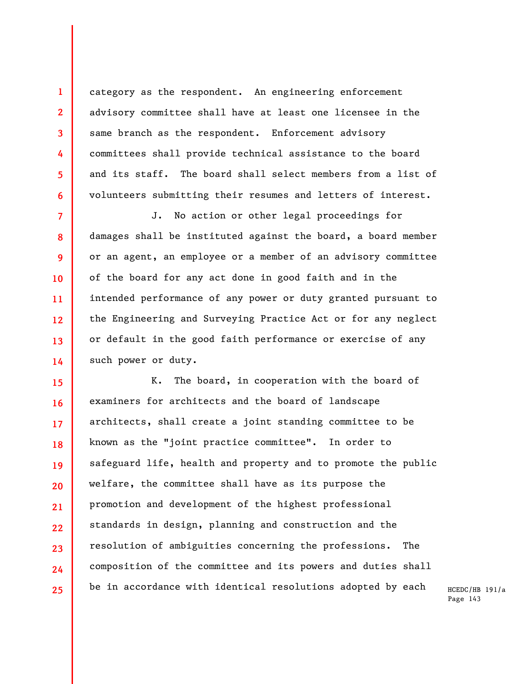category as the respondent. An engineering enforcement advisory committee shall have at least one licensee in the same branch as the respondent. Enforcement advisory committees shall provide technical assistance to the board and its staff. The board shall select members from a list of volunteers submitting their resumes and letters of interest.

**1** 

**2** 

**3** 

**4** 

**5** 

**6** 

**7 8 9 10 11 12 13 14**  J. No action or other legal proceedings for damages shall be instituted against the board, a board member or an agent, an employee or a member of an advisory committee of the board for any act done in good faith and in the intended performance of any power or duty granted pursuant to the Engineering and Surveying Practice Act or for any neglect or default in the good faith performance or exercise of any such power or duty.

**15 16 17 18 19 20 21 22 23 24 25**  K. The board, in cooperation with the board of examiners for architects and the board of landscape architects, shall create a joint standing committee to be known as the "joint practice committee". In order to safeguard life, health and property and to promote the public welfare, the committee shall have as its purpose the promotion and development of the highest professional standards in design, planning and construction and the resolution of ambiguities concerning the professions. The composition of the committee and its powers and duties shall be in accordance with identical resolutions adopted by each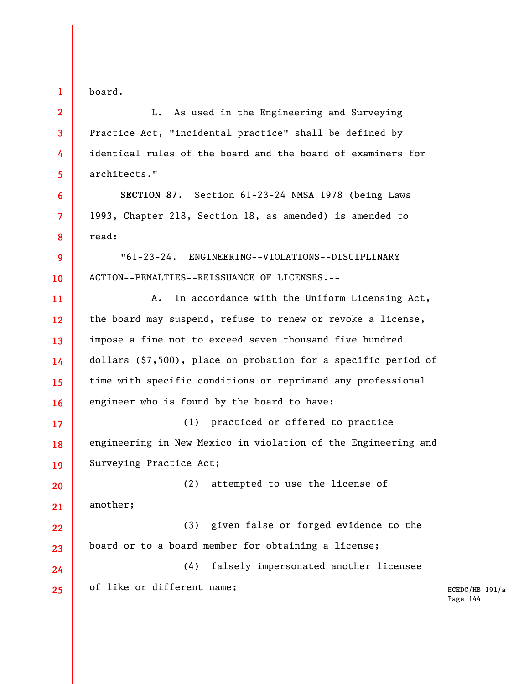board.

**1** 

**2** 

**3** 

**4** 

**5** 

**6** 

**7** 

**8** 

**9** 

**10** 

L. As used in the Engineering and Surveying Practice Act, "incidental practice" shall be defined by identical rules of the board and the board of examiners for architects."

**SECTION 87.** Section 61-23-24 NMSA 1978 (being Laws 1993, Chapter 218, Section 18, as amended) is amended to read:

"61-23-24. ENGINEERING--VIOLATIONS--DISCIPLINARY ACTION--PENALTIES--REISSUANCE OF LICENSES.--

**11 12 13 14 15 16**  A. In accordance with the Uniform Licensing Act, the board may suspend, refuse to renew or revoke a license, impose a fine not to exceed seven thousand five hundred dollars (\$7,500), place on probation for a specific period of time with specific conditions or reprimand any professional engineer who is found by the board to have:

**17 18 19**  (1) practiced or offered to practice engineering in New Mexico in violation of the Engineering and Surveying Practice Act;

**20 21**  (2) attempted to use the license of another;

**22 23**  (3) given false or forged evidence to the board or to a board member for obtaining a license;

**24 25**  (4) falsely impersonated another licensee of like or different name;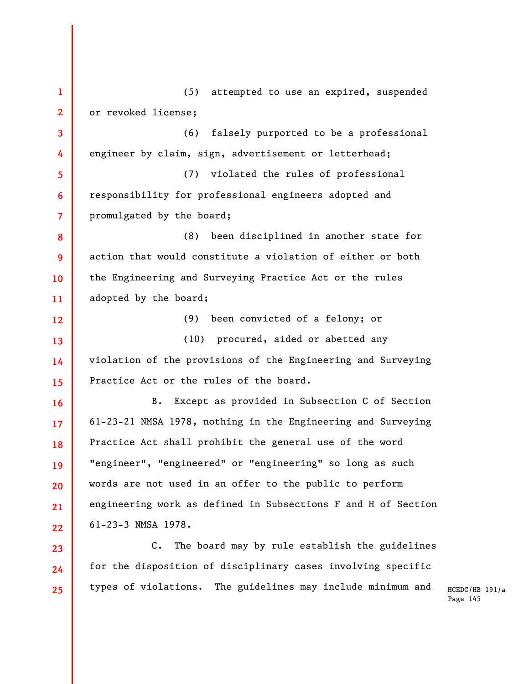**1 2 3 4 5 6 7 8 9 10 11 12 13 14 15 16 17 18 19 20 21 22 23 24 25**  (5) attempted to use an expired, suspended or revoked license; (6) falsely purported to be a professional engineer by claim, sign, advertisement or letterhead; (7) violated the rules of professional responsibility for professional engineers adopted and promulgated by the board; (8) been disciplined in another state for action that would constitute a violation of either or both the Engineering and Surveying Practice Act or the rules adopted by the board; (9) been convicted of a felony; or (10) procured, aided or abetted any violation of the provisions of the Engineering and Surveying Practice Act or the rules of the board. B. Except as provided in Subsection C of Section 61-23-21 NMSA 1978, nothing in the Engineering and Surveying Practice Act shall prohibit the general use of the word "engineer", "engineered" or "engineering" so long as such words are not used in an offer to the public to perform engineering work as defined in Subsections F and H of Section 61-23-3 NMSA 1978. C. The board may by rule establish the guidelines for the disposition of disciplinary cases involving specific types of violations. The guidelines may include minimum and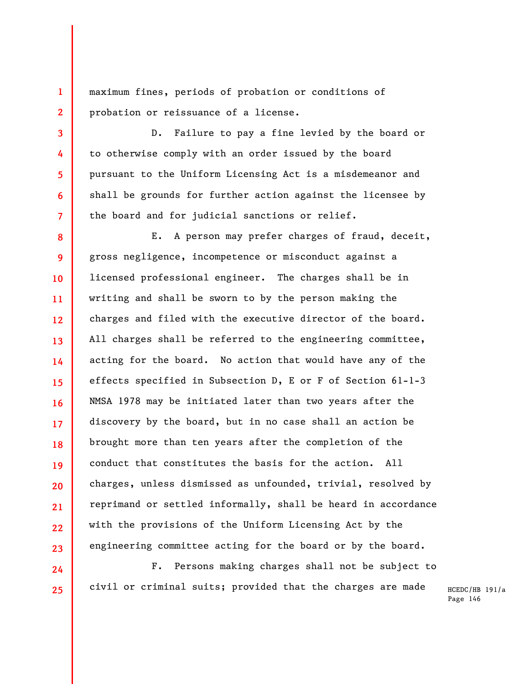maximum fines, periods of probation or conditions of probation or reissuance of a license.

**1** 

**2** 

**3** 

**4** 

**5** 

**6** 

**7** 

**24** 

**25** 

D. Failure to pay a fine levied by the board or to otherwise comply with an order issued by the board pursuant to the Uniform Licensing Act is a misdemeanor and shall be grounds for further action against the licensee by the board and for judicial sanctions or relief.

**8 9 10 11 12 13 14 15 16 17 18 19 20 21 22 23**  E. A person may prefer charges of fraud, deceit, gross negligence, incompetence or misconduct against a licensed professional engineer. The charges shall be in writing and shall be sworn to by the person making the charges and filed with the executive director of the board. All charges shall be referred to the engineering committee, acting for the board. No action that would have any of the effects specified in Subsection D, E or F of Section 61-1-3 NMSA 1978 may be initiated later than two years after the discovery by the board, but in no case shall an action be brought more than ten years after the completion of the conduct that constitutes the basis for the action. All charges, unless dismissed as unfounded, trivial, resolved by reprimand or settled informally, shall be heard in accordance with the provisions of the Uniform Licensing Act by the engineering committee acting for the board or by the board.

F. Persons making charges shall not be subject to civil or criminal suits; provided that the charges are made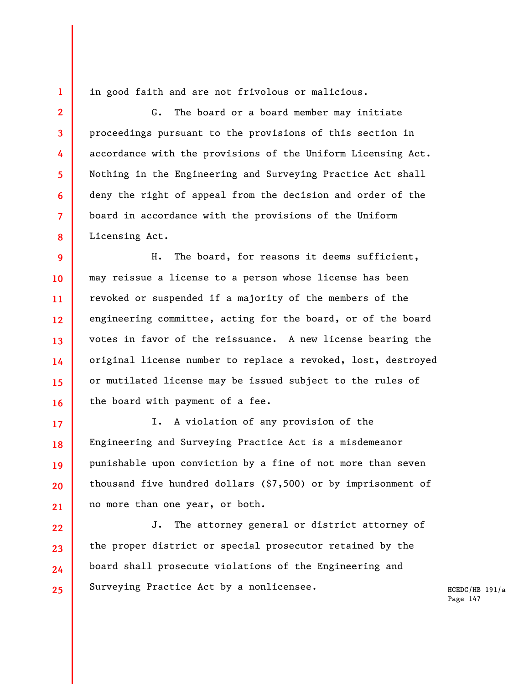in good faith and are not frivolous or malicious.

**1** 

**2** 

**3** 

**4** 

**5** 

**6** 

**7** 

**8** 

G. The board or a board member may initiate proceedings pursuant to the provisions of this section in accordance with the provisions of the Uniform Licensing Act. Nothing in the Engineering and Surveying Practice Act shall deny the right of appeal from the decision and order of the board in accordance with the provisions of the Uniform Licensing Act.

**9 10 11 12 13 14 15 16**  H. The board, for reasons it deems sufficient, may reissue a license to a person whose license has been revoked or suspended if a majority of the members of the engineering committee, acting for the board, or of the board votes in favor of the reissuance. A new license bearing the original license number to replace a revoked, lost, destroyed or mutilated license may be issued subject to the rules of the board with payment of a fee.

**17 18 19 20 21**  I. A violation of any provision of the Engineering and Surveying Practice Act is a misdemeanor punishable upon conviction by a fine of not more than seven thousand five hundred dollars (\$7,500) or by imprisonment of no more than one year, or both.

**22 23 24 25**  J. The attorney general or district attorney of the proper district or special prosecutor retained by the board shall prosecute violations of the Engineering and Surveying Practice Act by a nonlicensee.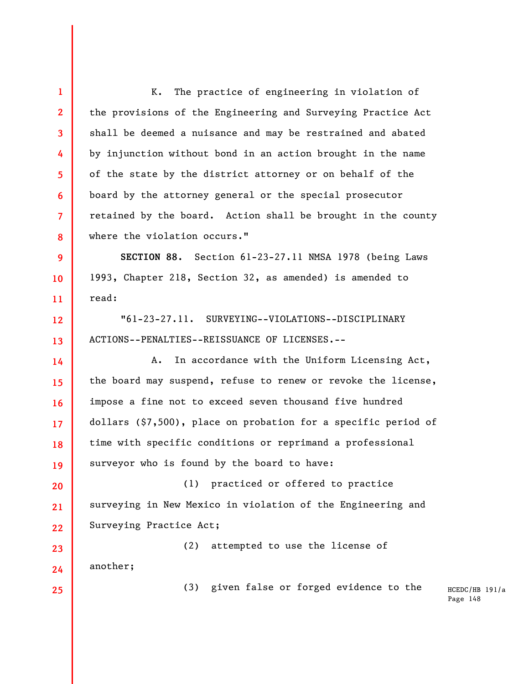HCEDC/HB 191/a Page 148 **1 2 3 4 5 6 7 8 9 10 11 12 13 14 15 16 17 18 19 20 21 22 23 24 25**  K. The practice of engineering in violation of the provisions of the Engineering and Surveying Practice Act shall be deemed a nuisance and may be restrained and abated by injunction without bond in an action brought in the name of the state by the district attorney or on behalf of the board by the attorney general or the special prosecutor retained by the board. Action shall be brought in the county where the violation occurs." **SECTION 88.** Section 61-23-27.11 NMSA 1978 (being Laws 1993, Chapter 218, Section 32, as amended) is amended to read: "61-23-27.11. SURVEYING--VIOLATIONS--DISCIPLINARY ACTIONS--PENALTIES--REISSUANCE OF LICENSES.-- A. In accordance with the Uniform Licensing Act, the board may suspend, refuse to renew or revoke the license, impose a fine not to exceed seven thousand five hundred dollars (\$7,500), place on probation for a specific period of time with specific conditions or reprimand a professional surveyor who is found by the board to have: (1) practiced or offered to practice surveying in New Mexico in violation of the Engineering and Surveying Practice Act; (2) attempted to use the license of another; (3) given false or forged evidence to the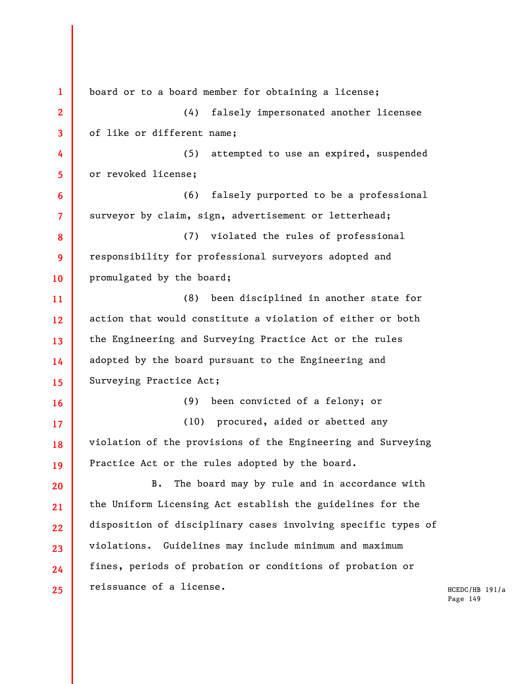**1 2 3 4 5 6 7 8 9 10 11 12 13 14 15 16 17 18 19 20 21 22 23 24 25**  board or to a board member for obtaining a license; (4) falsely impersonated another licensee of like or different name; (5) attempted to use an expired, suspended or revoked license; (6) falsely purported to be a professional surveyor by claim, sign, advertisement or letterhead; (7) violated the rules of professional responsibility for professional surveyors adopted and promulgated by the board; (8) been disciplined in another state for action that would constitute a violation of either or both the Engineering and Surveying Practice Act or the rules adopted by the board pursuant to the Engineering and Surveying Practice Act; (9) been convicted of a felony; or (10) procured, aided or abetted any violation of the provisions of the Engineering and Surveying Practice Act or the rules adopted by the board. B. The board may by rule and in accordance with the Uniform Licensing Act establish the guidelines for the disposition of disciplinary cases involving specific types of violations. Guidelines may include minimum and maximum fines, periods of probation or conditions of probation or reissuance of a license.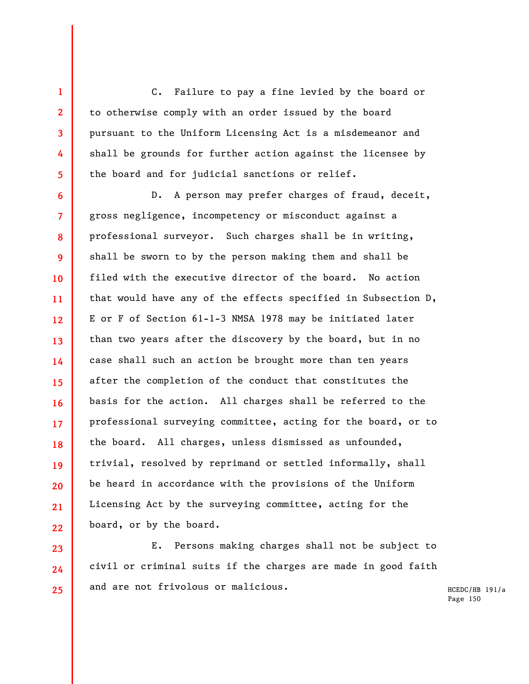C. Failure to pay a fine levied by the board or to otherwise comply with an order issued by the board pursuant to the Uniform Licensing Act is a misdemeanor and shall be grounds for further action against the licensee by the board and for judicial sanctions or relief.

**1** 

**2** 

**3** 

**4** 

**5** 

**23** 

**24** 

**25** 

**6 7 8 9 10 11 12 13 14 15 16 17 18 19 20 21 22**  D. A person may prefer charges of fraud, deceit, gross negligence, incompetency or misconduct against a professional surveyor. Such charges shall be in writing, shall be sworn to by the person making them and shall be filed with the executive director of the board. No action that would have any of the effects specified in Subsection D, E or F of Section 61-1-3 NMSA 1978 may be initiated later than two years after the discovery by the board, but in no case shall such an action be brought more than ten years after the completion of the conduct that constitutes the basis for the action. All charges shall be referred to the professional surveying committee, acting for the board, or to the board. All charges, unless dismissed as unfounded, trivial, resolved by reprimand or settled informally, shall be heard in accordance with the provisions of the Uniform Licensing Act by the surveying committee, acting for the board, or by the board.

E. Persons making charges shall not be subject to civil or criminal suits if the charges are made in good faith and are not frivolous or malicious.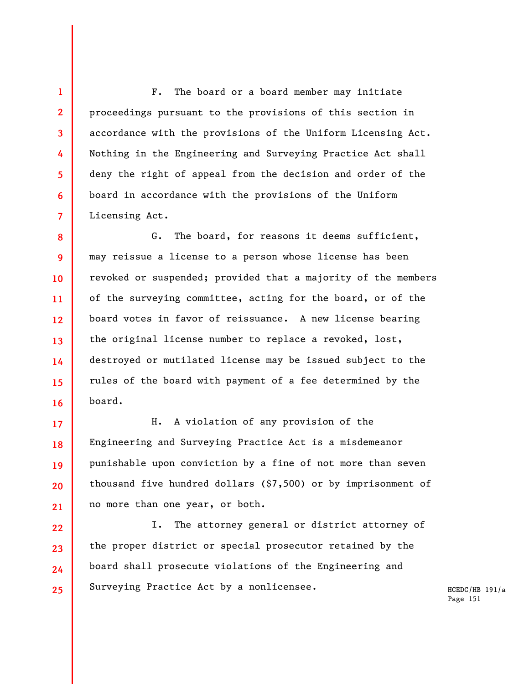F. The board or a board member may initiate proceedings pursuant to the provisions of this section in accordance with the provisions of the Uniform Licensing Act. Nothing in the Engineering and Surveying Practice Act shall deny the right of appeal from the decision and order of the board in accordance with the provisions of the Uniform Licensing Act.

**1** 

**2** 

**3** 

**4** 

**5** 

**6** 

**7** 

**8 9 10 11 12 13 14 15 16**  G. The board, for reasons it deems sufficient, may reissue a license to a person whose license has been revoked or suspended; provided that a majority of the members of the surveying committee, acting for the board, or of the board votes in favor of reissuance. A new license bearing the original license number to replace a revoked, lost, destroyed or mutilated license may be issued subject to the rules of the board with payment of a fee determined by the board.

**17 18 19 20 21**  H. A violation of any provision of the Engineering and Surveying Practice Act is a misdemeanor punishable upon conviction by a fine of not more than seven thousand five hundred dollars (\$7,500) or by imprisonment of no more than one year, or both.

**22 23 24 25**  I. The attorney general or district attorney of the proper district or special prosecutor retained by the board shall prosecute violations of the Engineering and Surveying Practice Act by a nonlicensee.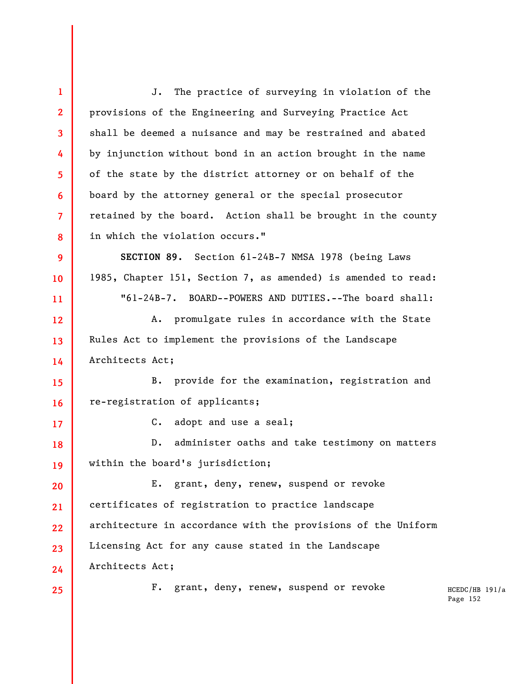HCEDC/HB 191/a Page 152 **1 2 3 4 5 6 7 8 9 10 11 12 13 14 15 16 17 18 19 20 21 22 23 24 25**  J. The practice of surveying in violation of the provisions of the Engineering and Surveying Practice Act shall be deemed a nuisance and may be restrained and abated by injunction without bond in an action brought in the name of the state by the district attorney or on behalf of the board by the attorney general or the special prosecutor retained by the board. Action shall be brought in the county in which the violation occurs." **SECTION 89.** Section 61-24B-7 NMSA 1978 (being Laws 1985, Chapter 151, Section 7, as amended) is amended to read: "61-24B-7. BOARD--POWERS AND DUTIES.--The board shall: A. promulgate rules in accordance with the State Rules Act to implement the provisions of the Landscape Architects Act; B. provide for the examination, registration and re-registration of applicants; C. adopt and use a seal; D. administer oaths and take testimony on matters within the board's jurisdiction; E. grant, deny, renew, suspend or revoke certificates of registration to practice landscape architecture in accordance with the provisions of the Uniform Licensing Act for any cause stated in the Landscape Architects Act; F. grant, deny, renew, suspend or revoke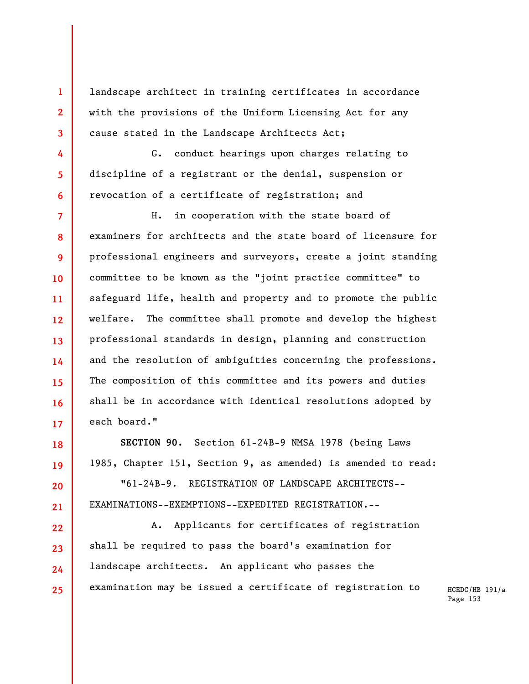landscape architect in training certificates in accordance with the provisions of the Uniform Licensing Act for any cause stated in the Landscape Architects Act;

**1** 

**2** 

**3** 

**4** 

**5** 

**6** 

**18** 

**19** 

**20** 

**21** 

**22** 

**23** 

**24** 

**25** 

G. conduct hearings upon charges relating to discipline of a registrant or the denial, suspension or revocation of a certificate of registration; and

**7 8 9 10 11 12 13 14 15 16 17**  H. in cooperation with the state board of examiners for architects and the state board of licensure for professional engineers and surveyors, create a joint standing committee to be known as the "joint practice committee" to safeguard life, health and property and to promote the public welfare. The committee shall promote and develop the highest professional standards in design, planning and construction and the resolution of ambiguities concerning the professions. The composition of this committee and its powers and duties shall be in accordance with identical resolutions adopted by each board."

**SECTION 90.** Section 61-24B-9 NMSA 1978 (being Laws 1985, Chapter 151, Section 9, as amended) is amended to read:

"61-24B-9. REGISTRATION OF LANDSCAPE ARCHITECTS-- EXAMINATIONS--EXEMPTIONS--EXPEDITED REGISTRATION.--

A. Applicants for certificates of registration shall be required to pass the board's examination for landscape architects. An applicant who passes the examination may be issued a certificate of registration to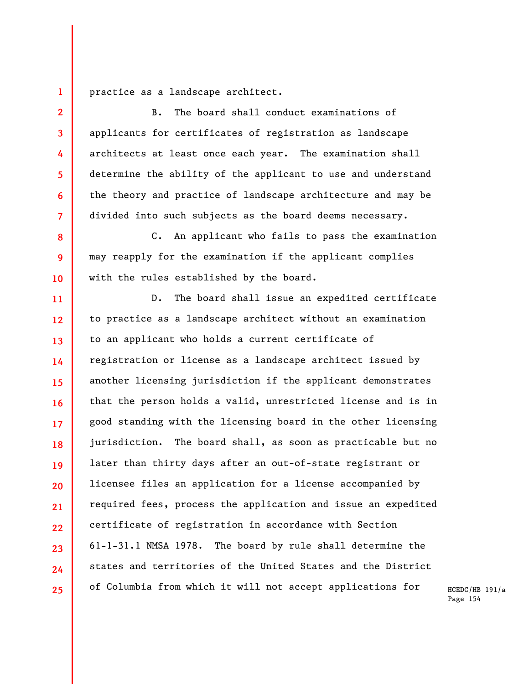**1**  practice as a landscape architect.

**2** 

**3** 

**4** 

**5** 

**6** 

**7** 

**8** 

**9** 

**10** 

B. The board shall conduct examinations of applicants for certificates of registration as landscape architects at least once each year. The examination shall determine the ability of the applicant to use and understand the theory and practice of landscape architecture and may be divided into such subjects as the board deems necessary.

C. An applicant who fails to pass the examination may reapply for the examination if the applicant complies with the rules established by the board.

**11 12 13 14 15 16 17 18 19 20 21 22 23 24 25**  D. The board shall issue an expedited certificate to practice as a landscape architect without an examination to an applicant who holds a current certificate of registration or license as a landscape architect issued by another licensing jurisdiction if the applicant demonstrates that the person holds a valid, unrestricted license and is in good standing with the licensing board in the other licensing jurisdiction. The board shall, as soon as practicable but no later than thirty days after an out-of-state registrant or licensee files an application for a license accompanied by required fees, process the application and issue an expedited certificate of registration in accordance with Section 61-1-31.1 NMSA 1978. The board by rule shall determine the states and territories of the United States and the District of Columbia from which it will not accept applications for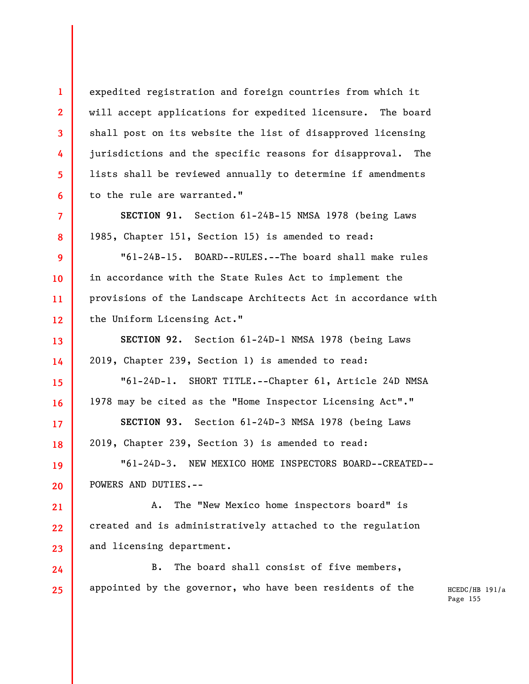expedited registration and foreign countries from which it will accept applications for expedited licensure. The board shall post on its website the list of disapproved licensing jurisdictions and the specific reasons for disapproval. The lists shall be reviewed annually to determine if amendments to the rule are warranted."

**1** 

**2** 

**3** 

**4** 

**5** 

**6** 

**7** 

**8** 

**13** 

**14** 

**15** 

**16** 

**17** 

**18** 

**SECTION 91.** Section 61-24B-15 NMSA 1978 (being Laws 1985, Chapter 151, Section 15) is amended to read:

**9 10 11 12**  "61-24B-15. BOARD--RULES.--The board shall make rules in accordance with the State Rules Act to implement the provisions of the Landscape Architects Act in accordance with the Uniform Licensing Act."

**SECTION 92.** Section 61-24D-1 NMSA 1978 (being Laws 2019, Chapter 239, Section 1) is amended to read:

"61-24D-1. SHORT TITLE.--Chapter 61, Article 24D NMSA 1978 may be cited as the "Home Inspector Licensing Act"."

**SECTION 93.** Section 61-24D-3 NMSA 1978 (being Laws 2019, Chapter 239, Section 3) is amended to read:

**19 20**  "61-24D-3. NEW MEXICO HOME INSPECTORS BOARD--CREATED-- POWERS AND DUTIES.--

**21 22 23**  A. The "New Mexico home inspectors board" is created and is administratively attached to the regulation and licensing department.

**24 25**  B. The board shall consist of five members, appointed by the governor, who have been residents of the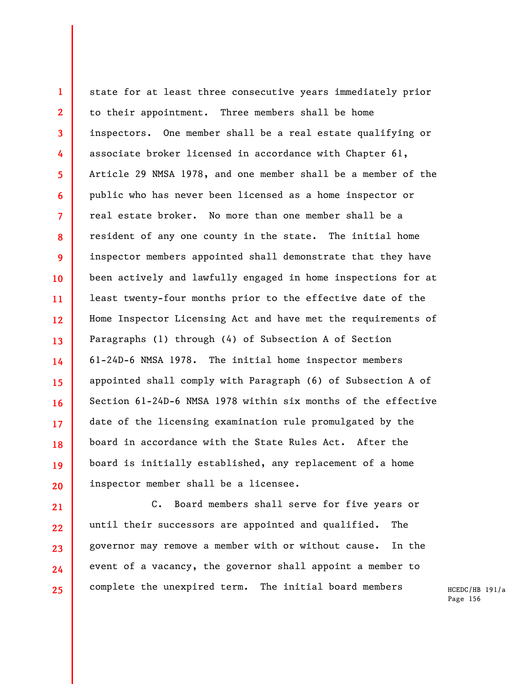**1 2 3 4 5 6 7 8 9 10 11 12 13 14 15 16 17 18 19 20**  state for at least three consecutive years immediately prior to their appointment. Three members shall be home inspectors. One member shall be a real estate qualifying or associate broker licensed in accordance with Chapter 61, Article 29 NMSA 1978, and one member shall be a member of the public who has never been licensed as a home inspector or real estate broker. No more than one member shall be a resident of any one county in the state. The initial home inspector members appointed shall demonstrate that they have been actively and lawfully engaged in home inspections for at least twenty-four months prior to the effective date of the Home Inspector Licensing Act and have met the requirements of Paragraphs (1) through (4) of Subsection A of Section 61-24D-6 NMSA 1978. The initial home inspector members appointed shall comply with Paragraph (6) of Subsection A of Section 61-24D-6 NMSA 1978 within six months of the effective date of the licensing examination rule promulgated by the board in accordance with the State Rules Act. After the board is initially established, any replacement of a home inspector member shall be a licensee.

C. Board members shall serve for five years or until their successors are appointed and qualified. The governor may remove a member with or without cause. In the event of a vacancy, the governor shall appoint a member to complete the unexpired term. The initial board members

**21** 

**22** 

**23** 

**24** 

**25**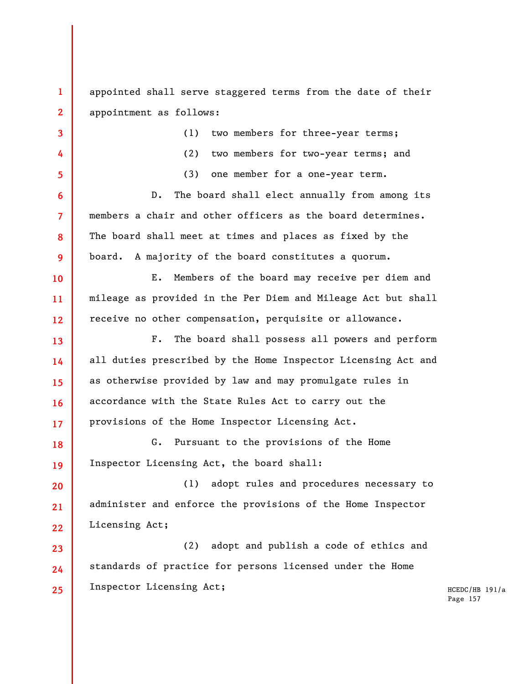**1 2**  appointed shall serve staggered terms from the date of their appointment as follows:

**3** 

**4** 

**5** 

**6** 

**7** 

**8** 

**9** 

**10** 

**11** 

**12** 

**13** 

**14** 

**15** 

**16** 

**17** 

(1) two members for three-year terms; (2) two members for two-year terms; and (3) one member for a one-year term. D. The board shall elect annually from among its members a chair and other officers as the board determines. The board shall meet at times and places as fixed by the board. A majority of the board constitutes a quorum. E. Members of the board may receive per diem and mileage as provided in the Per Diem and Mileage Act but shall receive no other compensation, perquisite or allowance. F. The board shall possess all powers and perform all duties prescribed by the Home Inspector Licensing Act and

as otherwise provided by law and may promulgate rules in accordance with the State Rules Act to carry out the provisions of the Home Inspector Licensing Act.

**18 19**  G. Pursuant to the provisions of the Home Inspector Licensing Act, the board shall:

**20 21 22**  (1) adopt rules and procedures necessary to administer and enforce the provisions of the Home Inspector Licensing Act;

**23 24 25**  (2) adopt and publish a code of ethics and standards of practice for persons licensed under the Home Inspector Licensing Act;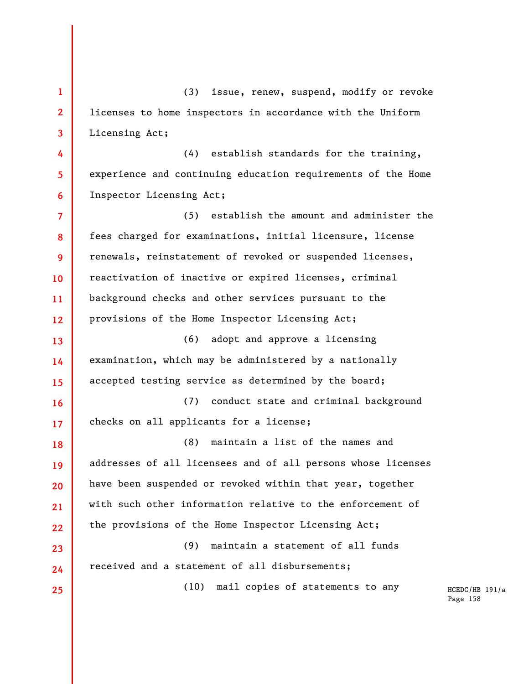**1 2 3 4 5 6 7 8**  (3) issue, renew, suspend, modify or revoke licenses to home inspectors in accordance with the Uniform Licensing Act; (4) establish standards for the training, experience and continuing education requirements of the Home Inspector Licensing Act; (5) establish the amount and administer the fees charged for examinations, initial licensure, license

**9 10 11 12**  renewals, reinstatement of revoked or suspended licenses, reactivation of inactive or expired licenses, criminal background checks and other services pursuant to the provisions of the Home Inspector Licensing Act;

**13 14 15**  (6) adopt and approve a licensing examination, which may be administered by a nationally accepted testing service as determined by the board;

**16 17**  (7) conduct state and criminal background checks on all applicants for a license;

**18 19 20 21 22**  (8) maintain a list of the names and addresses of all licensees and of all persons whose licenses have been suspended or revoked within that year, together with such other information relative to the enforcement of the provisions of the Home Inspector Licensing Act;

(9) maintain a statement of all funds received and a statement of all disbursements;

**23** 

**24** 

**25** 

(10) mail copies of statements to any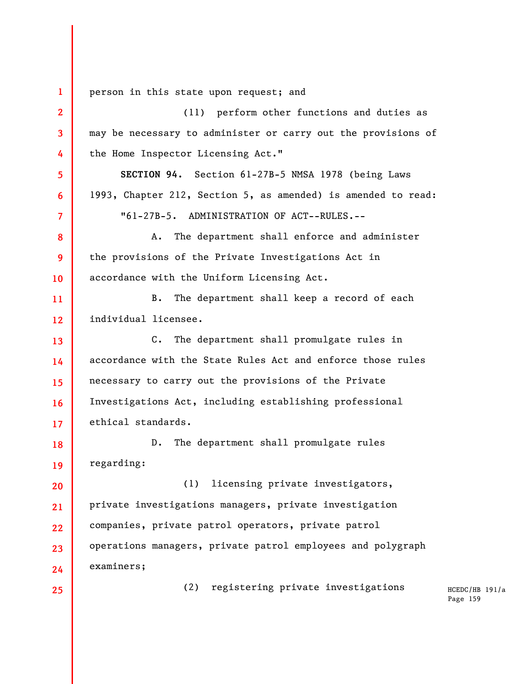**1 2 3 4 5 6 7 8 9 10 11 12 13 14 15 16 17 18 19 20 21 22 23 24 25**  person in this state upon request; and (11) perform other functions and duties as may be necessary to administer or carry out the provisions of the Home Inspector Licensing Act." **SECTION 94.** Section 61-27B-5 NMSA 1978 (being Laws 1993, Chapter 212, Section 5, as amended) is amended to read: "61-27B-5. ADMINISTRATION OF ACT--RULES.-- A. The department shall enforce and administer the provisions of the Private Investigations Act in accordance with the Uniform Licensing Act. B. The department shall keep a record of each individual licensee. C. The department shall promulgate rules in accordance with the State Rules Act and enforce those rules necessary to carry out the provisions of the Private Investigations Act, including establishing professional ethical standards. D. The department shall promulgate rules regarding: (1) licensing private investigators, private investigations managers, private investigation companies, private patrol operators, private patrol operations managers, private patrol employees and polygraph examiners; (2) registering private investigations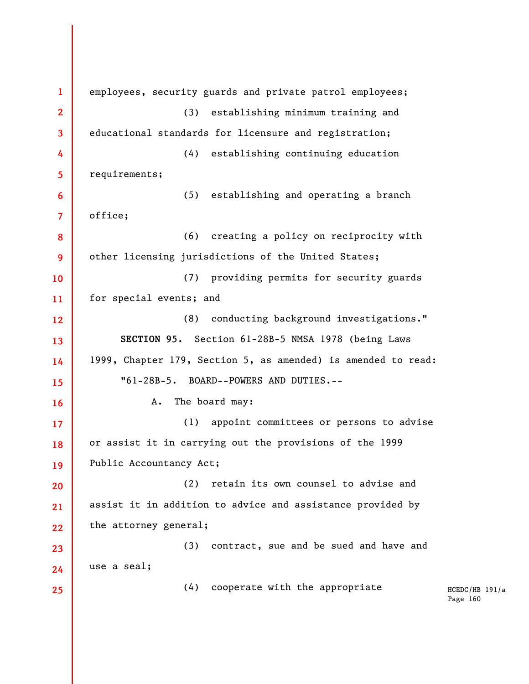HCEDC/HB 191/a Page 160 **1 2 3 4 5 6 7 8 9 10 11 12 13 14 15 16 17 18 19 20 21 22 23 24 25**  employees, security guards and private patrol employees; (3) establishing minimum training and educational standards for licensure and registration; (4) establishing continuing education requirements; (5) establishing and operating a branch office; (6) creating a policy on reciprocity with other licensing jurisdictions of the United States; (7) providing permits for security guards for special events; and (8) conducting background investigations." **SECTION 95.** Section 61-28B-5 NMSA 1978 (being Laws 1999, Chapter 179, Section 5, as amended) is amended to read: "61-28B-5. BOARD--POWERS AND DUTIES.-- A. The board may: (1) appoint committees or persons to advise or assist it in carrying out the provisions of the 1999 Public Accountancy Act; (2) retain its own counsel to advise and assist it in addition to advice and assistance provided by the attorney general; (3) contract, sue and be sued and have and use a seal; (4) cooperate with the appropriate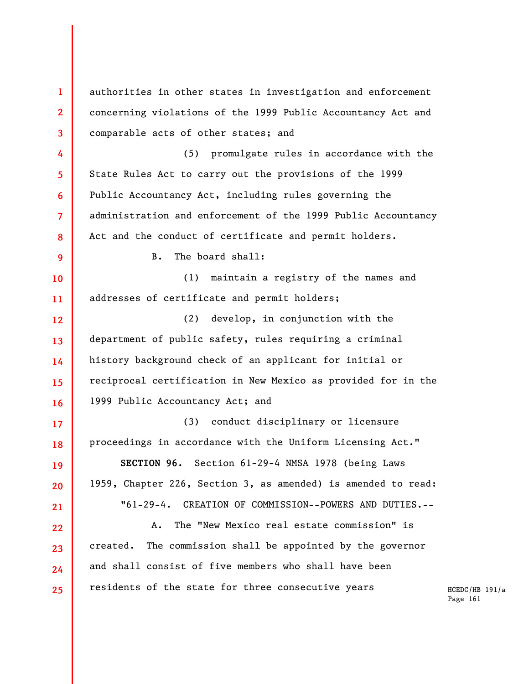**1 2 3 4 5 6 7 8 9 10 11 12 13 14 15 16 17 18 19 20 21 22 23 24 25**  authorities in other states in investigation and enforcement concerning violations of the 1999 Public Accountancy Act and comparable acts of other states; and (5) promulgate rules in accordance with the State Rules Act to carry out the provisions of the 1999 Public Accountancy Act, including rules governing the administration and enforcement of the 1999 Public Accountancy Act and the conduct of certificate and permit holders. B. The board shall: (1) maintain a registry of the names and addresses of certificate and permit holders; (2) develop, in conjunction with the department of public safety, rules requiring a criminal history background check of an applicant for initial or reciprocal certification in New Mexico as provided for in the 1999 Public Accountancy Act; and (3) conduct disciplinary or licensure proceedings in accordance with the Uniform Licensing Act." **SECTION 96.** Section 61-29-4 NMSA 1978 (being Laws 1959, Chapter 226, Section 3, as amended) is amended to read: "61-29-4. CREATION OF COMMISSION--POWERS AND DUTIES.-- A. The "New Mexico real estate commission" is created. The commission shall be appointed by the governor and shall consist of five members who shall have been residents of the state for three consecutive years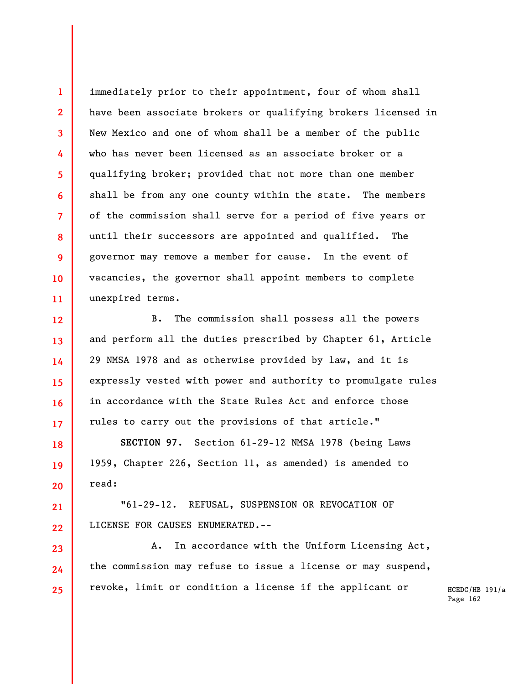immediately prior to their appointment, four of whom shall have been associate brokers or qualifying brokers licensed in New Mexico and one of whom shall be a member of the public who has never been licensed as an associate broker or a qualifying broker; provided that not more than one member shall be from any one county within the state. The members of the commission shall serve for a period of five years or until their successors are appointed and qualified. The governor may remove a member for cause. In the event of vacancies, the governor shall appoint members to complete unexpired terms.

**1** 

**2** 

**3** 

**4** 

**5** 

**6** 

**7** 

**8** 

**9** 

**10** 

**11** 

**12** 

**13** 

**14** 

**15** 

**16** 

**17** 

**18** 

**19** 

**20** 

**21** 

**22** 

**23** 

**24** 

**25** 

B. The commission shall possess all the powers and perform all the duties prescribed by Chapter 61, Article 29 NMSA 1978 and as otherwise provided by law, and it is expressly vested with power and authority to promulgate rules in accordance with the State Rules Act and enforce those rules to carry out the provisions of that article."

**SECTION 97.** Section 61-29-12 NMSA 1978 (being Laws 1959, Chapter 226, Section 11, as amended) is amended to read:

"61-29-12. REFUSAL, SUSPENSION OR REVOCATION OF LICENSE FOR CAUSES ENUMERATED.--

A. In accordance with the Uniform Licensing Act, the commission may refuse to issue a license or may suspend, revoke, limit or condition a license if the applicant or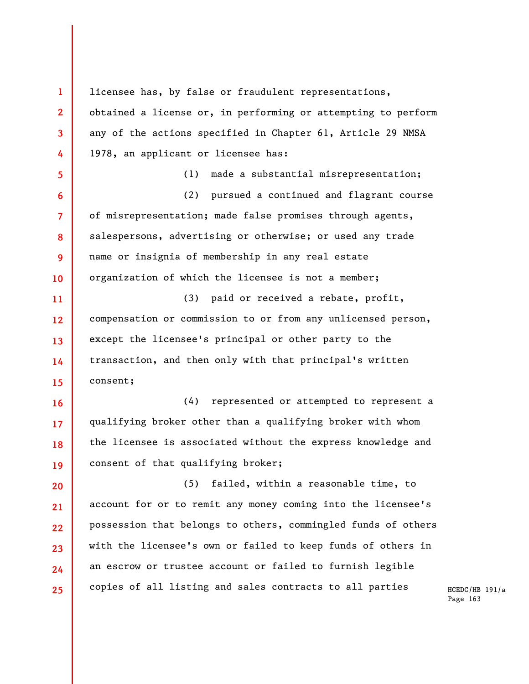**1 2 3 4 5 6 7 8 9 10 11 12 13 14 15 16 17 18 19 20 21 22 23 24 25**  licensee has, by false or fraudulent representations, obtained a license or, in performing or attempting to perform any of the actions specified in Chapter 61, Article 29 NMSA 1978, an applicant or licensee has: (1) made a substantial misrepresentation; (2) pursued a continued and flagrant course of misrepresentation; made false promises through agents, salespersons, advertising or otherwise; or used any trade name or insignia of membership in any real estate organization of which the licensee is not a member; (3) paid or received a rebate, profit, compensation or commission to or from any unlicensed person, except the licensee's principal or other party to the transaction, and then only with that principal's written consent; (4) represented or attempted to represent a qualifying broker other than a qualifying broker with whom the licensee is associated without the express knowledge and consent of that qualifying broker; (5) failed, within a reasonable time, to account for or to remit any money coming into the licensee's possession that belongs to others, commingled funds of others with the licensee's own or failed to keep funds of others in an escrow or trustee account or failed to furnish legible copies of all listing and sales contracts to all parties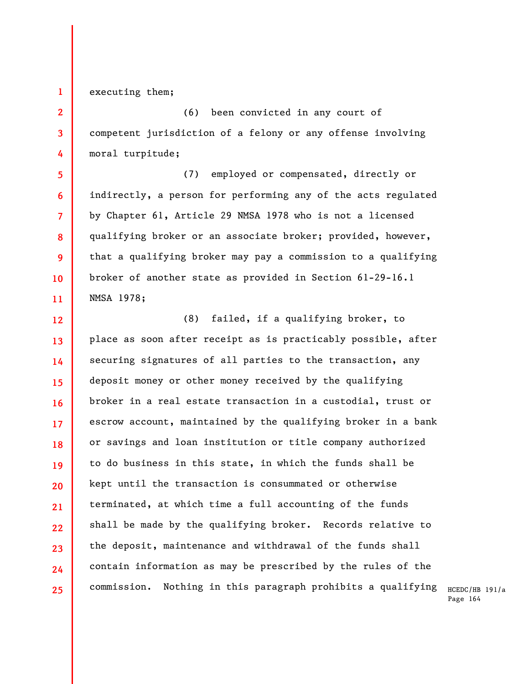**1**  executing them;

**2** 

**3** 

**4** 

**5** 

**6** 

**7** 

**8** 

**9** 

**10** 

**11** 

(6) been convicted in any court of competent jurisdiction of a felony or any offense involving moral turpitude;

(7) employed or compensated, directly or indirectly, a person for performing any of the acts regulated by Chapter 61, Article 29 NMSA 1978 who is not a licensed qualifying broker or an associate broker; provided, however, that a qualifying broker may pay a commission to a qualifying broker of another state as provided in Section 61-29-16.1 NMSA 1978;

**12 13 14 15 16 17 18 19 20 21 22 23 24 25**  (8) failed, if a qualifying broker, to place as soon after receipt as is practicably possible, after securing signatures of all parties to the transaction, any deposit money or other money received by the qualifying broker in a real estate transaction in a custodial, trust or escrow account, maintained by the qualifying broker in a bank or savings and loan institution or title company authorized to do business in this state, in which the funds shall be kept until the transaction is consummated or otherwise terminated, at which time a full accounting of the funds shall be made by the qualifying broker. Records relative to the deposit, maintenance and withdrawal of the funds shall contain information as may be prescribed by the rules of the commission. Nothing in this paragraph prohibits a qualifying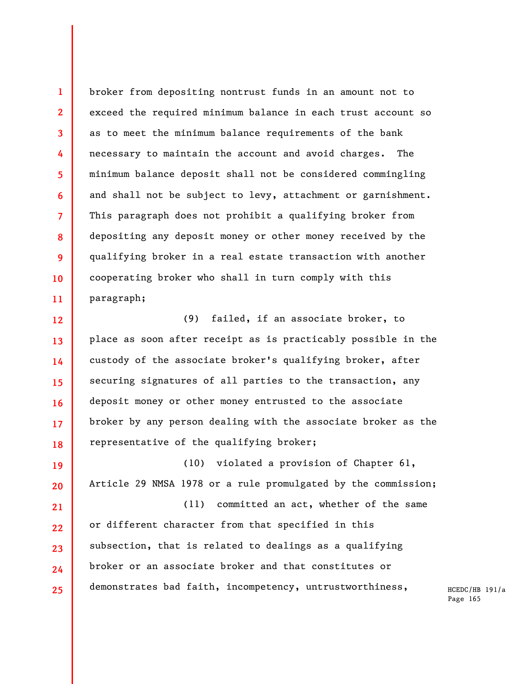broker from depositing nontrust funds in an amount not to exceed the required minimum balance in each trust account so as to meet the minimum balance requirements of the bank necessary to maintain the account and avoid charges. The minimum balance deposit shall not be considered commingling and shall not be subject to levy, attachment or garnishment. This paragraph does not prohibit a qualifying broker from depositing any deposit money or other money received by the qualifying broker in a real estate transaction with another cooperating broker who shall in turn comply with this paragraph;

**1** 

**2** 

**3** 

**4** 

**5** 

**6** 

**7** 

**8** 

**9** 

**10** 

**11** 

**12 13 14 15 16 17 18**  (9) failed, if an associate broker, to place as soon after receipt as is practicably possible in the custody of the associate broker's qualifying broker, after securing signatures of all parties to the transaction, any deposit money or other money entrusted to the associate broker by any person dealing with the associate broker as the representative of the qualifying broker;

**19 20 21 22 23 24 25**  (10) violated a provision of Chapter 61, Article 29 NMSA 1978 or a rule promulgated by the commission; (11) committed an act, whether of the same or different character from that specified in this subsection, that is related to dealings as a qualifying broker or an associate broker and that constitutes or demonstrates bad faith, incompetency, untrustworthiness,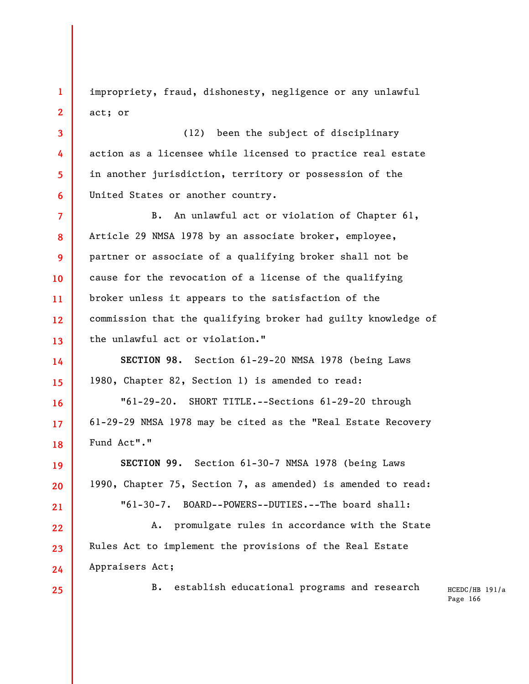impropriety, fraud, dishonesty, negligence or any unlawful act; or

(12) been the subject of disciplinary action as a licensee while licensed to practice real estate in another jurisdiction, territory or possession of the United States or another country.

**7 8 9 10 11 12 13**  B. An unlawful act or violation of Chapter 61, Article 29 NMSA 1978 by an associate broker, employee, partner or associate of a qualifying broker shall not be cause for the revocation of a license of the qualifying broker unless it appears to the satisfaction of the commission that the qualifying broker had guilty knowledge of the unlawful act or violation."

**14 15 SECTION 98.** Section 61-29-20 NMSA 1978 (being Laws 1980, Chapter 82, Section 1) is amended to read:

"61-29-20. SHORT TITLE.--Sections 61-29-20 through 61-29-29 NMSA 1978 may be cited as the "Real Estate Recovery Fund Act"."

**SECTION 99.** Section 61-30-7 NMSA 1978 (being Laws 1990, Chapter 75, Section 7, as amended) is amended to read: "61-30-7. BOARD--POWERS--DUTIES.--The board shall:

**22 23 24**  A. promulgate rules in accordance with the State Rules Act to implement the provisions of the Real Estate Appraisers Act;

**25** 

**16** 

**17** 

**18** 

**19** 

**20** 

**21** 

**1** 

**2** 

**3** 

**4** 

**5** 

**6** 

B. establish educational programs and research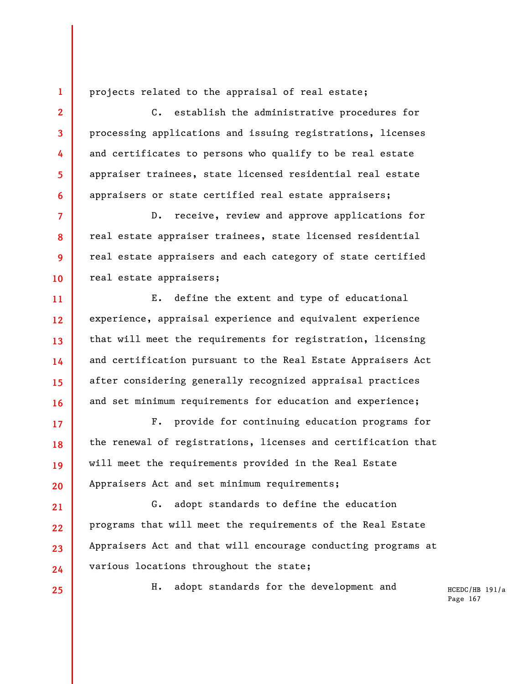projects related to the appraisal of real estate;

C. establish the administrative procedures for processing applications and issuing registrations, licenses and certificates to persons who qualify to be real estate appraiser trainees, state licensed residential real estate appraisers or state certified real estate appraisers;

D. receive, review and approve applications for real estate appraiser trainees, state licensed residential real estate appraisers and each category of state certified real estate appraisers;

E. define the extent and type of educational experience, appraisal experience and equivalent experience that will meet the requirements for registration, licensing and certification pursuant to the Real Estate Appraisers Act after considering generally recognized appraisal practices and set minimum requirements for education and experience;

F. provide for continuing education programs for the renewal of registrations, licenses and certification that will meet the requirements provided in the Real Estate Appraisers Act and set minimum requirements;

**21 22 23 24**  G. adopt standards to define the education programs that will meet the requirements of the Real Estate Appraisers Act and that will encourage conducting programs at various locations throughout the state;

**25** 

**1** 

**2** 

**3** 

**4** 

**5** 

**6** 

**7** 

**8** 

**9** 

**10** 

**11** 

**12** 

**13** 

**14** 

**15** 

**16** 

**17** 

**18** 

**19** 

**20** 

H. adopt standards for the development and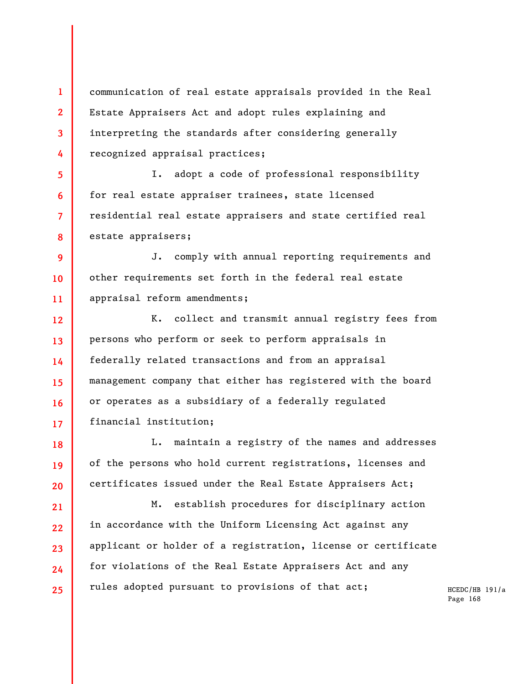**1 2 3 4**  communication of real estate appraisals provided in the Real Estate Appraisers Act and adopt rules explaining and interpreting the standards after considering generally recognized appraisal practices;

I. adopt a code of professional responsibility for real estate appraiser trainees, state licensed residential real estate appraisers and state certified real estate appraisers;

**5** 

**6** 

**7** 

**8** 

**18** 

**19** 

**20** 

**9 10 11**  J. comply with annual reporting requirements and other requirements set forth in the federal real estate appraisal reform amendments;

**12 13 14 15 16 17**  K. collect and transmit annual registry fees from persons who perform or seek to perform appraisals in federally related transactions and from an appraisal management company that either has registered with the board or operates as a subsidiary of a federally regulated financial institution;

L. maintain a registry of the names and addresses of the persons who hold current registrations, licenses and certificates issued under the Real Estate Appraisers Act;

**21 22 23 24 25**  M. establish procedures for disciplinary action in accordance with the Uniform Licensing Act against any applicant or holder of a registration, license or certificate for violations of the Real Estate Appraisers Act and any rules adopted pursuant to provisions of that act;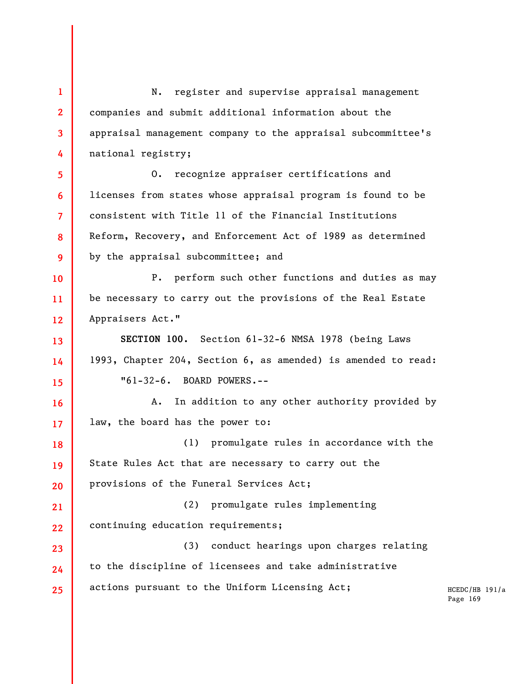HCEDC/HB 191/a Page 169 **1 2 3 4 5 6 7 8 9 10 11 12 13 14 15 16 17 18 19 20 21 22 23 24 25**  N. register and supervise appraisal management companies and submit additional information about the appraisal management company to the appraisal subcommittee's national registry; O. recognize appraiser certifications and licenses from states whose appraisal program is found to be consistent with Title 11 of the Financial Institutions Reform, Recovery, and Enforcement Act of 1989 as determined by the appraisal subcommittee; and P. perform such other functions and duties as may be necessary to carry out the provisions of the Real Estate Appraisers Act." **SECTION 100.** Section 61-32-6 NMSA 1978 (being Laws 1993, Chapter 204, Section 6, as amended) is amended to read: "61-32-6. BOARD POWERS.-- A. In addition to any other authority provided by law, the board has the power to: (1) promulgate rules in accordance with the State Rules Act that are necessary to carry out the provisions of the Funeral Services Act; (2) promulgate rules implementing continuing education requirements; (3) conduct hearings upon charges relating to the discipline of licensees and take administrative actions pursuant to the Uniform Licensing Act;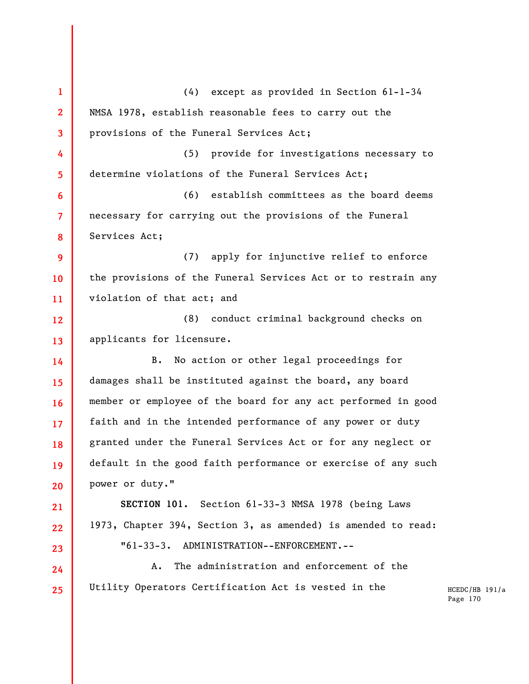HCEDC/HB 191/a Page 170 **1 2 3 4 5 6 7 8 9 10 11 12 13 14 15 16 17 18 19 20 21 22 23 24 25**  (4) except as provided in Section 61-1-34 NMSA 1978, establish reasonable fees to carry out the provisions of the Funeral Services Act; (5) provide for investigations necessary to determine violations of the Funeral Services Act; (6) establish committees as the board deems necessary for carrying out the provisions of the Funeral Services Act; (7) apply for injunctive relief to enforce the provisions of the Funeral Services Act or to restrain any violation of that act; and (8) conduct criminal background checks on applicants for licensure. B. No action or other legal proceedings for damages shall be instituted against the board, any board member or employee of the board for any act performed in good faith and in the intended performance of any power or duty granted under the Funeral Services Act or for any neglect or default in the good faith performance or exercise of any such power or duty." **SECTION 101.** Section 61-33-3 NMSA 1978 (being Laws 1973, Chapter 394, Section 3, as amended) is amended to read: "61-33-3. ADMINISTRATION--ENFORCEMENT.-- A. The administration and enforcement of the Utility Operators Certification Act is vested in the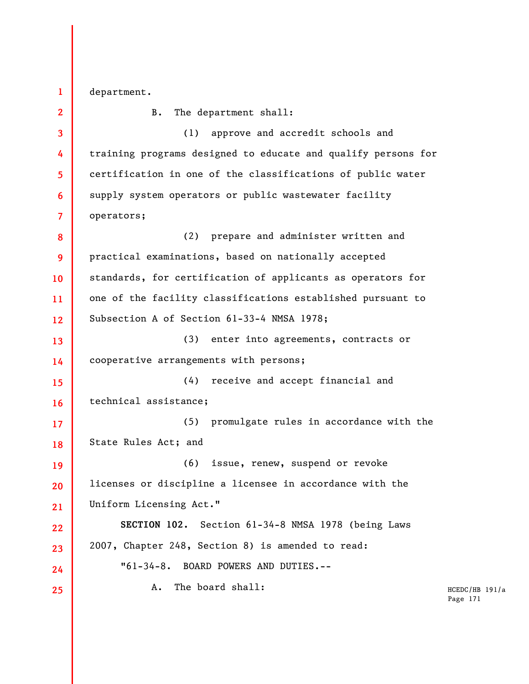department.

**1** 

**2 3 4 5 6 7 8 9 10 11 12 13 14 15 16 17 18 19 20 21 22 23 24 25**  B. The department shall: (1) approve and accredit schools and training programs designed to educate and qualify persons for certification in one of the classifications of public water supply system operators or public wastewater facility operators; (2) prepare and administer written and practical examinations, based on nationally accepted standards, for certification of applicants as operators for one of the facility classifications established pursuant to Subsection A of Section 61-33-4 NMSA 1978; (3) enter into agreements, contracts or cooperative arrangements with persons; (4) receive and accept financial and technical assistance; (5) promulgate rules in accordance with the State Rules Act; and (6) issue, renew, suspend or revoke licenses or discipline a licensee in accordance with the Uniform Licensing Act." **SECTION 102.** Section 61-34-8 NMSA 1978 (being Laws 2007, Chapter 248, Section 8) is amended to read: "61-34-8. BOARD POWERS AND DUTIES.-- A. The board shall: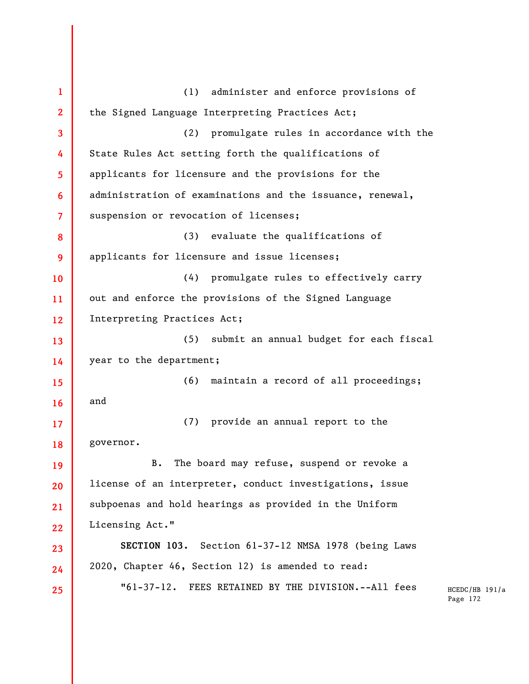HCEDC/HB 191/a Page 172 **1 2 3 4 5 6 7 8 9 10 11 12 13 14 15 16 17 18 19 20 21 22 23 24 25**  (1) administer and enforce provisions of the Signed Language Interpreting Practices Act; (2) promulgate rules in accordance with the State Rules Act setting forth the qualifications of applicants for licensure and the provisions for the administration of examinations and the issuance, renewal, suspension or revocation of licenses; (3) evaluate the qualifications of applicants for licensure and issue licenses; (4) promulgate rules to effectively carry out and enforce the provisions of the Signed Language Interpreting Practices Act; (5) submit an annual budget for each fiscal year to the department; (6) maintain a record of all proceedings; and (7) provide an annual report to the governor. B. The board may refuse, suspend or revoke a license of an interpreter, conduct investigations, issue subpoenas and hold hearings as provided in the Uniform Licensing Act." **SECTION 103.** Section 61-37-12 NMSA 1978 (being Laws 2020, Chapter 46, Section 12) is amended to read: "61-37-12. FEES RETAINED BY THE DIVISION.--All fees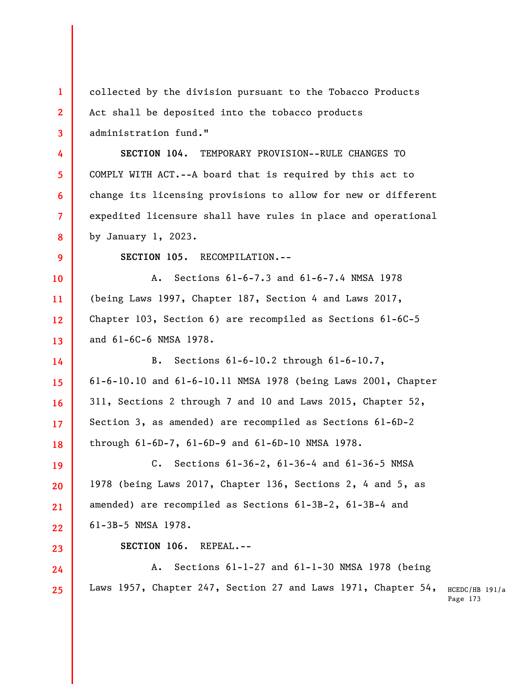| $\mathbf{1}$ | collected by the division pursuant to the Tobacco Products        |                            |
|--------------|-------------------------------------------------------------------|----------------------------|
| $\mathbf{2}$ | Act shall be deposited into the tobacco products                  |                            |
| 3            | administration fund."                                             |                            |
| 4            | SECTION 104.<br>TEMPORARY PROVISION--RULE CHANGES TO              |                            |
| 5.           | COMPLY WITH ACT.--A board that is required by this act to         |                            |
| 6            | change its licensing provisions to allow for new or different     |                            |
| 7            | expedited licensure shall have rules in place and operational     |                            |
| 8            | by January 1, 2023.                                               |                            |
| 9            | SECTION 105. RECOMPILATION.--                                     |                            |
| 10           | Sections 61-6-7.3 and 61-6-7.4 NMSA 1978<br>Α.                    |                            |
| 11           | (being Laws 1997, Chapter 187, Section 4 and Laws 2017,           |                            |
| 12           | Chapter 103, Section 6) are recompiled as Sections $61-6C-5$      |                            |
| 13           | and 61-6C-6 NMSA 1978.                                            |                            |
| 14           | Sections $61-6-10.2$ through $61-6-10.7$ ,<br>$B$ .               |                            |
| 15           | $61-6-10.10$ and $61-6-10.11$ NMSA 1978 (being Laws 2001, Chapter |                            |
| 16           | 311, Sections 2 through 7 and 10 and Laws 2015, Chapter 52,       |                            |
| 17           | Section 3, as amended) are recompiled as Sections 61-6D-2         |                            |
| 18           | through 61-6D-7, 61-6D-9 and 61-6D-10 NMSA 1978.                  |                            |
| 19           | Sections 61-36-2, 61-36-4 and 61-36-5 NMSA<br>$c_{\bullet}$       |                            |
| 20           | 1978 (being Laws 2017, Chapter 136, Sections 2, 4 and 5, as       |                            |
| 21           | amended) are recompiled as Sections 61-3B-2, 61-3B-4 and          |                            |
| 22           | 61-3B-5 NMSA 1978.                                                |                            |
| 23           | SECTION 106.<br>REPEAL.--                                         |                            |
| 24           | Sections $61-1-27$ and $61-1-30$ NMSA 1978 (being<br>Α.           |                            |
| 25           | Laws 1957, Chapter 247, Section 27 and Laws 1971, Chapter 54,     | HCEDC/HB 191/a<br>Page 173 |
|              |                                                                   |                            |
|              |                                                                   |                            |
|              |                                                                   |                            |
|              |                                                                   |                            |